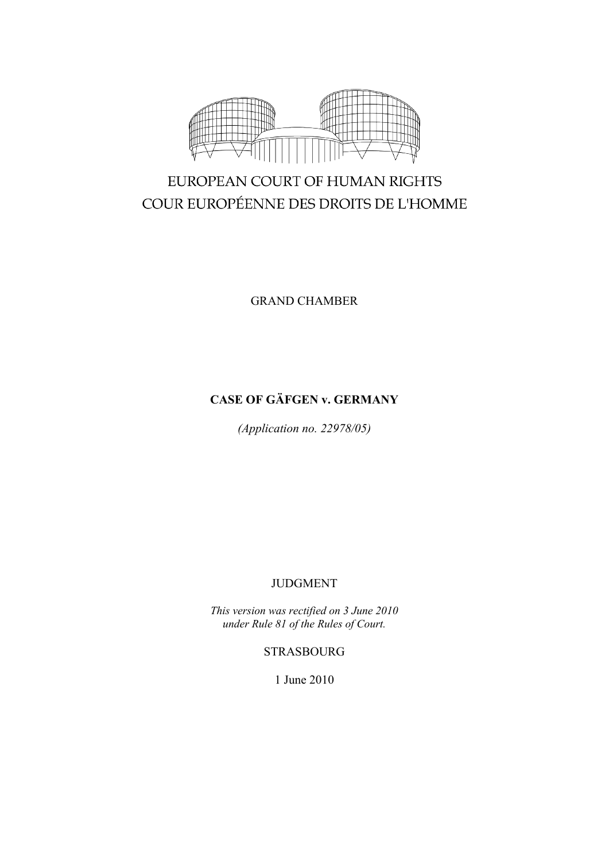

# EUROPEAN COURT OF HUMAN RIGHTS COUR EUROPÉENNE DES DROITS DE L'HOMME

GRAND CHAMBER

## **CASE OF GÄFGEN v. GERMANY**

*(Application no. 22978/05)*

## JUDGMENT

*This version was rectified on 3 June 2010 under Rule 81 of the Rules of Court.*

STRASBOURG

1 June 2010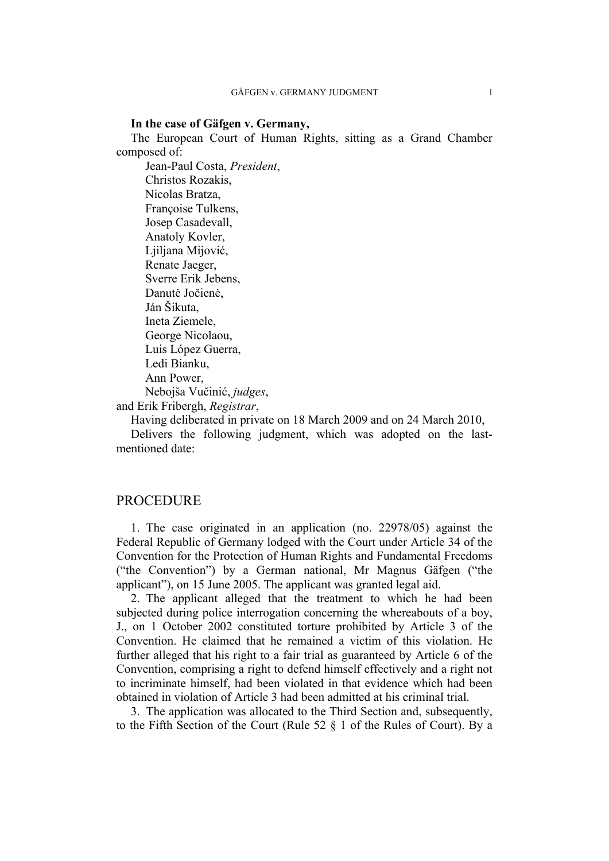## **In the case of Gäfgen v. Germany,**

The European Court of Human Rights, sitting as a Grand Chamber composed of:

Jean-Paul Costa, *President*, Christos Rozakis, Nicolas Bratza, Françoise Tulkens, Josep Casadevall, Anatoly Kovler, Ljiljana Mijović, Renate Jaeger, Sverre Erik Jebens, Danutė Jočienė, Ján Šikuta, Ineta Ziemele, George Nicolaou, Luis López Guerra, Ledi Bianku, Ann Power, Nebojša Vučinić, *judges*,

and Erik Fribergh, *Registrar*,

Having deliberated in private on 18 March 2009 and on 24 March 2010, Delivers the following judgment, which was adopted on the lastmentioned date:

## PROCEDURE

1. The case originated in an application (no. 22978/05) against the Federal Republic of Germany lodged with the Court under Article 34 of the Convention for the Protection of Human Rights and Fundamental Freedoms ("the Convention") by a German national, Mr Magnus Gäfgen ("the applicant"), on 15 June 2005. The applicant was granted legal aid.

2. The applicant alleged that the treatment to which he had been subjected during police interrogation concerning the whereabouts of a boy, J., on 1 October 2002 constituted torture prohibited by Article 3 of the Convention. He claimed that he remained a victim of this violation. He further alleged that his right to a fair trial as guaranteed by Article 6 of the Convention, comprising a right to defend himself effectively and a right not to incriminate himself, had been violated in that evidence which had been obtained in violation of Article 3 had been admitted at his criminal trial.

3. The application was allocated to the Third Section and, subsequently, to the Fifth Section of the Court (Rule 52 § 1 of the Rules of Court). By a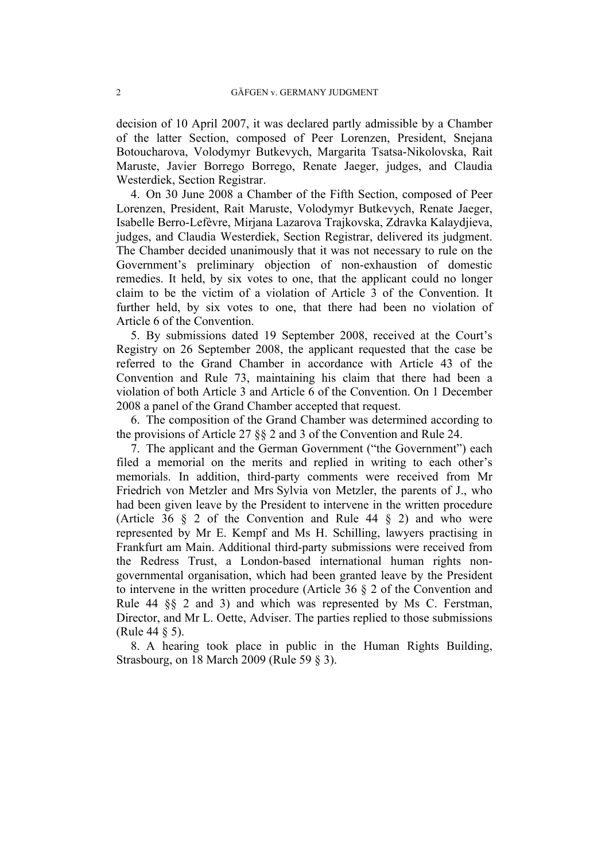decision of 10 April 2007, it was declared partly admissible by a Chamber of the latter Section, composed of Peer Lorenzen, President, Snejana Botoucharova, Volodymyr Butkevych, Margarita Tsatsa-Nikolovska, Rait Maruste, Javier Borrego Borrego, Renate Jaeger, judges, and Claudia Westerdiek, Section Registrar.

4. On 30 June 2008 a Chamber of the Fifth Section, composed of Peer Lorenzen, President, Rait Maruste, Volodymyr Butkevych, Renate Jaeger, Isabelle Berro-Lefèvre, Mirjana Lazarova Trajkovska, Zdravka Kalaydjieva, judges, and Claudia Westerdiek, Section Registrar, delivered its judgment. The Chamber decided unanimously that it was not necessary to rule on the Government's preliminary objection of non-exhaustion of domestic remedies. It held, by six votes to one, that the applicant could no longer claim to be the victim of a violation of Article 3 of the Convention. It further held, by six votes to one, that there had been no violation of Article 6 of the Convention.

5. By submissions dated 19 September 2008, received at the Court's Registry on 26 September 2008, the applicant requested that the case be referred to the Grand Chamber in accordance with Article 43 of the Convention and Rule 73, maintaining his claim that there had been a violation of both Article 3 and Article 6 of the Convention. On 1 December 2008 a panel of the Grand Chamber accepted that request.

6. The composition of the Grand Chamber was determined according to the provisions of Article 27 §§ 2 and 3 of the Convention and Rule 24.

7. The applicant and the German Government ("the Government") each filed a memorial on the merits and replied in writing to each other's memorials. In addition, third-party comments were received from Mr Friedrich von Metzler and Mrs Sylvia von Metzler, the parents of J., who had been given leave by the President to intervene in the written procedure (Article 36 § 2 of the Convention and Rule 44 § 2) and who were represented by Mr E. Kempf and Ms H. Schilling, lawyers practising in Frankfurt am Main. Additional third-party submissions were received from the Redress Trust, a London-based international human rights nongovernmental organisation, which had been granted leave by the President to intervene in the written procedure (Article 36 § 2 of the Convention and Rule 44 §§ 2 and 3) and which was represented by Ms C. Ferstman, Director, and Mr L. Oette, Adviser. The parties replied to those submissions (Rule 44 § 5).

8. A hearing took place in public in the Human Rights Building, Strasbourg, on 18 March 2009 (Rule 59 § 3).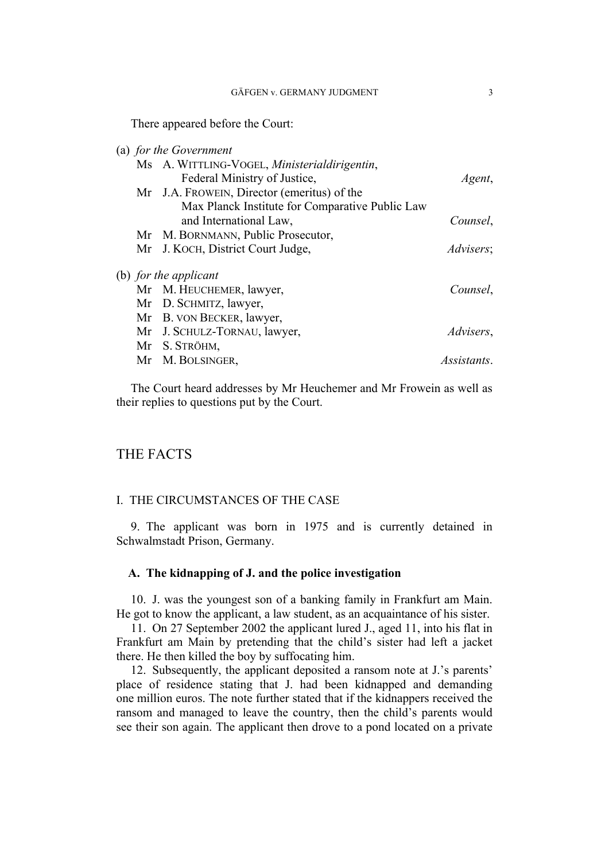There appeared before the Court:

|                       | (a) for the Government                          |                     |
|-----------------------|-------------------------------------------------|---------------------|
|                       | Ms A. WITTLING-VOGEL, Ministerialdirigentin,    |                     |
|                       | Federal Ministry of Justice,                    | Agent,              |
|                       | Mr J.A. FROWEIN, Director (emeritus) of the     |                     |
|                       | Max Planck Institute for Comparative Public Law |                     |
|                       | and International Law,                          | Counsel,            |
|                       | Mr M. BORNMANN, Public Prosecutor,              |                     |
| Mr                    | J. KOCH, District Court Judge,                  | <i>Advisers</i> ;   |
| (b) for the applicant |                                                 |                     |
|                       | Mr M. HEUCHEMER, lawyer,                        | Counsel,            |
|                       | Mr D. SCHMITZ, lawyer,                          |                     |
|                       | Mr B. VON BECKER, lawyer,                       |                     |
|                       | Mr J. SCHULZ-TORNAU, lawyer,                    | Advisers,           |
|                       | Mr S. STRÖHM,                                   |                     |
|                       | Mr M. BOLSINGER,                                | <i>Assistants</i> . |
|                       |                                                 |                     |

The Court heard addresses by Mr Heuchemer and Mr Frowein as well as their replies to questions put by the Court.

## THE FACTS

## I. THE CIRCUMSTANCES OF THE CASE

9. The applicant was born in 1975 and is currently detained in Schwalmstadt Prison, Germany.

## **A. The kidnapping of J. and the police investigation**

10. J. was the youngest son of a banking family in Frankfurt am Main. He got to know the applicant, a law student, as an acquaintance of his sister.

11. On 27 September 2002 the applicant lured J., aged 11, into his flat in Frankfurt am Main by pretending that the child's sister had left a jacket there. He then killed the boy by suffocating him.

12. Subsequently, the applicant deposited a ransom note at J.'s parents' place of residence stating that J. had been kidnapped and demanding one million euros. The note further stated that if the kidnappers received the ransom and managed to leave the country, then the child's parents would see their son again. The applicant then drove to a pond located on a private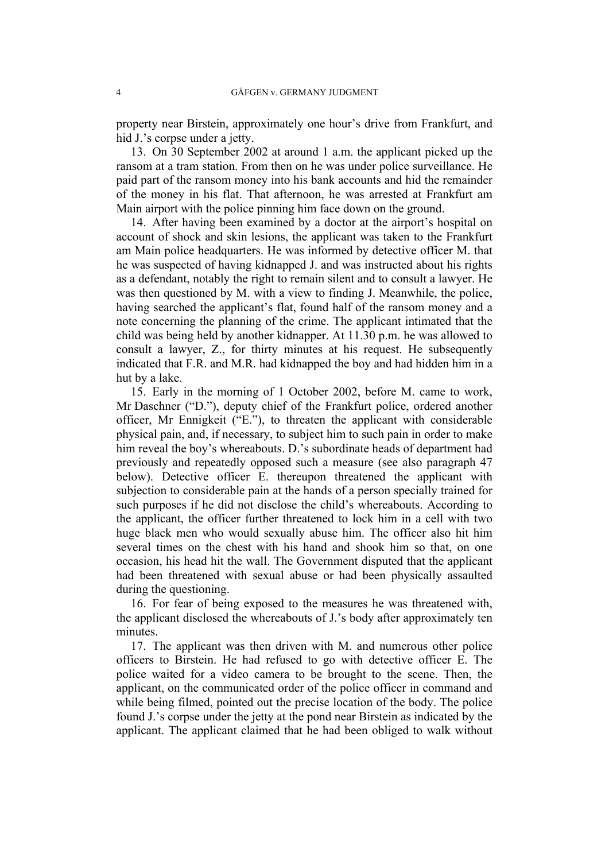property near Birstein, approximately one hour's drive from Frankfurt, and hid J.'s corpse under a jetty.

13. On 30 September 2002 at around 1 a.m. the applicant picked up the ransom at a tram station. From then on he was under police surveillance. He paid part of the ransom money into his bank accounts and hid the remainder of the money in his flat. That afternoon, he was arrested at Frankfurt am Main airport with the police pinning him face down on the ground.

14. After having been examined by a doctor at the airport's hospital on account of shock and skin lesions, the applicant was taken to the Frankfurt am Main police headquarters. He was informed by detective officer M. that he was suspected of having kidnapped J. and was instructed about his rights as a defendant, notably the right to remain silent and to consult a lawyer. He was then questioned by M. with a view to finding J. Meanwhile, the police, having searched the applicant's flat, found half of the ransom money and a note concerning the planning of the crime. The applicant intimated that the child was being held by another kidnapper. At 11.30 p.m. he was allowed to consult a lawyer, Z., for thirty minutes at his request. He subsequently indicated that F.R. and M.R. had kidnapped the boy and had hidden him in a hut by a lake.

15. Early in the morning of 1 October 2002, before M. came to work, Mr Daschner ("D."), deputy chief of the Frankfurt police, ordered another officer, Mr Ennigkeit ("E."), to threaten the applicant with considerable physical pain, and, if necessary, to subject him to such pain in order to make him reveal the boy's whereabouts. D.'s subordinate heads of department had previously and repeatedly opposed such a measure (see also paragraph 47 below). Detective officer E. thereupon threatened the applicant with subjection to considerable pain at the hands of a person specially trained for such purposes if he did not disclose the child's whereabouts. According to the applicant, the officer further threatened to lock him in a cell with two huge black men who would sexually abuse him. The officer also hit him several times on the chest with his hand and shook him so that, on one occasion, his head hit the wall. The Government disputed that the applicant had been threatened with sexual abuse or had been physically assaulted during the questioning.

16. For fear of being exposed to the measures he was threatened with, the applicant disclosed the whereabouts of J.'s body after approximately ten minutes.

17. The applicant was then driven with M. and numerous other police officers to Birstein. He had refused to go with detective officer E. The police waited for a video camera to be brought to the scene. Then, the applicant, on the communicated order of the police officer in command and while being filmed, pointed out the precise location of the body. The police found J.'s corpse under the jetty at the pond near Birstein as indicated by the applicant. The applicant claimed that he had been obliged to walk without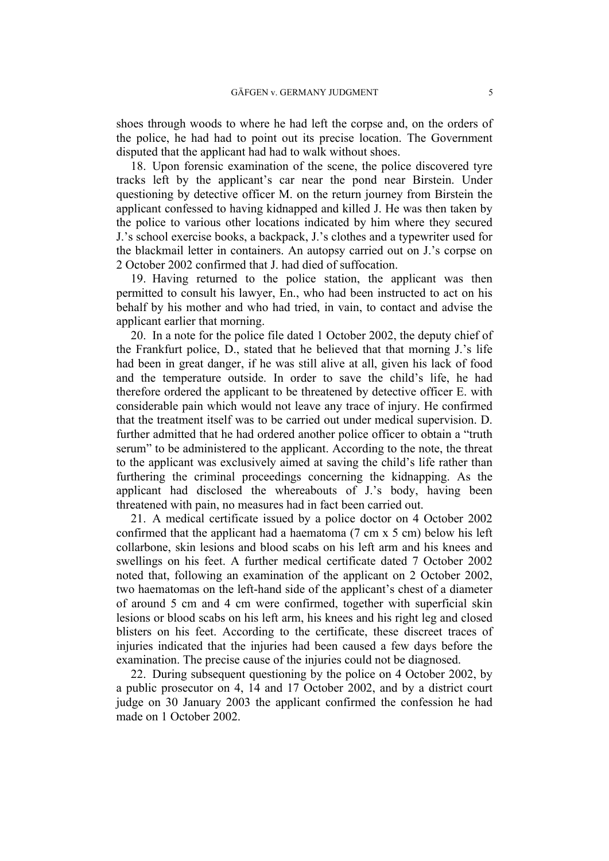shoes through woods to where he had left the corpse and, on the orders of the police, he had had to point out its precise location. The Government disputed that the applicant had had to walk without shoes.

18. Upon forensic examination of the scene, the police discovered tyre tracks left by the applicant's car near the pond near Birstein. Under questioning by detective officer M. on the return journey from Birstein the applicant confessed to having kidnapped and killed J. He was then taken by the police to various other locations indicated by him where they secured J.'s school exercise books, a backpack, J.'s clothes and a typewriter used for the blackmail letter in containers. An autopsy carried out on J.'s corpse on 2 October 2002 confirmed that J. had died of suffocation.

19. Having returned to the police station, the applicant was then permitted to consult his lawyer, En., who had been instructed to act on his behalf by his mother and who had tried, in vain, to contact and advise the applicant earlier that morning.

20. In a note for the police file dated 1 October 2002, the deputy chief of the Frankfurt police, D., stated that he believed that that morning J.'s life had been in great danger, if he was still alive at all, given his lack of food and the temperature outside. In order to save the child's life, he had therefore ordered the applicant to be threatened by detective officer E. with considerable pain which would not leave any trace of injury. He confirmed that the treatment itself was to be carried out under medical supervision. D. further admitted that he had ordered another police officer to obtain a "truth serum" to be administered to the applicant. According to the note, the threat to the applicant was exclusively aimed at saving the child's life rather than furthering the criminal proceedings concerning the kidnapping. As the applicant had disclosed the whereabouts of J.'s body, having been threatened with pain, no measures had in fact been carried out.

21. A medical certificate issued by a police doctor on 4 October 2002 confirmed that the applicant had a haematoma (7 cm x 5 cm) below his left collarbone, skin lesions and blood scabs on his left arm and his knees and swellings on his feet. A further medical certificate dated 7 October 2002 noted that, following an examination of the applicant on 2 October 2002, two haematomas on the left-hand side of the applicant's chest of a diameter of around 5 cm and 4 cm were confirmed, together with superficial skin lesions or blood scabs on his left arm, his knees and his right leg and closed blisters on his feet. According to the certificate, these discreet traces of injuries indicated that the injuries had been caused a few days before the examination. The precise cause of the injuries could not be diagnosed.

22. During subsequent questioning by the police on 4 October 2002, by a public prosecutor on 4, 14 and 17 October 2002, and by a district court judge on 30 January 2003 the applicant confirmed the confession he had made on 1 October 2002.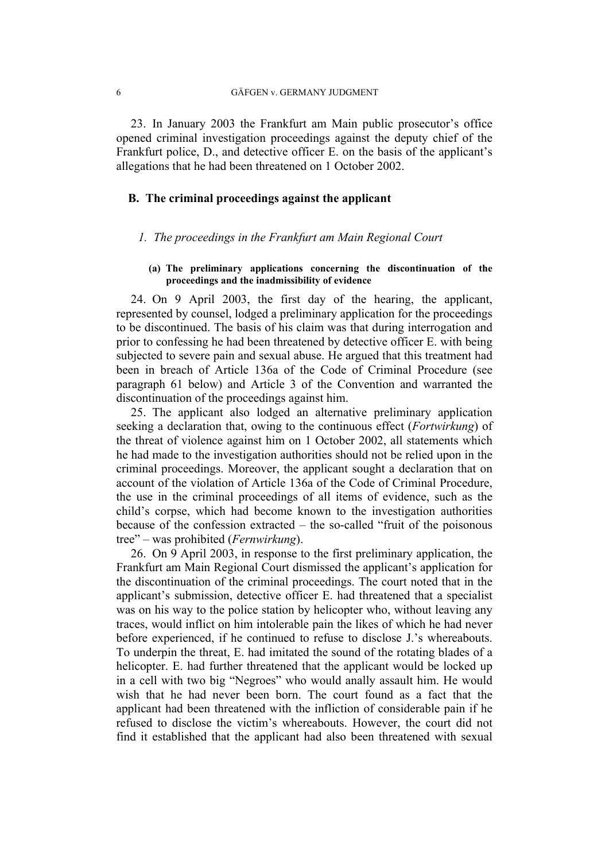23. In January 2003 the Frankfurt am Main public prosecutor's office opened criminal investigation proceedings against the deputy chief of the Frankfurt police, D., and detective officer E. on the basis of the applicant's allegations that he had been threatened on 1 October 2002.

## **B. The criminal proceedings against the applicant**

#### *1. The proceedings in the Frankfurt am Main Regional Court*

## **(a) The preliminary applications concerning the discontinuation of the proceedings and the inadmissibility of evidence**

24. On 9 April 2003, the first day of the hearing, the applicant, represented by counsel, lodged a preliminary application for the proceedings to be discontinued. The basis of his claim was that during interrogation and prior to confessing he had been threatened by detective officer E. with being subjected to severe pain and sexual abuse. He argued that this treatment had been in breach of Article 136a of the Code of Criminal Procedure (see paragraph 61 below) and Article 3 of the Convention and warranted the discontinuation of the proceedings against him.

25. The applicant also lodged an alternative preliminary application seeking a declaration that, owing to the continuous effect (*Fortwirkung*) of the threat of violence against him on 1 October 2002, all statements which he had made to the investigation authorities should not be relied upon in the criminal proceedings. Moreover, the applicant sought a declaration that on account of the violation of Article 136a of the Code of Criminal Procedure, the use in the criminal proceedings of all items of evidence, such as the child's corpse, which had become known to the investigation authorities because of the confession extracted – the so-called "fruit of the poisonous tree" – was prohibited (*Fernwirkung*).

26. On 9 April 2003, in response to the first preliminary application, the Frankfurt am Main Regional Court dismissed the applicant's application for the discontinuation of the criminal proceedings. The court noted that in the applicant's submission, detective officer E. had threatened that a specialist was on his way to the police station by helicopter who, without leaving any traces, would inflict on him intolerable pain the likes of which he had never before experienced, if he continued to refuse to disclose J.'s whereabouts. To underpin the threat, E. had imitated the sound of the rotating blades of a helicopter. E. had further threatened that the applicant would be locked up in a cell with two big "Negroes" who would anally assault him. He would wish that he had never been born. The court found as a fact that the applicant had been threatened with the infliction of considerable pain if he refused to disclose the victim's whereabouts. However, the court did not find it established that the applicant had also been threatened with sexual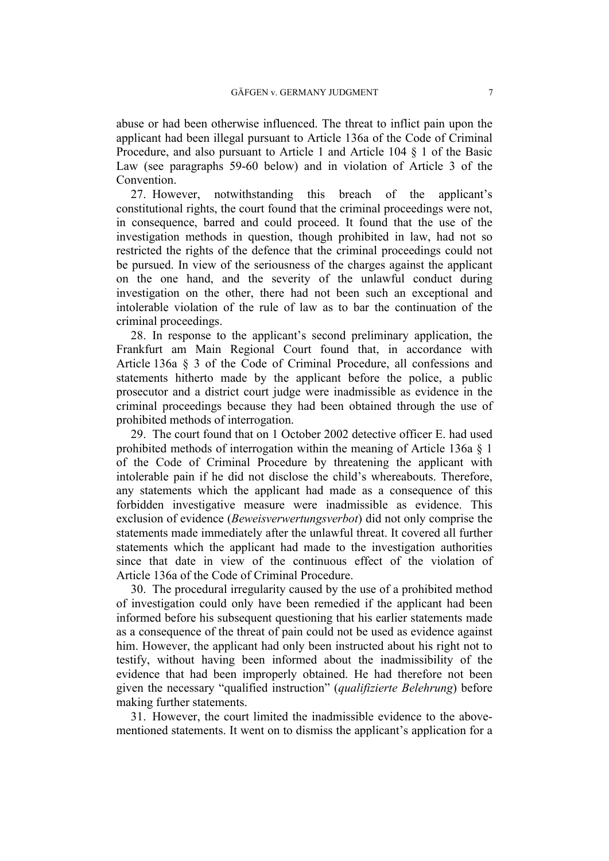abuse or had been otherwise influenced. The threat to inflict pain upon the applicant had been illegal pursuant to Article 136a of the Code of Criminal Procedure, and also pursuant to Article 1 and Article 104 § 1 of the Basic Law (see paragraphs 59-60 below) and in violation of Article 3 of the Convention.

27. However, notwithstanding this breach of the applicant's constitutional rights, the court found that the criminal proceedings were not, in consequence, barred and could proceed. It found that the use of the investigation methods in question, though prohibited in law, had not so restricted the rights of the defence that the criminal proceedings could not be pursued. In view of the seriousness of the charges against the applicant on the one hand, and the severity of the unlawful conduct during investigation on the other, there had not been such an exceptional and intolerable violation of the rule of law as to bar the continuation of the criminal proceedings.

28. In response to the applicant's second preliminary application, the Frankfurt am Main Regional Court found that, in accordance with Article 136a § 3 of the Code of Criminal Procedure, all confessions and statements hitherto made by the applicant before the police, a public prosecutor and a district court judge were inadmissible as evidence in the criminal proceedings because they had been obtained through the use of prohibited methods of interrogation.

29. The court found that on 1 October 2002 detective officer E. had used prohibited methods of interrogation within the meaning of Article 136a § 1 of the Code of Criminal Procedure by threatening the applicant with intolerable pain if he did not disclose the child's whereabouts. Therefore, any statements which the applicant had made as a consequence of this forbidden investigative measure were inadmissible as evidence. This exclusion of evidence (*Beweisverwertungsverbot*) did not only comprise the statements made immediately after the unlawful threat. It covered all further statements which the applicant had made to the investigation authorities since that date in view of the continuous effect of the violation of Article 136a of the Code of Criminal Procedure.

30. The procedural irregularity caused by the use of a prohibited method of investigation could only have been remedied if the applicant had been informed before his subsequent questioning that his earlier statements made as a consequence of the threat of pain could not be used as evidence against him. However, the applicant had only been instructed about his right not to testify, without having been informed about the inadmissibility of the evidence that had been improperly obtained. He had therefore not been given the necessary "qualified instruction" (*qualifizierte Belehrung*) before making further statements.

31. However, the court limited the inadmissible evidence to the abovementioned statements. It went on to dismiss the applicant's application for a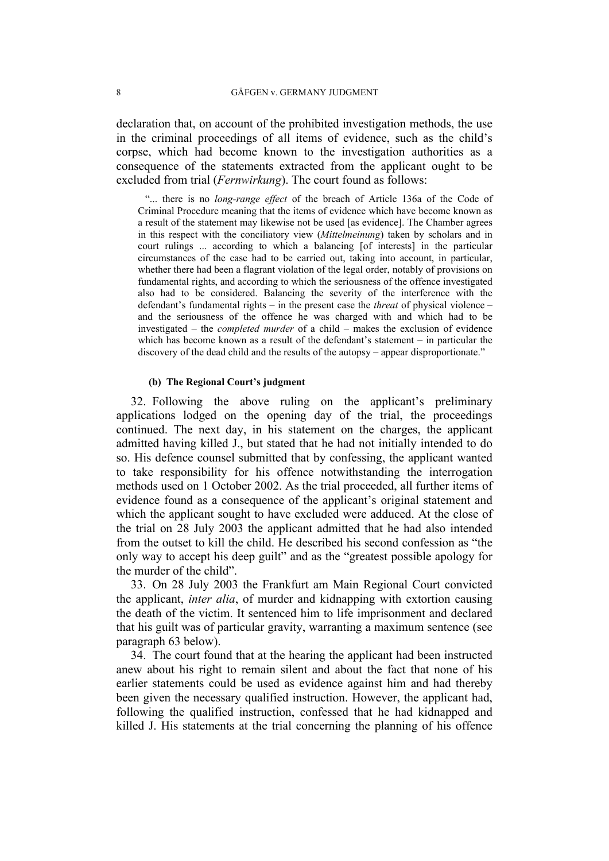declaration that, on account of the prohibited investigation methods, the use in the criminal proceedings of all items of evidence, such as the child's corpse, which had become known to the investigation authorities as a consequence of the statements extracted from the applicant ought to be excluded from trial (*Fernwirkung*). The court found as follows:

"... there is no *long-range effect* of the breach of Article 136a of the Code of Criminal Procedure meaning that the items of evidence which have become known as a result of the statement may likewise not be used [as evidence]. The Chamber agrees in this respect with the conciliatory view (*Mittelmeinung*) taken by scholars and in court rulings ... according to which a balancing [of interests] in the particular circumstances of the case had to be carried out, taking into account, in particular, whether there had been a flagrant violation of the legal order, notably of provisions on fundamental rights, and according to which the seriousness of the offence investigated also had to be considered. Balancing the severity of the interference with the defendant's fundamental rights – in the present case the *threat* of physical violence – and the seriousness of the offence he was charged with and which had to be investigated – the *completed murder* of a child – makes the exclusion of evidence which has become known as a result of the defendant's statement – in particular the discovery of the dead child and the results of the autopsy – appear disproportionate."

#### **(b) The Regional Court's judgment**

32. Following the above ruling on the applicant's preliminary applications lodged on the opening day of the trial, the proceedings continued. The next day, in his statement on the charges, the applicant admitted having killed J., but stated that he had not initially intended to do so. His defence counsel submitted that by confessing, the applicant wanted to take responsibility for his offence notwithstanding the interrogation methods used on 1 October 2002. As the trial proceeded, all further items of evidence found as a consequence of the applicant's original statement and which the applicant sought to have excluded were adduced. At the close of the trial on 28 July 2003 the applicant admitted that he had also intended from the outset to kill the child. He described his second confession as "the only way to accept his deep guilt" and as the "greatest possible apology for the murder of the child".

33. On 28 July 2003 the Frankfurt am Main Regional Court convicted the applicant, *inter alia*, of murder and kidnapping with extortion causing the death of the victim. It sentenced him to life imprisonment and declared that his guilt was of particular gravity, warranting a maximum sentence (see paragraph 63 below).

34. The court found that at the hearing the applicant had been instructed anew about his right to remain silent and about the fact that none of his earlier statements could be used as evidence against him and had thereby been given the necessary qualified instruction. However, the applicant had, following the qualified instruction, confessed that he had kidnapped and killed J. His statements at the trial concerning the planning of his offence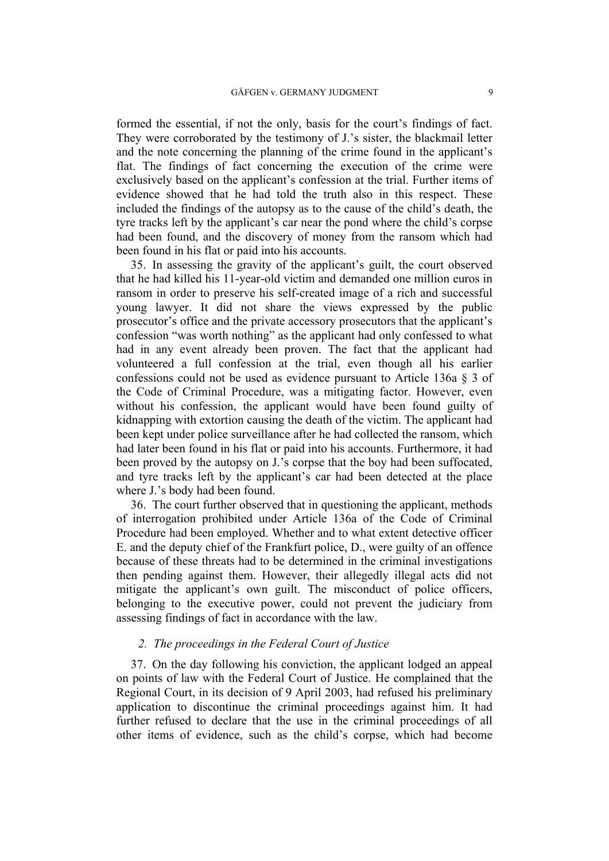formed the essential, if not the only, basis for the court's findings of fact. They were corroborated by the testimony of J.'s sister, the blackmail letter and the note concerning the planning of the crime found in the applicant's flat. The findings of fact concerning the execution of the crime were exclusively based on the applicant's confession at the trial. Further items of evidence showed that he had told the truth also in this respect. These included the findings of the autopsy as to the cause of the child's death, the tyre tracks left by the applicant's car near the pond where the child's corpse had been found, and the discovery of money from the ransom which had been found in his flat or paid into his accounts.

35. In assessing the gravity of the applicant's guilt, the court observed that he had killed his 11-year-old victim and demanded one million euros in ransom in order to preserve his self-created image of a rich and successful young lawyer. It did not share the views expressed by the public prosecutor's office and the private accessory prosecutors that the applicant's confession "was worth nothing" as the applicant had only confessed to what had in any event already been proven. The fact that the applicant had volunteered a full confession at the trial, even though all his earlier confessions could not be used as evidence pursuant to Article 136a § 3 of the Code of Criminal Procedure, was a mitigating factor. However, even without his confession, the applicant would have been found guilty of kidnapping with extortion causing the death of the victim. The applicant had been kept under police surveillance after he had collected the ransom, which had later been found in his flat or paid into his accounts. Furthermore, it had been proved by the autopsy on J.'s corpse that the boy had been suffocated, and tyre tracks left by the applicant's car had been detected at the place where J.'s body had been found.

36. The court further observed that in questioning the applicant, methods of interrogation prohibited under Article 136a of the Code of Criminal Procedure had been employed. Whether and to what extent detective officer E. and the deputy chief of the Frankfurt police, D., were guilty of an offence because of these threats had to be determined in the criminal investigations then pending against them. However, their allegedly illegal acts did not mitigate the applicant's own guilt. The misconduct of police officers, belonging to the executive power, could not prevent the judiciary from assessing findings of fact in accordance with the law.

## *2. The proceedings in the Federal Court of Justice*

37. On the day following his conviction, the applicant lodged an appeal on points of law with the Federal Court of Justice. He complained that the Regional Court, in its decision of 9 April 2003, had refused his preliminary application to discontinue the criminal proceedings against him. It had further refused to declare that the use in the criminal proceedings of all other items of evidence, such as the child's corpse, which had become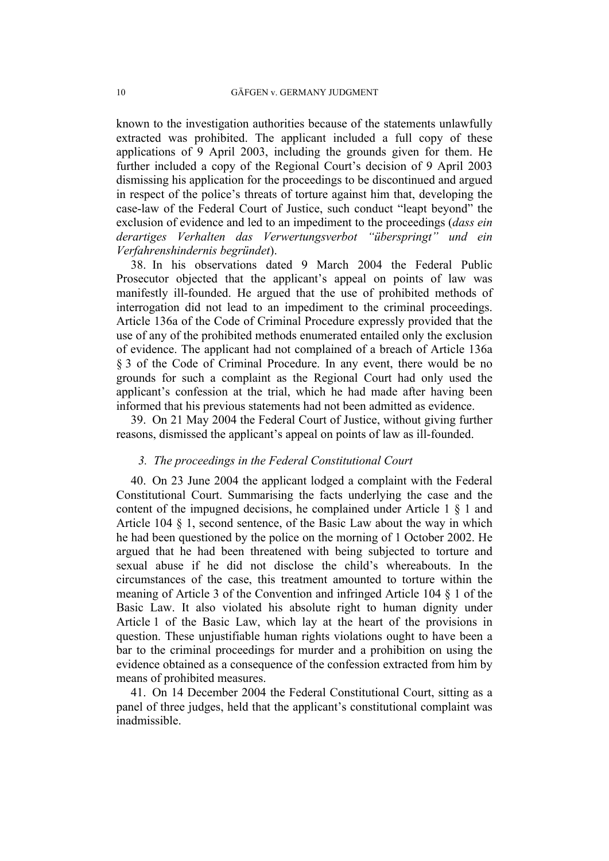known to the investigation authorities because of the statements unlawfully extracted was prohibited. The applicant included a full copy of these applications of 9 April 2003, including the grounds given for them. He further included a copy of the Regional Court's decision of 9 April 2003 dismissing his application for the proceedings to be discontinued and argued in respect of the police's threats of torture against him that, developing the case-law of the Federal Court of Justice, such conduct "leapt beyond" the exclusion of evidence and led to an impediment to the proceedings (*dass ein derartiges Verhalten das Verwertungsverbot "überspringt" und ein Verfahrenshindernis begründet*).

38. In his observations dated 9 March 2004 the Federal Public Prosecutor objected that the applicant's appeal on points of law was manifestly ill-founded. He argued that the use of prohibited methods of interrogation did not lead to an impediment to the criminal proceedings. Article 136a of the Code of Criminal Procedure expressly provided that the use of any of the prohibited methods enumerated entailed only the exclusion of evidence. The applicant had not complained of a breach of Article 136a § 3 of the Code of Criminal Procedure. In any event, there would be no grounds for such a complaint as the Regional Court had only used the applicant's confession at the trial, which he had made after having been informed that his previous statements had not been admitted as evidence.

39. On 21 May 2004 the Federal Court of Justice, without giving further reasons, dismissed the applicant's appeal on points of law as ill-founded.

#### *3. The proceedings in the Federal Constitutional Court*

40. On 23 June 2004 the applicant lodged a complaint with the Federal Constitutional Court. Summarising the facts underlying the case and the content of the impugned decisions, he complained under Article 1 § 1 and Article 104 § 1, second sentence, of the Basic Law about the way in which he had been questioned by the police on the morning of 1 October 2002. He argued that he had been threatened with being subjected to torture and sexual abuse if he did not disclose the child's whereabouts. In the circumstances of the case, this treatment amounted to torture within the meaning of Article 3 of the Convention and infringed Article 104 § 1 of the Basic Law. It also violated his absolute right to human dignity under Article 1 of the Basic Law, which lay at the heart of the provisions in question. These unjustifiable human rights violations ought to have been a bar to the criminal proceedings for murder and a prohibition on using the evidence obtained as a consequence of the confession extracted from him by means of prohibited measures.

41. On 14 December 2004 the Federal Constitutional Court, sitting as a panel of three judges, held that the applicant's constitutional complaint was inadmissible.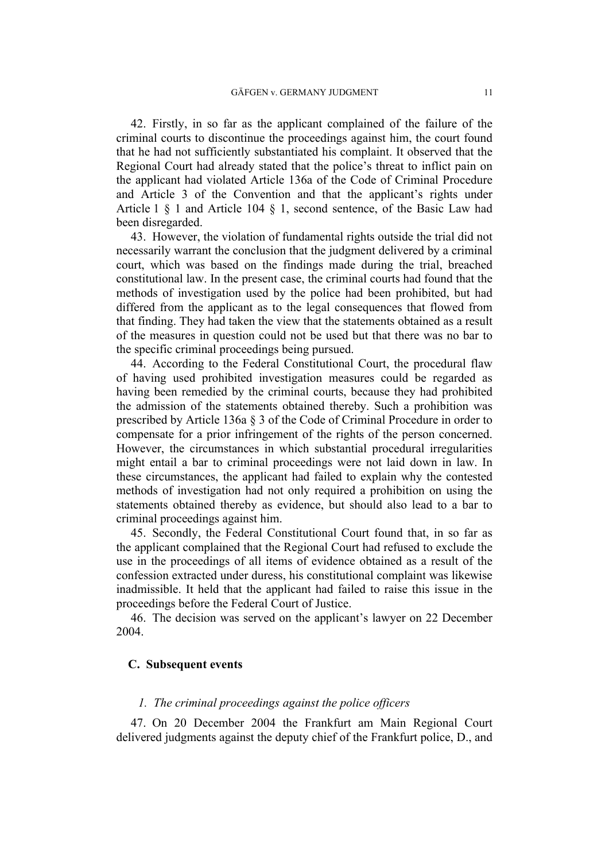42. Firstly, in so far as the applicant complained of the failure of the criminal courts to discontinue the proceedings against him, the court found that he had not sufficiently substantiated his complaint. It observed that the Regional Court had already stated that the police's threat to inflict pain on the applicant had violated Article 136a of the Code of Criminal Procedure and Article 3 of the Convention and that the applicant's rights under Article 1 § 1 and Article 104 § 1, second sentence, of the Basic Law had been disregarded.

43. However, the violation of fundamental rights outside the trial did not necessarily warrant the conclusion that the judgment delivered by a criminal court, which was based on the findings made during the trial, breached constitutional law. In the present case, the criminal courts had found that the methods of investigation used by the police had been prohibited, but had differed from the applicant as to the legal consequences that flowed from that finding. They had taken the view that the statements obtained as a result of the measures in question could not be used but that there was no bar to the specific criminal proceedings being pursued.

44. According to the Federal Constitutional Court, the procedural flaw of having used prohibited investigation measures could be regarded as having been remedied by the criminal courts, because they had prohibited the admission of the statements obtained thereby. Such a prohibition was prescribed by Article 136a § 3 of the Code of Criminal Procedure in order to compensate for a prior infringement of the rights of the person concerned. However, the circumstances in which substantial procedural irregularities might entail a bar to criminal proceedings were not laid down in law. In these circumstances, the applicant had failed to explain why the contested methods of investigation had not only required a prohibition on using the statements obtained thereby as evidence, but should also lead to a bar to criminal proceedings against him.

45. Secondly, the Federal Constitutional Court found that, in so far as the applicant complained that the Regional Court had refused to exclude the use in the proceedings of all items of evidence obtained as a result of the confession extracted under duress, his constitutional complaint was likewise inadmissible. It held that the applicant had failed to raise this issue in the proceedings before the Federal Court of Justice.

46. The decision was served on the applicant's lawyer on 22 December 2004.

## **C. Subsequent events**

## *1. The criminal proceedings against the police officers*

47. On 20 December 2004 the Frankfurt am Main Regional Court delivered judgments against the deputy chief of the Frankfurt police, D., and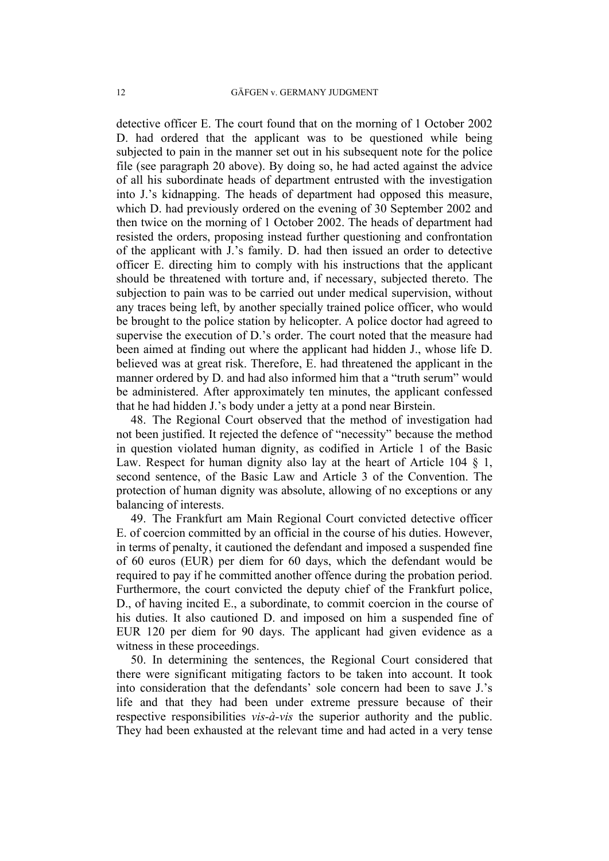detective officer E. The court found that on the morning of 1 October 2002 D. had ordered that the applicant was to be questioned while being subjected to pain in the manner set out in his subsequent note for the police file (see paragraph 20 above). By doing so, he had acted against the advice of all his subordinate heads of department entrusted with the investigation into J.'s kidnapping. The heads of department had opposed this measure, which D. had previously ordered on the evening of 30 September 2002 and then twice on the morning of 1 October 2002. The heads of department had resisted the orders, proposing instead further questioning and confrontation of the applicant with J.'s family. D. had then issued an order to detective officer E. directing him to comply with his instructions that the applicant should be threatened with torture and, if necessary, subjected thereto. The subjection to pain was to be carried out under medical supervision, without any traces being left, by another specially trained police officer, who would be brought to the police station by helicopter. A police doctor had agreed to supervise the execution of D.'s order. The court noted that the measure had been aimed at finding out where the applicant had hidden J., whose life D. believed was at great risk. Therefore, E. had threatened the applicant in the manner ordered by D. and had also informed him that a "truth serum" would be administered. After approximately ten minutes, the applicant confessed that he had hidden J.'s body under a jetty at a pond near Birstein.

48. The Regional Court observed that the method of investigation had not been justified. It rejected the defence of "necessity" because the method in question violated human dignity, as codified in Article 1 of the Basic Law. Respect for human dignity also lay at the heart of Article 104  $\S$  1, second sentence, of the Basic Law and Article 3 of the Convention. The protection of human dignity was absolute, allowing of no exceptions or any balancing of interests.

49. The Frankfurt am Main Regional Court convicted detective officer E. of coercion committed by an official in the course of his duties. However, in terms of penalty, it cautioned the defendant and imposed a suspended fine of 60 euros (EUR) per diem for 60 days, which the defendant would be required to pay if he committed another offence during the probation period. Furthermore, the court convicted the deputy chief of the Frankfurt police, D., of having incited E., a subordinate, to commit coercion in the course of his duties. It also cautioned D. and imposed on him a suspended fine of EUR 120 per diem for 90 days. The applicant had given evidence as a witness in these proceedings.

50. In determining the sentences, the Regional Court considered that there were significant mitigating factors to be taken into account. It took into consideration that the defendants' sole concern had been to save J.'s life and that they had been under extreme pressure because of their respective responsibilities *vis-à-vis* the superior authority and the public. They had been exhausted at the relevant time and had acted in a very tense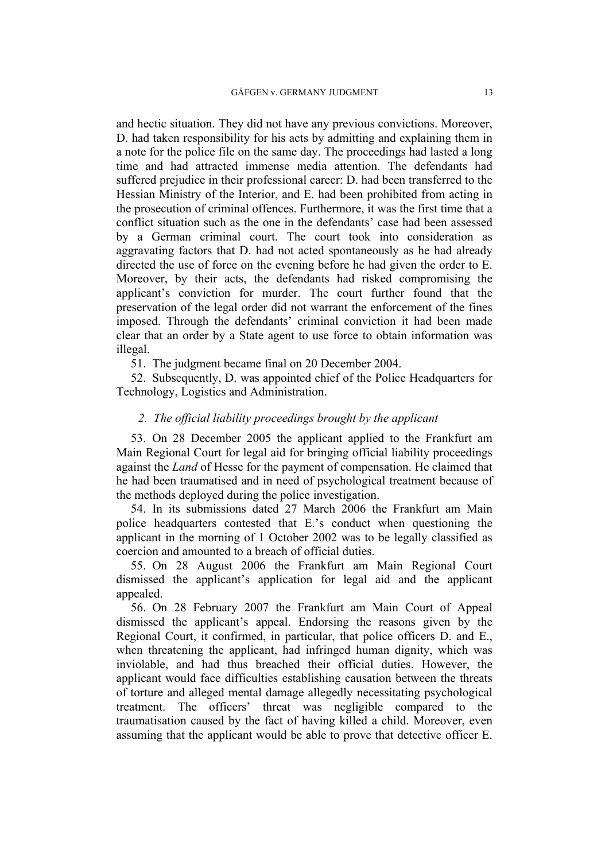and hectic situation. They did not have any previous convictions. Moreover, D. had taken responsibility for his acts by admitting and explaining them in a note for the police file on the same day. The proceedings had lasted a long time and had attracted immense media attention. The defendants had suffered prejudice in their professional career: D. had been transferred to the Hessian Ministry of the Interior, and E. had been prohibited from acting in the prosecution of criminal offences. Furthermore, it was the first time that a conflict situation such as the one in the defendants' case had been assessed by a German criminal court. The court took into consideration as aggravating factors that D. had not acted spontaneously as he had already directed the use of force on the evening before he had given the order to E. Moreover, by their acts, the defendants had risked compromising the applicant's conviction for murder. The court further found that the preservation of the legal order did not warrant the enforcement of the fines imposed. Through the defendants' criminal conviction it had been made clear that an order by a State agent to use force to obtain information was illegal.

51. The judgment became final on 20 December 2004.

52. Subsequently, D. was appointed chief of the Police Headquarters for Technology, Logistics and Administration.

## *2. The official liability proceedings brought by the applicant*

53. On 28 December 2005 the applicant applied to the Frankfurt am Main Regional Court for legal aid for bringing official liability proceedings against the *Land* of Hesse for the payment of compensation. He claimed that he had been traumatised and in need of psychological treatment because of the methods deployed during the police investigation.

54. In its submissions dated 27 March 2006 the Frankfurt am Main police headquarters contested that E.'s conduct when questioning the applicant in the morning of 1 October 2002 was to be legally classified as coercion and amounted to a breach of official duties.

55. On 28 August 2006 the Frankfurt am Main Regional Court dismissed the applicant's application for legal aid and the applicant appealed.

56. On 28 February 2007 the Frankfurt am Main Court of Appeal dismissed the applicant's appeal. Endorsing the reasons given by the Regional Court, it confirmed, in particular, that police officers D. and E., when threatening the applicant, had infringed human dignity, which was inviolable, and had thus breached their official duties. However, the applicant would face difficulties establishing causation between the threats of torture and alleged mental damage allegedly necessitating psychological treatment. The officers' threat was negligible compared to the traumatisation caused by the fact of having killed a child. Moreover, even assuming that the applicant would be able to prove that detective officer E.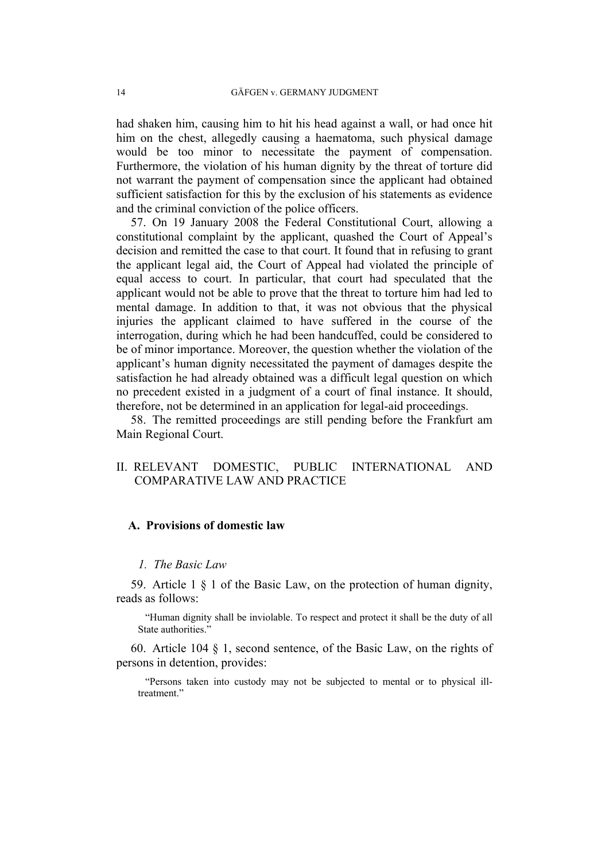had shaken him, causing him to hit his head against a wall, or had once hit him on the chest, allegedly causing a haematoma, such physical damage would be too minor to necessitate the payment of compensation. Furthermore, the violation of his human dignity by the threat of torture did not warrant the payment of compensation since the applicant had obtained sufficient satisfaction for this by the exclusion of his statements as evidence and the criminal conviction of the police officers.

57. On 19 January 2008 the Federal Constitutional Court, allowing a constitutional complaint by the applicant, quashed the Court of Appeal's decision and remitted the case to that court. It found that in refusing to grant the applicant legal aid, the Court of Appeal had violated the principle of equal access to court. In particular, that court had speculated that the applicant would not be able to prove that the threat to torture him had led to mental damage. In addition to that, it was not obvious that the physical injuries the applicant claimed to have suffered in the course of the interrogation, during which he had been handcuffed, could be considered to be of minor importance. Moreover, the question whether the violation of the applicant's human dignity necessitated the payment of damages despite the satisfaction he had already obtained was a difficult legal question on which no precedent existed in a judgment of a court of final instance. It should, therefore, not be determined in an application for legal-aid proceedings.

58. The remitted proceedings are still pending before the Frankfurt am Main Regional Court.

## II. RELEVANT DOMESTIC, PUBLIC INTERNATIONAL AND COMPARATIVE LAW AND PRACTICE

## **A. Provisions of domestic law**

#### *1. The Basic Law*

59. Article 1 § 1 of the Basic Law, on the protection of human dignity, reads as follows:

"Human dignity shall be inviolable. To respect and protect it shall be the duty of all State authorities.'

60. Article 104 § 1, second sentence, of the Basic Law, on the rights of persons in detention, provides:

"Persons taken into custody may not be subjected to mental or to physical illtreatment."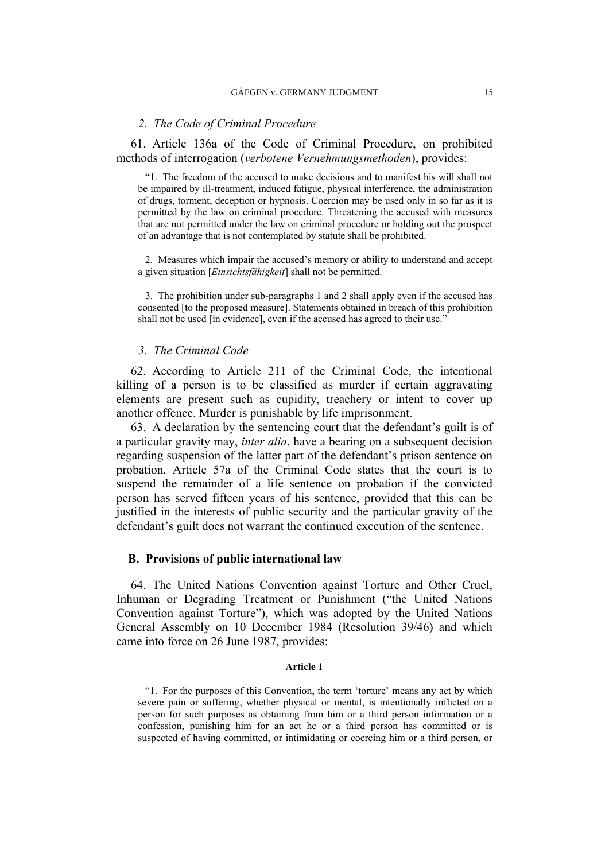#### *2. The Code of Criminal Procedure*

61. Article 136a of the Code of Criminal Procedure, on prohibited methods of interrogation (*verbotene Vernehmungsmethoden*), provides:

"1. The freedom of the accused to make decisions and to manifest his will shall not be impaired by ill-treatment, induced fatigue, physical interference, the administration of drugs, torment, deception or hypnosis. Coercion may be used only in so far as it is permitted by the law on criminal procedure. Threatening the accused with measures that are not permitted under the law on criminal procedure or holding out the prospect of an advantage that is not contemplated by statute shall be prohibited.

2. Measures which impair the accused's memory or ability to understand and accept a given situation [*Einsichtsfähigkeit*] shall not be permitted.

3. The prohibition under sub-paragraphs 1 and 2 shall apply even if the accused has consented [to the proposed measure]. Statements obtained in breach of this prohibition shall not be used [in evidence], even if the accused has agreed to their use."

## *3. The Criminal Code*

62. According to Article 211 of the Criminal Code, the intentional killing of a person is to be classified as murder if certain aggravating elements are present such as cupidity, treachery or intent to cover up another offence. Murder is punishable by life imprisonment.

63. A declaration by the sentencing court that the defendant's guilt is of a particular gravity may, *inter alia*, have a bearing on a subsequent decision regarding suspension of the latter part of the defendant's prison sentence on probation. Article 57a of the Criminal Code states that the court is to suspend the remainder of a life sentence on probation if the convicted person has served fifteen years of his sentence, provided that this can be justified in the interests of public security and the particular gravity of the defendant's guilt does not warrant the continued execution of the sentence.

#### **B. Provisions of public international law**

64. The United Nations Convention against Torture and Other Cruel, Inhuman or Degrading Treatment or Punishment ("the United Nations Convention against Torture"), which was adopted by the United Nations General Assembly on 10 December 1984 (Resolution 39/46) and which came into force on 26 June 1987, provides:

#### **Article 1**

<sup>&</sup>quot;1. For the purposes of this Convention, the term 'torture' means any act by which severe pain or suffering, whether physical or mental, is intentionally inflicted on a person for such purposes as obtaining from him or a third person information or a confession, punishing him for an act he or a third person has committed or is suspected of having committed, or intimidating or coercing him or a third person, or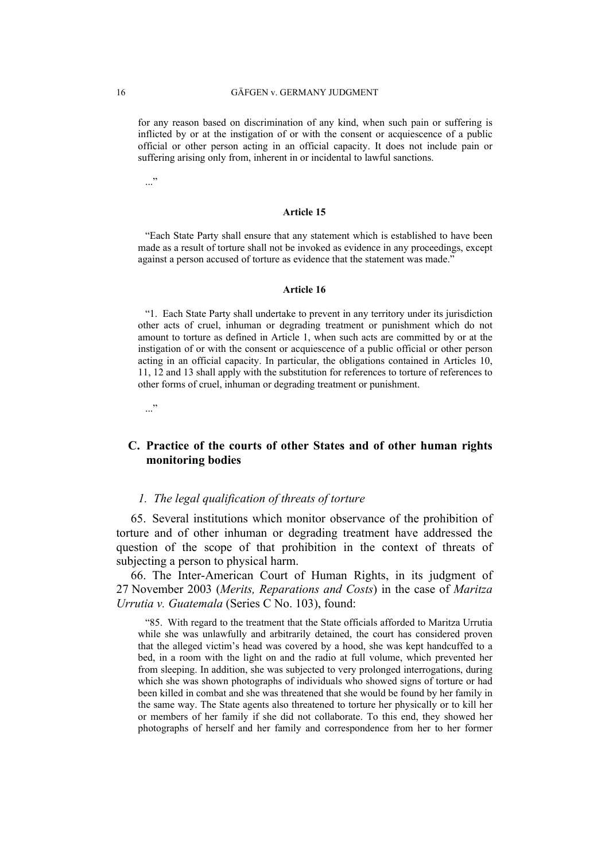for any reason based on discrimination of any kind, when such pain or suffering is inflicted by or at the instigation of or with the consent or acquiescence of a public official or other person acting in an official capacity. It does not include pain or suffering arising only from, inherent in or incidental to lawful sanctions.

..."

#### **Article 15**

"Each State Party shall ensure that any statement which is established to have been made as a result of torture shall not be invoked as evidence in any proceedings, except against a person accused of torture as evidence that the statement was made.'

#### **Article 16**

"1. Each State Party shall undertake to prevent in any territory under its jurisdiction other acts of cruel, inhuman or degrading treatment or punishment which do not amount to torture as defined in Article 1, when such acts are committed by or at the instigation of or with the consent or acquiescence of a public official or other person acting in an official capacity. In particular, the obligations contained in Articles 10, 11, 12 and 13 shall apply with the substitution for references to torture of references to other forms of cruel, inhuman or degrading treatment or punishment.

..."

## **C. Practice of the courts of other States and of other human rights monitoring bodies**

## *1. The legal qualification of threats of torture*

65. Several institutions which monitor observance of the prohibition of torture and of other inhuman or degrading treatment have addressed the question of the scope of that prohibition in the context of threats of subjecting a person to physical harm.

66. The Inter-American Court of Human Rights, in its judgment of 27 November 2003 (*Merits, Reparations and Costs*) in the case of *Maritza Urrutia v. Guatemala* (Series C No. 103), found:

"85. With regard to the treatment that the State officials afforded to Maritza Urrutia while she was unlawfully and arbitrarily detained, the court has considered proven that the alleged victim's head was covered by a hood, she was kept handcuffed to a bed, in a room with the light on and the radio at full volume, which prevented her from sleeping. In addition, she was subjected to very prolonged interrogations, during which she was shown photographs of individuals who showed signs of torture or had been killed in combat and she was threatened that she would be found by her family in the same way. The State agents also threatened to torture her physically or to kill her or members of her family if she did not collaborate. To this end, they showed her photographs of herself and her family and correspondence from her to her former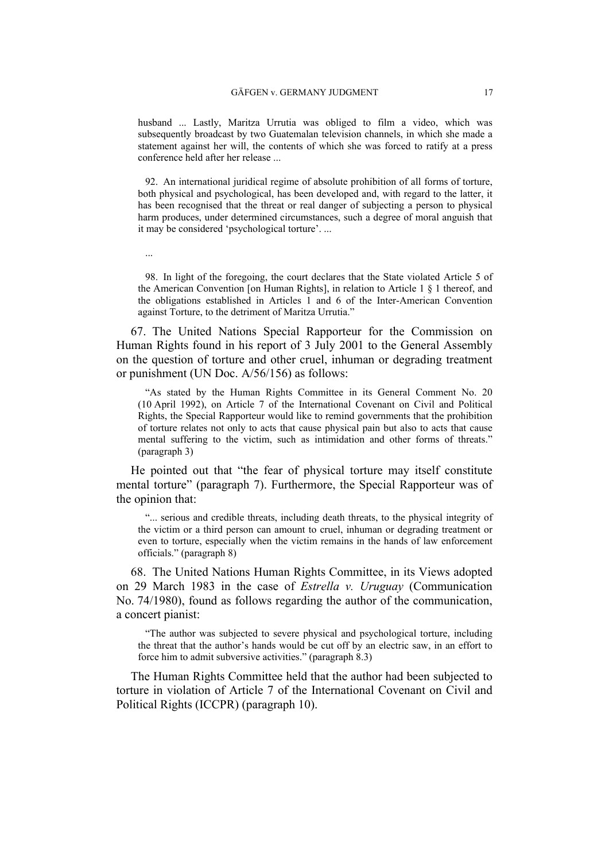husband ... Lastly, Maritza Urrutia was obliged to film a video, which was subsequently broadcast by two Guatemalan television channels, in which she made a statement against her will, the contents of which she was forced to ratify at a press conference held after her release ...

92. An international juridical regime of absolute prohibition of all forms of torture, both physical and psychological, has been developed and, with regard to the latter, it has been recognised that the threat or real danger of subjecting a person to physical harm produces, under determined circumstances, such a degree of moral anguish that it may be considered 'psychological torture'. ...

...

98. In light of the foregoing, the court declares that the State violated Article 5 of the American Convention [on Human Rights], in relation to Article 1 § 1 thereof, and the obligations established in Articles 1 and 6 of the Inter-American Convention against Torture, to the detriment of Maritza Urrutia."

67. The United Nations Special Rapporteur for the Commission on Human Rights found in his report of 3 July 2001 to the General Assembly on the question of torture and other cruel, inhuman or degrading treatment or punishment (UN Doc. A/56/156) as follows:

"As stated by the Human Rights Committee in its General Comment No. 20 (10 April 1992), on Article 7 of the International Covenant on Civil and Political Rights, the Special Rapporteur would like to remind governments that the prohibition of torture relates not only to acts that cause physical pain but also to acts that cause mental suffering to the victim, such as intimidation and other forms of threats." (paragraph 3)

He pointed out that "the fear of physical torture may itself constitute mental torture" (paragraph 7). Furthermore, the Special Rapporteur was of the opinion that:

"... serious and credible threats, including death threats, to the physical integrity of the victim or a third person can amount to cruel, inhuman or degrading treatment or even to torture, especially when the victim remains in the hands of law enforcement officials." (paragraph 8)

68. The United Nations Human Rights Committee, in its Views adopted on 29 March 1983 in the case of *Estrella v. Uruguay* (Communication No. 74/1980), found as follows regarding the author of the communication, a concert pianist:

"The author was subjected to severe physical and psychological torture, including the threat that the author's hands would be cut off by an electric saw, in an effort to force him to admit subversive activities." (paragraph 8.3)

The Human Rights Committee held that the author had been subjected to torture in violation of Article 7 of the International Covenant on Civil and Political Rights (ICCPR) (paragraph 10).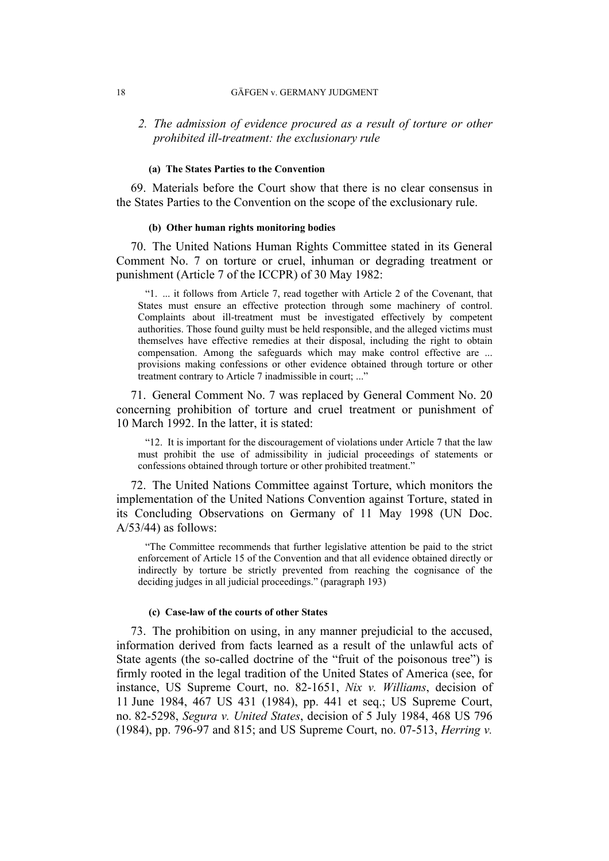#### 18 GÄFGEN v. GERMANY JUDGMENT

*2. The admission of evidence procured as a result of torture or other prohibited ill-treatment: the exclusionary rule*

#### **(a) The States Parties to the Convention**

69. Materials before the Court show that there is no clear consensus in the States Parties to the Convention on the scope of the exclusionary rule.

#### **(b) Other human rights monitoring bodies**

70. The United Nations Human Rights Committee stated in its General Comment No. 7 on torture or cruel, inhuman or degrading treatment or punishment (Article 7 of the ICCPR) of 30 May 1982:

"1. ... it follows from Article 7, read together with Article 2 of the Covenant, that States must ensure an effective protection through some machinery of control. Complaints about ill-treatment must be investigated effectively by competent authorities. Those found guilty must be held responsible, and the alleged victims must themselves have effective remedies at their disposal, including the right to obtain compensation. Among the safeguards which may make control effective are ... provisions making confessions or other evidence obtained through torture or other treatment contrary to Article 7 inadmissible in court; ..."

71. General Comment No. 7 was replaced by General Comment No. 20 concerning prohibition of torture and cruel treatment or punishment of 10 March 1992. In the latter, it is stated:

"12. It is important for the discouragement of violations under Article 7 that the law must prohibit the use of admissibility in judicial proceedings of statements or confessions obtained through torture or other prohibited treatment."

72. The United Nations Committee against Torture, which monitors the implementation of the United Nations Convention against Torture, stated in its Concluding Observations on Germany of 11 May 1998 (UN Doc. A/53/44) as follows:

"The Committee recommends that further legislative attention be paid to the strict enforcement of Article 15 of the Convention and that all evidence obtained directly or indirectly by torture be strictly prevented from reaching the cognisance of the deciding judges in all judicial proceedings." (paragraph 193)

#### **(c) Case-law of the courts of other States**

73. The prohibition on using, in any manner prejudicial to the accused, information derived from facts learned as a result of the unlawful acts of State agents (the so-called doctrine of the "fruit of the poisonous tree") is firmly rooted in the legal tradition of the United States of America (see, for instance, US Supreme Court, no. 82-1651, *Nix v. Williams*, decision of 11 June 1984, 467 US 431 (1984), pp. 441 et seq.; US Supreme Court, no. 82-5298, *Segura v. United States*, decision of 5 July 1984, 468 US 796 (1984), pp. 796-97 and 815; and US Supreme Court, no. 07-513, *Herring v.*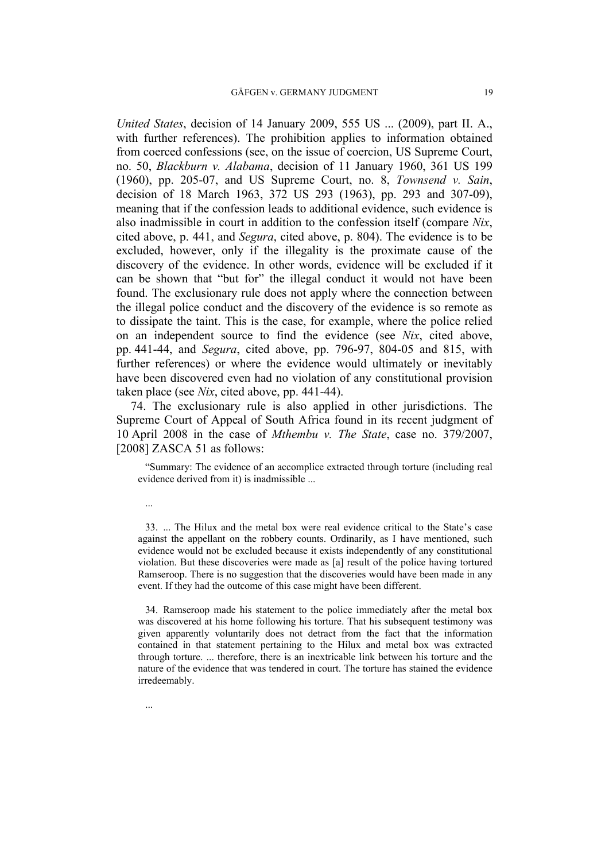*United States*, decision of 14 January 2009, 555 US ... (2009), part II. A., with further references). The prohibition applies to information obtained from coerced confessions (see, on the issue of coercion, US Supreme Court, no. 50, *Blackburn v. Alabama*, decision of 11 January 1960, 361 US 199 (1960), pp. 205-07, and US Supreme Court, no. 8, *Townsend v. Sain*, decision of 18 March 1963, 372 US 293 (1963), pp. 293 and 307-09), meaning that if the confession leads to additional evidence, such evidence is also inadmissible in court in addition to the confession itself (compare *Nix*, cited above, p. 441, and *Segura*, cited above, p. 804). The evidence is to be excluded, however, only if the illegality is the proximate cause of the discovery of the evidence. In other words, evidence will be excluded if it can be shown that "but for" the illegal conduct it would not have been found. The exclusionary rule does not apply where the connection between the illegal police conduct and the discovery of the evidence is so remote as to dissipate the taint. This is the case, for example, where the police relied on an independent source to find the evidence (see *Nix*, cited above, pp. 441-44, and *Segura*, cited above, pp. 796-97, 804-05 and 815, with further references) or where the evidence would ultimately or inevitably have been discovered even had no violation of any constitutional provision taken place (see *Nix*, cited above, pp. 441-44).

74. The exclusionary rule is also applied in other jurisdictions. The Supreme Court of Appeal of South Africa found in its recent judgment of 10 April 2008 in the case of *Mthembu v. The State*, case no. 379/2007, [2008] ZASCA 51 as follows:

"Summary: The evidence of an accomplice extracted through torture (including real evidence derived from it) is inadmissible ...

...

...

33. ... The Hilux and the metal box were real evidence critical to the State's case against the appellant on the robbery counts. Ordinarily, as I have mentioned, such evidence would not be excluded because it exists independently of any constitutional violation. But these discoveries were made as [a] result of the police having tortured Ramseroop. There is no suggestion that the discoveries would have been made in any event. If they had the outcome of this case might have been different.

34. Ramseroop made his statement to the police immediately after the metal box was discovered at his home following his torture. That his subsequent testimony was given apparently voluntarily does not detract from the fact that the information contained in that statement pertaining to the Hilux and metal box was extracted through torture. ... therefore, there is an inextricable link between his torture and the nature of the evidence that was tendered in court. The torture has stained the evidence irredeemably.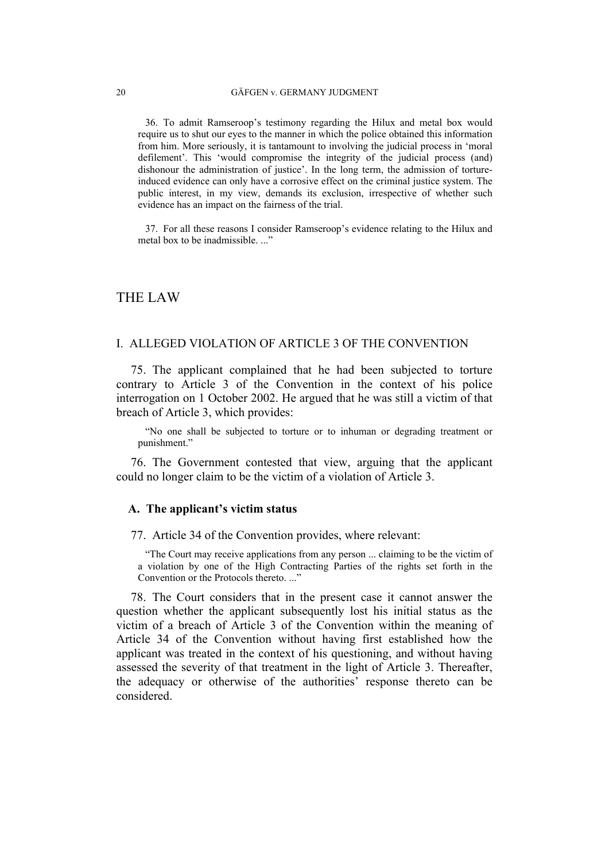36. To admit Ramseroop's testimony regarding the Hilux and metal box would require us to shut our eyes to the manner in which the police obtained this information from him. More seriously, it is tantamount to involving the judicial process in 'moral defilement'. This 'would compromise the integrity of the judicial process (and) dishonour the administration of justice'. In the long term, the admission of tortureinduced evidence can only have a corrosive effect on the criminal justice system. The public interest, in my view, demands its exclusion, irrespective of whether such evidence has an impact on the fairness of the trial.

37. For all these reasons I consider Ramseroop's evidence relating to the Hilux and metal box to be inadmissible. ..."

## THE LAW

## I. ALLEGED VIOLATION OF ARTICLE 3 OF THE CONVENTION

75. The applicant complained that he had been subjected to torture contrary to Article 3 of the Convention in the context of his police interrogation on 1 October 2002. He argued that he was still a victim of that breach of Article 3, which provides:

"No one shall be subjected to torture or to inhuman or degrading treatment or punishment."

76. The Government contested that view, arguing that the applicant could no longer claim to be the victim of a violation of Article 3.

#### **A. The applicant's victim status**

77. Article 34 of the Convention provides, where relevant:

"The Court may receive applications from any person ... claiming to be the victim of a violation by one of the High Contracting Parties of the rights set forth in the Convention or the Protocols thereto. ..."

78. The Court considers that in the present case it cannot answer the question whether the applicant subsequently lost his initial status as the victim of a breach of Article 3 of the Convention within the meaning of Article 34 of the Convention without having first established how the applicant was treated in the context of his questioning, and without having assessed the severity of that treatment in the light of Article 3. Thereafter, the adequacy or otherwise of the authorities' response thereto can be considered.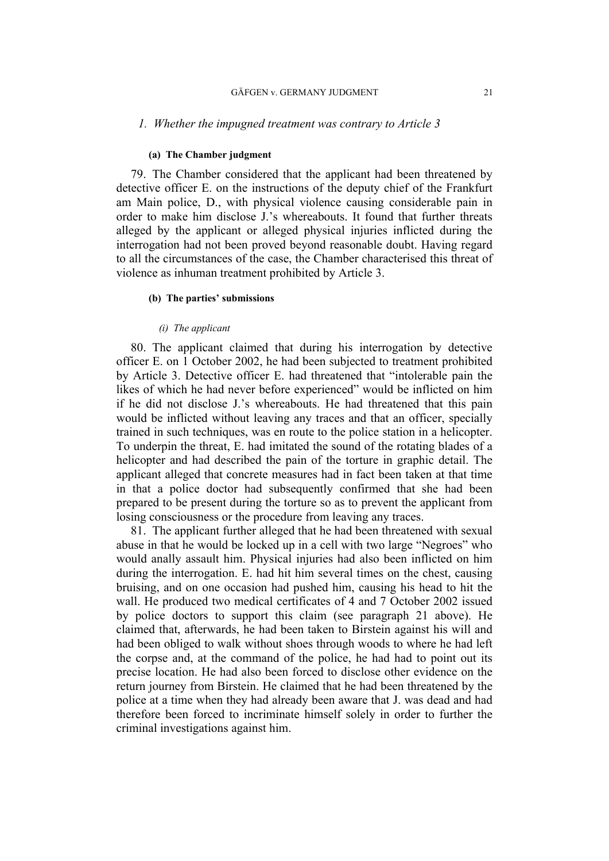## *1. Whether the impugned treatment was contrary to Article 3*

### **(a) The Chamber judgment**

79. The Chamber considered that the applicant had been threatened by detective officer E. on the instructions of the deputy chief of the Frankfurt am Main police, D., with physical violence causing considerable pain in order to make him disclose J.'s whereabouts. It found that further threats alleged by the applicant or alleged physical injuries inflicted during the interrogation had not been proved beyond reasonable doubt. Having regard to all the circumstances of the case, the Chamber characterised this threat of violence as inhuman treatment prohibited by Article 3.

## **(b) The parties' submissions**

### *(i) The applicant*

80. The applicant claimed that during his interrogation by detective officer E. on 1 October 2002, he had been subjected to treatment prohibited by Article 3. Detective officer E. had threatened that "intolerable pain the likes of which he had never before experienced" would be inflicted on him if he did not disclose J.'s whereabouts. He had threatened that this pain would be inflicted without leaving any traces and that an officer, specially trained in such techniques, was en route to the police station in a helicopter. To underpin the threat, E. had imitated the sound of the rotating blades of a helicopter and had described the pain of the torture in graphic detail. The applicant alleged that concrete measures had in fact been taken at that time in that a police doctor had subsequently confirmed that she had been prepared to be present during the torture so as to prevent the applicant from losing consciousness or the procedure from leaving any traces.

81. The applicant further alleged that he had been threatened with sexual abuse in that he would be locked up in a cell with two large "Negroes" who would anally assault him. Physical injuries had also been inflicted on him during the interrogation. E. had hit him several times on the chest, causing bruising, and on one occasion had pushed him, causing his head to hit the wall. He produced two medical certificates of 4 and 7 October 2002 issued by police doctors to support this claim (see paragraph 21 above). He claimed that, afterwards, he had been taken to Birstein against his will and had been obliged to walk without shoes through woods to where he had left the corpse and, at the command of the police, he had had to point out its precise location. He had also been forced to disclose other evidence on the return journey from Birstein. He claimed that he had been threatened by the police at a time when they had already been aware that J. was dead and had therefore been forced to incriminate himself solely in order to further the criminal investigations against him.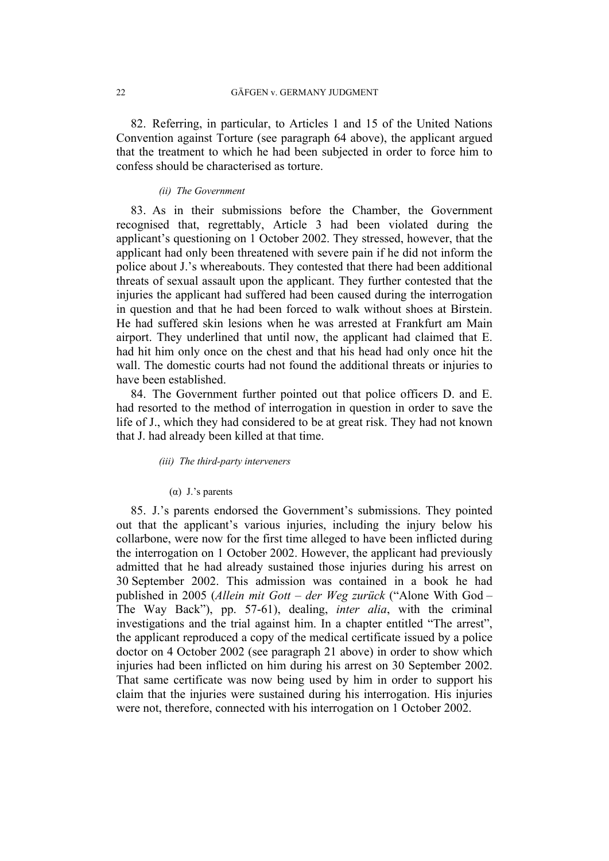82. Referring, in particular, to Articles 1 and 15 of the United Nations Convention against Torture (see paragraph 64 above), the applicant argued that the treatment to which he had been subjected in order to force him to confess should be characterised as torture.

#### *(ii) The Government*

83. As in their submissions before the Chamber, the Government recognised that, regrettably, Article 3 had been violated during the applicant's questioning on 1 October 2002. They stressed, however, that the applicant had only been threatened with severe pain if he did not inform the police about J.'s whereabouts. They contested that there had been additional threats of sexual assault upon the applicant. They further contested that the injuries the applicant had suffered had been caused during the interrogation in question and that he had been forced to walk without shoes at Birstein. He had suffered skin lesions when he was arrested at Frankfurt am Main airport. They underlined that until now, the applicant had claimed that E. had hit him only once on the chest and that his head had only once hit the wall. The domestic courts had not found the additional threats or injuries to have been established.

84. The Government further pointed out that police officers D. and E. had resorted to the method of interrogation in question in order to save the life of J., which they had considered to be at great risk. They had not known that J. had already been killed at that time.

#### *(iii) The third-party interveners*

#### (α) J.'s parents

85. J.'s parents endorsed the Government's submissions. They pointed out that the applicant's various injuries, including the injury below his collarbone, were now for the first time alleged to have been inflicted during the interrogation on 1 October 2002. However, the applicant had previously admitted that he had already sustained those injuries during his arrest on 30 September 2002. This admission was contained in a book he had published in 2005 (*Allein mit Gott – der Weg zurück* ("Alone With God – The Way Back"), pp. 57-61), dealing, *inter alia*, with the criminal investigations and the trial against him. In a chapter entitled "The arrest", the applicant reproduced a copy of the medical certificate issued by a police doctor on 4 October 2002 (see paragraph 21 above) in order to show which injuries had been inflicted on him during his arrest on 30 September 2002. That same certificate was now being used by him in order to support his claim that the injuries were sustained during his interrogation. His injuries were not, therefore, connected with his interrogation on 1 October 2002.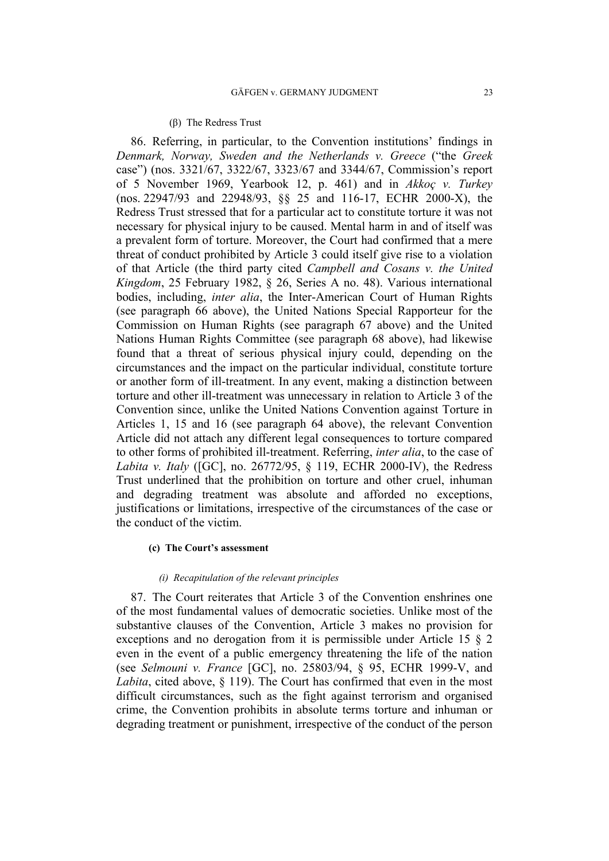#### (β) The Redress Trust

86. Referring, in particular, to the Convention institutions' findings in *Denmark, Norway, Sweden and the Netherlands v. Greece* ("the *Greek* case") (nos. 3321/67, 3322/67, 3323/67 and 3344/67, Commission's report of 5 November 1969, Yearbook 12, p. 461) and in *Akkoç v. Turkey* (nos. 22947/93 and 22948/93, §§ 25 and 116-17, ECHR 2000-X), the Redress Trust stressed that for a particular act to constitute torture it was not necessary for physical injury to be caused. Mental harm in and of itself was a prevalent form of torture. Moreover, the Court had confirmed that a mere threat of conduct prohibited by Article 3 could itself give rise to a violation of that Article (the third party cited *Campbell and Cosans v. the United Kingdom*, 25 February 1982, § 26, Series A no. 48). Various international bodies, including, *inter alia*, the Inter-American Court of Human Rights (see paragraph 66 above), the United Nations Special Rapporteur for the Commission on Human Rights (see paragraph 67 above) and the United Nations Human Rights Committee (see paragraph 68 above), had likewise found that a threat of serious physical injury could, depending on the circumstances and the impact on the particular individual, constitute torture or another form of ill-treatment. In any event, making a distinction between torture and other ill-treatment was unnecessary in relation to Article 3 of the Convention since, unlike the United Nations Convention against Torture in Articles 1, 15 and 16 (see paragraph 64 above), the relevant Convention Article did not attach any different legal consequences to torture compared to other forms of prohibited ill-treatment. Referring, *inter alia*, to the case of *Labita v. Italy* ([GC], no. 26772/95, § 119, ECHR 2000-IV), the Redress Trust underlined that the prohibition on torture and other cruel, inhuman and degrading treatment was absolute and afforded no exceptions, justifications or limitations, irrespective of the circumstances of the case or the conduct of the victim.

#### **(c) The Court's assessment**

#### *(i) Recapitulation of the relevant principles*

87. The Court reiterates that Article 3 of the Convention enshrines one of the most fundamental values of democratic societies. Unlike most of the substantive clauses of the Convention, Article 3 makes no provision for exceptions and no derogation from it is permissible under Article 15 § 2 even in the event of a public emergency threatening the life of the nation (see *Selmouni v. France* [GC], no. 25803/94, § 95, ECHR 1999-V, and *Labita*, cited above, § 119). The Court has confirmed that even in the most difficult circumstances, such as the fight against terrorism and organised crime, the Convention prohibits in absolute terms torture and inhuman or degrading treatment or punishment, irrespective of the conduct of the person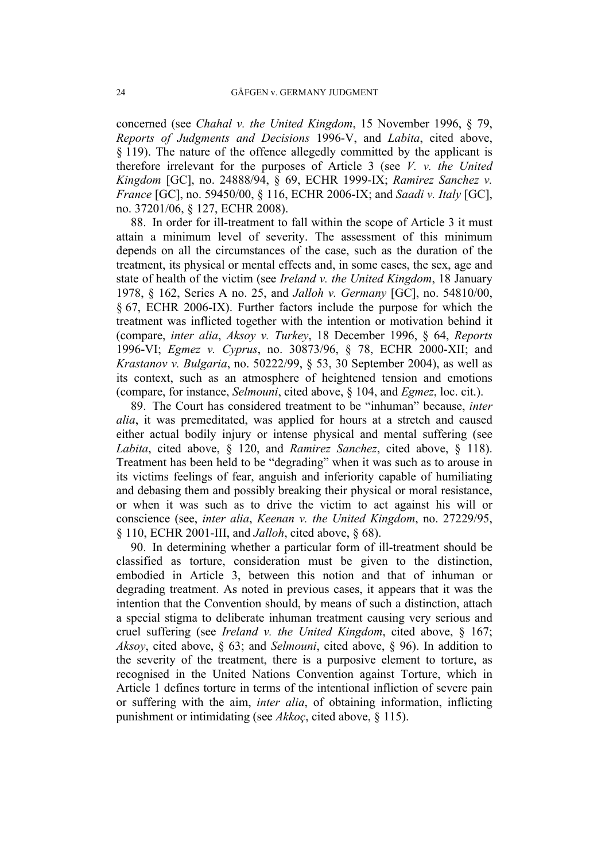concerned (see *Chahal v. the United Kingdom*, 15 November 1996, § 79, *Reports of Judgments and Decisions* 1996-V, and *Labita*, cited above, § 119). The nature of the offence allegedly committed by the applicant is therefore irrelevant for the purposes of Article 3 (see *V. v. the United Kingdom* [GC], no. 24888/94, § 69, ECHR 1999-IX; *Ramirez Sanchez v. France* [GC], no. 59450/00, § 116, ECHR 2006-IX; and *Saadi v. Italy* [GC], no. 37201/06, § 127, ECHR 2008).

88. In order for ill-treatment to fall within the scope of Article 3 it must attain a minimum level of severity. The assessment of this minimum depends on all the circumstances of the case, such as the duration of the treatment, its physical or mental effects and, in some cases, the sex, age and state of health of the victim (see *Ireland v. the United Kingdom*, 18 January 1978, § 162, Series A no. 25, and *Jalloh v. Germany* [GC], no. 54810/00, § 67, ECHR 2006-IX). Further factors include the purpose for which the treatment was inflicted together with the intention or motivation behind it (compare, *inter alia*, *Aksoy v. Turkey*, 18 December 1996, § 64, *Reports* 1996-VI; *Egmez v. Cyprus*, no. 30873/96, § 78, ECHR 2000-XII; and *Krastanov v. Bulgaria*, no. 50222/99, § 53, 30 September 2004), as well as its context, such as an atmosphere of heightened tension and emotions (compare, for instance, *Selmouni*, cited above, § 104, and *Egmez*, loc. cit.).

89. The Court has considered treatment to be "inhuman" because, *inter alia*, it was premeditated, was applied for hours at a stretch and caused either actual bodily injury or intense physical and mental suffering (see *Labita*, cited above, § 120, and *Ramirez Sanchez*, cited above, § 118). Treatment has been held to be "degrading" when it was such as to arouse in its victims feelings of fear, anguish and inferiority capable of humiliating and debasing them and possibly breaking their physical or moral resistance, or when it was such as to drive the victim to act against his will or conscience (see, *inter alia*, *Keenan v. the United Kingdom*, no. 27229/95, § 110, ECHR 2001-III, and *Jalloh*, cited above, § 68).

90. In determining whether a particular form of ill-treatment should be classified as torture, consideration must be given to the distinction, embodied in Article 3, between this notion and that of inhuman or degrading treatment. As noted in previous cases, it appears that it was the intention that the Convention should, by means of such a distinction, attach a special stigma to deliberate inhuman treatment causing very serious and cruel suffering (see *Ireland v. the United Kingdom*, cited above, § 167; *Aksoy*, cited above, § 63; and *Selmouni*, cited above, § 96). In addition to the severity of the treatment, there is a purposive element to torture, as recognised in the United Nations Convention against Torture, which in Article 1 defines torture in terms of the intentional infliction of severe pain or suffering with the aim, *inter alia*, of obtaining information, inflicting punishment or intimidating (see *Akkoç*, cited above, § 115).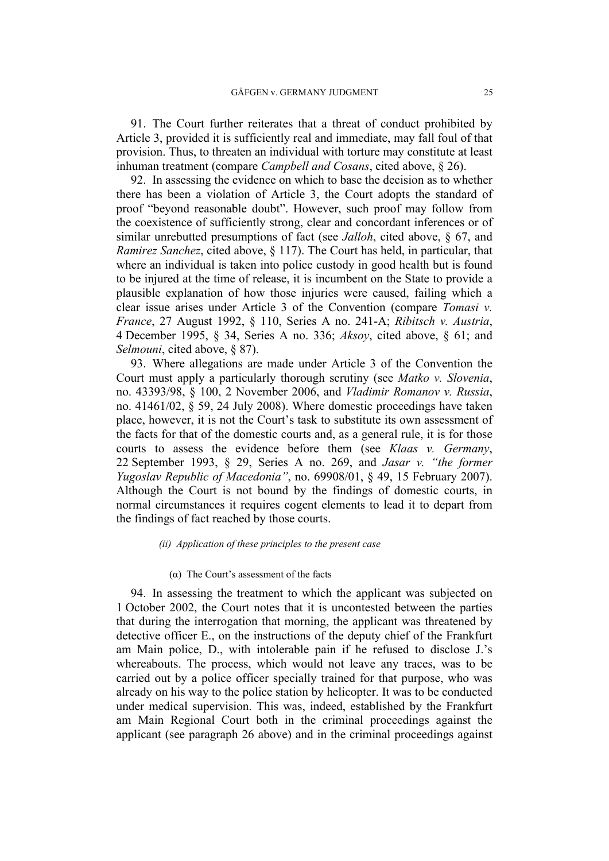91. The Court further reiterates that a threat of conduct prohibited by Article 3, provided it is sufficiently real and immediate, may fall foul of that provision. Thus, to threaten an individual with torture may constitute at least inhuman treatment (compare *Campbell and Cosans*, cited above, § 26).

92. In assessing the evidence on which to base the decision as to whether there has been a violation of Article 3, the Court adopts the standard of proof "beyond reasonable doubt". However, such proof may follow from the coexistence of sufficiently strong, clear and concordant inferences or of similar unrebutted presumptions of fact (see *Jalloh*, cited above, § 67, and *Ramirez Sanchez*, cited above, § 117). The Court has held, in particular, that where an individual is taken into police custody in good health but is found to be injured at the time of release, it is incumbent on the State to provide a plausible explanation of how those injuries were caused, failing which a clear issue arises under Article 3 of the Convention (compare *Tomasi v. France*, 27 August 1992, § 110, Series A no. 241-A; *Ribitsch v. Austria*, 4 December 1995, § 34, Series A no. 336; *Aksoy*, cited above, § 61; and *Selmouni*, cited above, § 87).

93. Where allegations are made under Article 3 of the Convention the Court must apply a particularly thorough scrutiny (see *Matko v. Slovenia*, no. 43393/98, § 100, 2 November 2006, and *Vladimir Romanov v. Russia*, no. 41461/02, § 59, 24 July 2008). Where domestic proceedings have taken place, however, it is not the Court's task to substitute its own assessment of the facts for that of the domestic courts and, as a general rule, it is for those courts to assess the evidence before them (see *Klaas v. Germany*, 22 September 1993, § 29, Series A no. 269, and *Jasar v. "the former Yugoslav Republic of Macedonia"*, no. 69908/01, § 49, 15 February 2007). Although the Court is not bound by the findings of domestic courts, in normal circumstances it requires cogent elements to lead it to depart from the findings of fact reached by those courts.

#### *(ii) Application of these principles to the present case*

#### (α) The Court's assessment of the facts

94. In assessing the treatment to which the applicant was subjected on 1 October 2002, the Court notes that it is uncontested between the parties that during the interrogation that morning, the applicant was threatened by detective officer E., on the instructions of the deputy chief of the Frankfurt am Main police, D., with intolerable pain if he refused to disclose J.'s whereabouts. The process, which would not leave any traces, was to be carried out by a police officer specially trained for that purpose, who was already on his way to the police station by helicopter. It was to be conducted under medical supervision. This was, indeed, established by the Frankfurt am Main Regional Court both in the criminal proceedings against the applicant (see paragraph 26 above) and in the criminal proceedings against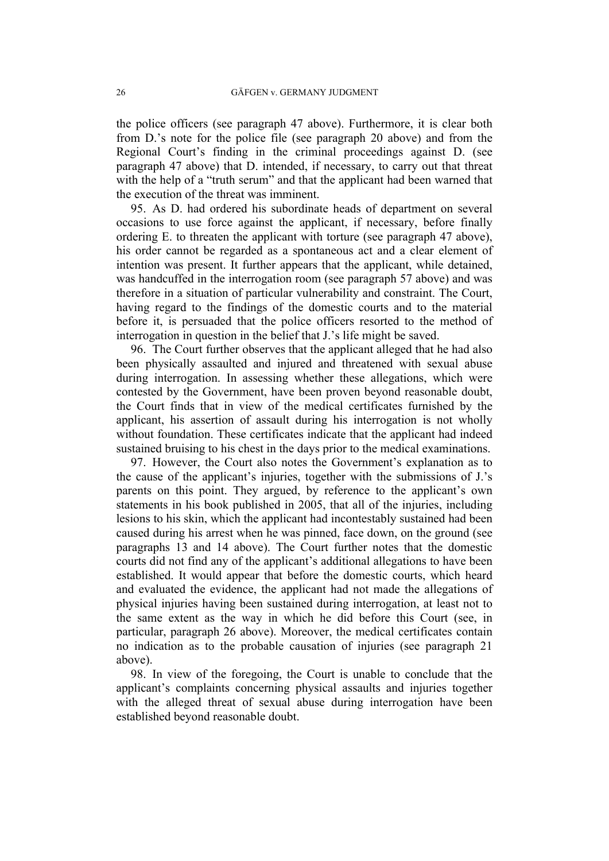the police officers (see paragraph 47 above). Furthermore, it is clear both from D.'s note for the police file (see paragraph 20 above) and from the Regional Court's finding in the criminal proceedings against D. (see paragraph 47 above) that D. intended, if necessary, to carry out that threat with the help of a "truth serum" and that the applicant had been warned that the execution of the threat was imminent.

95. As D. had ordered his subordinate heads of department on several occasions to use force against the applicant, if necessary, before finally ordering E. to threaten the applicant with torture (see paragraph 47 above), his order cannot be regarded as a spontaneous act and a clear element of intention was present. It further appears that the applicant, while detained, was handcuffed in the interrogation room (see paragraph 57 above) and was therefore in a situation of particular vulnerability and constraint. The Court, having regard to the findings of the domestic courts and to the material before it, is persuaded that the police officers resorted to the method of interrogation in question in the belief that J.'s life might be saved.

96. The Court further observes that the applicant alleged that he had also been physically assaulted and injured and threatened with sexual abuse during interrogation. In assessing whether these allegations, which were contested by the Government, have been proven beyond reasonable doubt, the Court finds that in view of the medical certificates furnished by the applicant, his assertion of assault during his interrogation is not wholly without foundation. These certificates indicate that the applicant had indeed sustained bruising to his chest in the days prior to the medical examinations.

97. However, the Court also notes the Government's explanation as to the cause of the applicant's injuries, together with the submissions of J.'s parents on this point. They argued, by reference to the applicant's own statements in his book published in 2005, that all of the injuries, including lesions to his skin, which the applicant had incontestably sustained had been caused during his arrest when he was pinned, face down, on the ground (see paragraphs 13 and 14 above). The Court further notes that the domestic courts did not find any of the applicant's additional allegations to have been established. It would appear that before the domestic courts, which heard and evaluated the evidence, the applicant had not made the allegations of physical injuries having been sustained during interrogation, at least not to the same extent as the way in which he did before this Court (see, in particular, paragraph 26 above). Moreover, the medical certificates contain no indication as to the probable causation of injuries (see paragraph 21 above).

98. In view of the foregoing, the Court is unable to conclude that the applicant's complaints concerning physical assaults and injuries together with the alleged threat of sexual abuse during interrogation have been established beyond reasonable doubt.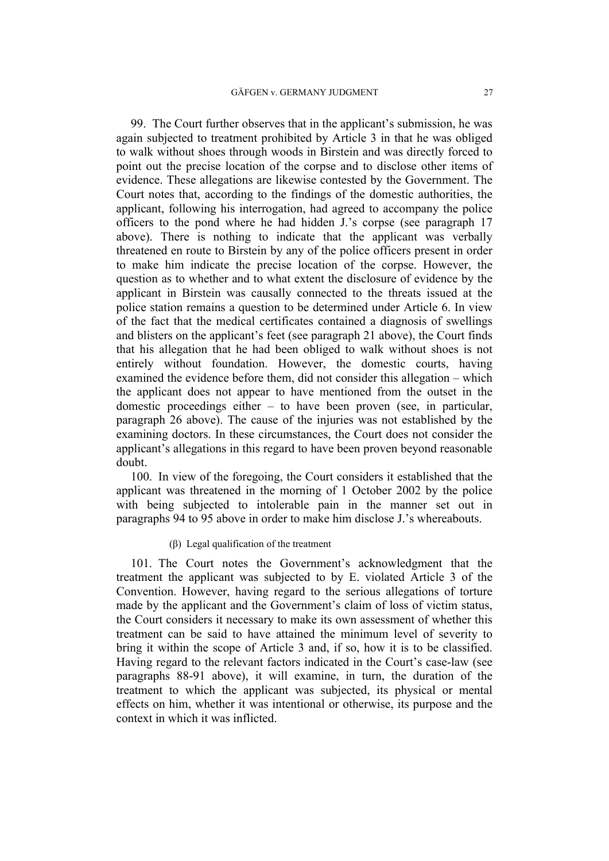99. The Court further observes that in the applicant's submission, he was again subjected to treatment prohibited by Article 3 in that he was obliged to walk without shoes through woods in Birstein and was directly forced to point out the precise location of the corpse and to disclose other items of evidence. These allegations are likewise contested by the Government. The Court notes that, according to the findings of the domestic authorities, the applicant, following his interrogation, had agreed to accompany the police officers to the pond where he had hidden J.'s corpse (see paragraph 17 above). There is nothing to indicate that the applicant was verbally threatened en route to Birstein by any of the police officers present in order to make him indicate the precise location of the corpse. However, the question as to whether and to what extent the disclosure of evidence by the applicant in Birstein was causally connected to the threats issued at the police station remains a question to be determined under Article 6. In view of the fact that the medical certificates contained a diagnosis of swellings and blisters on the applicant's feet (see paragraph 21 above), the Court finds that his allegation that he had been obliged to walk without shoes is not entirely without foundation. However, the domestic courts, having examined the evidence before them, did not consider this allegation – which the applicant does not appear to have mentioned from the outset in the domestic proceedings either – to have been proven (see, in particular, paragraph 26 above). The cause of the injuries was not established by the examining doctors. In these circumstances, the Court does not consider the applicant's allegations in this regard to have been proven beyond reasonable doubt.

100. In view of the foregoing, the Court considers it established that the applicant was threatened in the morning of 1 October 2002 by the police with being subjected to intolerable pain in the manner set out in paragraphs 94 to 95 above in order to make him disclose J.'s whereabouts.

#### (β) Legal qualification of the treatment

101. The Court notes the Government's acknowledgment that the treatment the applicant was subjected to by E. violated Article 3 of the Convention. However, having regard to the serious allegations of torture made by the applicant and the Government's claim of loss of victim status, the Court considers it necessary to make its own assessment of whether this treatment can be said to have attained the minimum level of severity to bring it within the scope of Article 3 and, if so, how it is to be classified. Having regard to the relevant factors indicated in the Court's case-law (see paragraphs 88-91 above), it will examine, in turn, the duration of the treatment to which the applicant was subjected, its physical or mental effects on him, whether it was intentional or otherwise, its purpose and the context in which it was inflicted.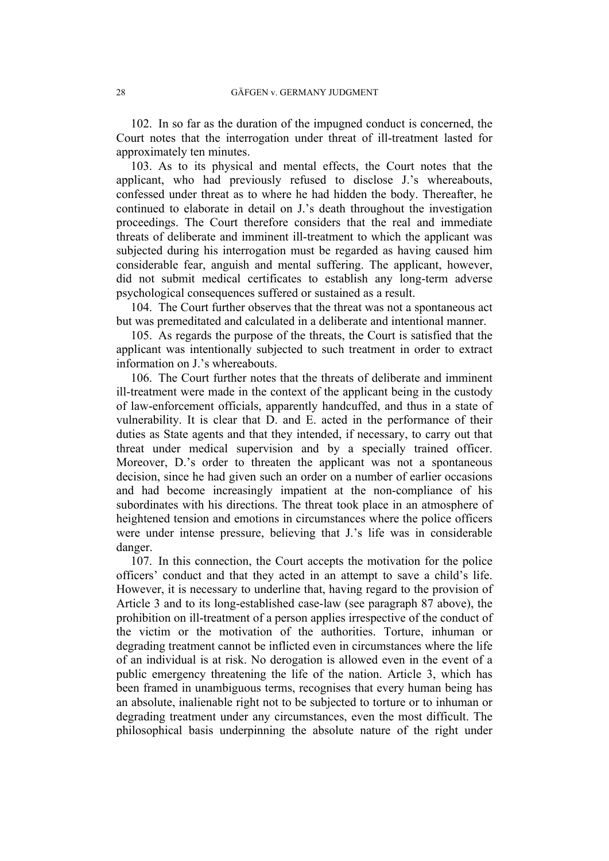102. In so far as the duration of the impugned conduct is concerned, the Court notes that the interrogation under threat of ill-treatment lasted for approximately ten minutes.

103. As to its physical and mental effects, the Court notes that the applicant, who had previously refused to disclose J.'s whereabouts, confessed under threat as to where he had hidden the body. Thereafter, he continued to elaborate in detail on J.'s death throughout the investigation proceedings. The Court therefore considers that the real and immediate threats of deliberate and imminent ill-treatment to which the applicant was subjected during his interrogation must be regarded as having caused him considerable fear, anguish and mental suffering. The applicant, however, did not submit medical certificates to establish any long-term adverse psychological consequences suffered or sustained as a result.

104. The Court further observes that the threat was not a spontaneous act but was premeditated and calculated in a deliberate and intentional manner.

105. As regards the purpose of the threats, the Court is satisfied that the applicant was intentionally subjected to such treatment in order to extract information on J.'s whereabouts.

106. The Court further notes that the threats of deliberate and imminent ill-treatment were made in the context of the applicant being in the custody of law-enforcement officials, apparently handcuffed, and thus in a state of vulnerability. It is clear that D. and E. acted in the performance of their duties as State agents and that they intended, if necessary, to carry out that threat under medical supervision and by a specially trained officer. Moreover, D.'s order to threaten the applicant was not a spontaneous decision, since he had given such an order on a number of earlier occasions and had become increasingly impatient at the non-compliance of his subordinates with his directions. The threat took place in an atmosphere of heightened tension and emotions in circumstances where the police officers were under intense pressure, believing that J.'s life was in considerable danger.

107. In this connection, the Court accepts the motivation for the police officers' conduct and that they acted in an attempt to save a child's life. However, it is necessary to underline that, having regard to the provision of Article 3 and to its long-established case-law (see paragraph 87 above), the prohibition on ill-treatment of a person applies irrespective of the conduct of the victim or the motivation of the authorities. Torture, inhuman or degrading treatment cannot be inflicted even in circumstances where the life of an individual is at risk. No derogation is allowed even in the event of a public emergency threatening the life of the nation. Article 3, which has been framed in unambiguous terms, recognises that every human being has an absolute, inalienable right not to be subjected to torture or to inhuman or degrading treatment under any circumstances, even the most difficult. The philosophical basis underpinning the absolute nature of the right under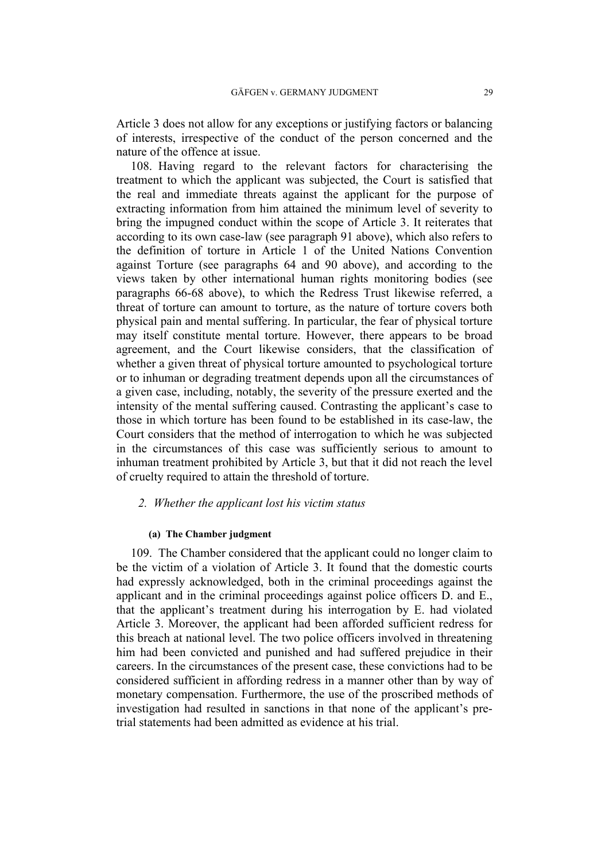Article 3 does not allow for any exceptions or justifying factors or balancing of interests, irrespective of the conduct of the person concerned and the nature of the offence at issue.

108. Having regard to the relevant factors for characterising the treatment to which the applicant was subjected, the Court is satisfied that the real and immediate threats against the applicant for the purpose of extracting information from him attained the minimum level of severity to bring the impugned conduct within the scope of Article 3. It reiterates that according to its own case-law (see paragraph 91 above), which also refers to the definition of torture in Article 1 of the United Nations Convention against Torture (see paragraphs 64 and 90 above), and according to the views taken by other international human rights monitoring bodies (see paragraphs 66-68 above), to which the Redress Trust likewise referred, a threat of torture can amount to torture, as the nature of torture covers both physical pain and mental suffering. In particular, the fear of physical torture may itself constitute mental torture. However, there appears to be broad agreement, and the Court likewise considers, that the classification of whether a given threat of physical torture amounted to psychological torture or to inhuman or degrading treatment depends upon all the circumstances of a given case, including, notably, the severity of the pressure exerted and the intensity of the mental suffering caused. Contrasting the applicant's case to those in which torture has been found to be established in its case-law, the Court considers that the method of interrogation to which he was subjected in the circumstances of this case was sufficiently serious to amount to inhuman treatment prohibited by Article 3, but that it did not reach the level of cruelty required to attain the threshold of torture.

## *2. Whether the applicant lost his victim status*

#### **(a) The Chamber judgment**

109. The Chamber considered that the applicant could no longer claim to be the victim of a violation of Article 3. It found that the domestic courts had expressly acknowledged, both in the criminal proceedings against the applicant and in the criminal proceedings against police officers D. and E., that the applicant's treatment during his interrogation by E. had violated Article 3. Moreover, the applicant had been afforded sufficient redress for this breach at national level. The two police officers involved in threatening him had been convicted and punished and had suffered prejudice in their careers. In the circumstances of the present case, these convictions had to be considered sufficient in affording redress in a manner other than by way of monetary compensation. Furthermore, the use of the proscribed methods of investigation had resulted in sanctions in that none of the applicant's pretrial statements had been admitted as evidence at his trial.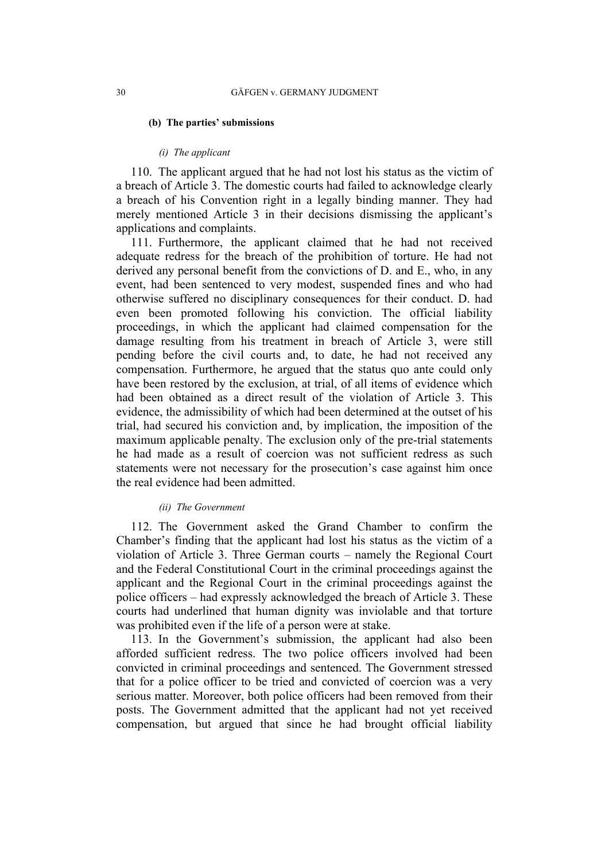#### **(b) The parties' submissions**

#### *(i) The applicant*

110. The applicant argued that he had not lost his status as the victim of a breach of Article 3. The domestic courts had failed to acknowledge clearly a breach of his Convention right in a legally binding manner. They had merely mentioned Article 3 in their decisions dismissing the applicant's applications and complaints.

111. Furthermore, the applicant claimed that he had not received adequate redress for the breach of the prohibition of torture. He had not derived any personal benefit from the convictions of D. and E., who, in any event, had been sentenced to very modest, suspended fines and who had otherwise suffered no disciplinary consequences for their conduct. D. had even been promoted following his conviction. The official liability proceedings, in which the applicant had claimed compensation for the damage resulting from his treatment in breach of Article 3, were still pending before the civil courts and, to date, he had not received any compensation. Furthermore, he argued that the status quo ante could only have been restored by the exclusion, at trial, of all items of evidence which had been obtained as a direct result of the violation of Article 3. This evidence, the admissibility of which had been determined at the outset of his trial, had secured his conviction and, by implication, the imposition of the maximum applicable penalty. The exclusion only of the pre-trial statements he had made as a result of coercion was not sufficient redress as such statements were not necessary for the prosecution's case against him once the real evidence had been admitted.

#### *(ii) The Government*

112. The Government asked the Grand Chamber to confirm the Chamber's finding that the applicant had lost his status as the victim of a violation of Article 3. Three German courts – namely the Regional Court and the Federal Constitutional Court in the criminal proceedings against the applicant and the Regional Court in the criminal proceedings against the police officers – had expressly acknowledged the breach of Article 3. These courts had underlined that human dignity was inviolable and that torture was prohibited even if the life of a person were at stake.

113. In the Government's submission, the applicant had also been afforded sufficient redress. The two police officers involved had been convicted in criminal proceedings and sentenced. The Government stressed that for a police officer to be tried and convicted of coercion was a very serious matter. Moreover, both police officers had been removed from their posts. The Government admitted that the applicant had not yet received compensation, but argued that since he had brought official liability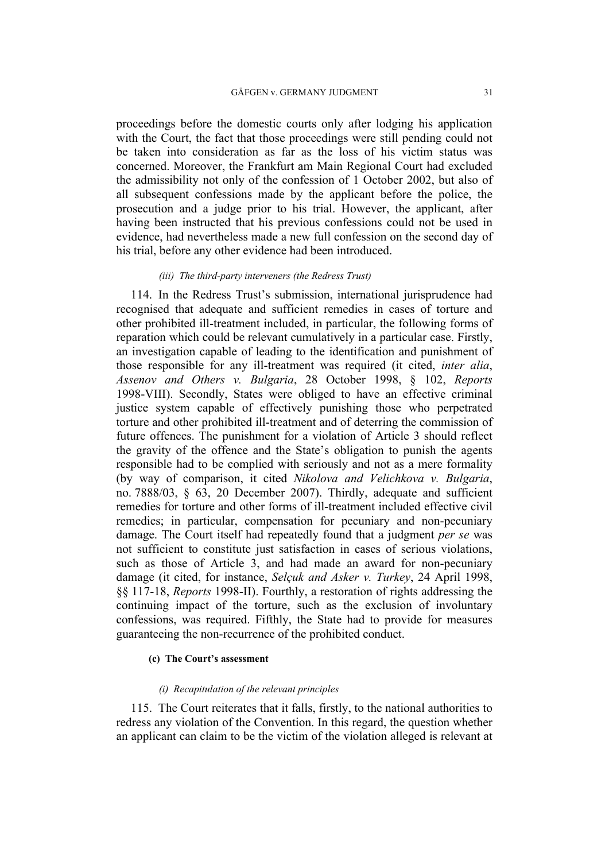proceedings before the domestic courts only after lodging his application with the Court, the fact that those proceedings were still pending could not be taken into consideration as far as the loss of his victim status was concerned. Moreover, the Frankfurt am Main Regional Court had excluded the admissibility not only of the confession of 1 October 2002, but also of all subsequent confessions made by the applicant before the police, the prosecution and a judge prior to his trial. However, the applicant, after having been instructed that his previous confessions could not be used in evidence, had nevertheless made a new full confession on the second day of his trial, before any other evidence had been introduced.

#### *(iii) The third-party interveners (the Redress Trust)*

114. In the Redress Trust's submission, international jurisprudence had recognised that adequate and sufficient remedies in cases of torture and other prohibited ill-treatment included, in particular, the following forms of reparation which could be relevant cumulatively in a particular case. Firstly, an investigation capable of leading to the identification and punishment of those responsible for any ill-treatment was required (it cited, *inter alia*, *Assenov and Others v. Bulgaria*, 28 October 1998, § 102, *Reports* 1998-VIII). Secondly, States were obliged to have an effective criminal justice system capable of effectively punishing those who perpetrated torture and other prohibited ill-treatment and of deterring the commission of future offences. The punishment for a violation of Article 3 should reflect the gravity of the offence and the State's obligation to punish the agents responsible had to be complied with seriously and not as a mere formality (by way of comparison, it cited *Nikolova and Velichkova v. Bulgaria*, no. 7888/03, § 63, 20 December 2007). Thirdly, adequate and sufficient remedies for torture and other forms of ill-treatment included effective civil remedies; in particular, compensation for pecuniary and non-pecuniary damage. The Court itself had repeatedly found that a judgment *per se* was not sufficient to constitute just satisfaction in cases of serious violations, such as those of Article 3, and had made an award for non-pecuniary damage (it cited, for instance, *Selçuk and Asker v. Turkey*, 24 April 1998, §§ 117-18, *Reports* 1998-II). Fourthly, a restoration of rights addressing the continuing impact of the torture, such as the exclusion of involuntary confessions, was required. Fifthly, the State had to provide for measures guaranteeing the non-recurrence of the prohibited conduct.

## **(c) The Court's assessment**

#### *(i) Recapitulation of the relevant principles*

115. The Court reiterates that it falls, firstly, to the national authorities to redress any violation of the Convention. In this regard, the question whether an applicant can claim to be the victim of the violation alleged is relevant at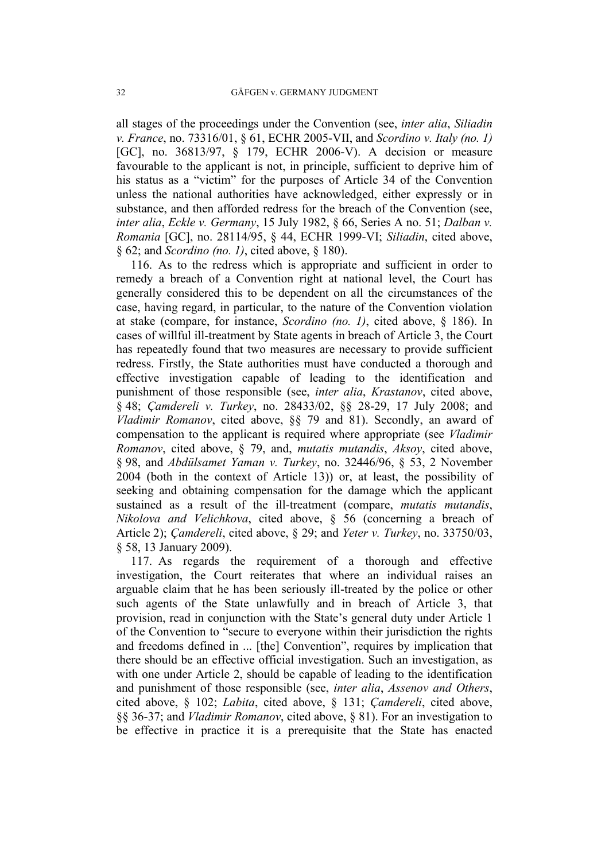all stages of the proceedings under the Convention (see, *inter alia*, *Siliadin v. France*, no. 73316/01, § 61, ECHR 2005-VII, and *Scordino v. Italy (no. 1)* [GC], no. 36813/97, § 179, ECHR 2006-V). A decision or measure favourable to the applicant is not, in principle, sufficient to deprive him of his status as a "victim" for the purposes of Article 34 of the Convention unless the national authorities have acknowledged, either expressly or in substance, and then afforded redress for the breach of the Convention (see, *inter alia*, *Eckle v. Germany*, 15 July 1982, § 66, Series A no. 51; *Dalban v. Romania* [GC], no. 28114/95, § 44, ECHR 1999-VI; *Siliadin*, cited above, § 62; and *Scordino (no. 1)*, cited above, § 180).

116. As to the redress which is appropriate and sufficient in order to remedy a breach of a Convention right at national level, the Court has generally considered this to be dependent on all the circumstances of the case, having regard, in particular, to the nature of the Convention violation at stake (compare, for instance, *Scordino (no. 1)*, cited above, § 186). In cases of willful ill-treatment by State agents in breach of Article 3, the Court has repeatedly found that two measures are necessary to provide sufficient redress. Firstly, the State authorities must have conducted a thorough and effective investigation capable of leading to the identification and punishment of those responsible (see, *inter alia*, *Krastanov*, cited above, § 48; *Çamdereli v. Turkey*, no. 28433/02, §§ 28-29, 17 July 2008; and *Vladimir Romanov*, cited above, §§ 79 and 81). Secondly, an award of compensation to the applicant is required where appropriate (see *Vladimir Romanov*, cited above, § 79, and, *mutatis mutandis*, *Aksoy*, cited above, § 98, and *Abdülsamet Yaman v. Turkey*, no. 32446/96, § 53, 2 November 2004 (both in the context of Article 13)) or, at least, the possibility of seeking and obtaining compensation for the damage which the applicant sustained as a result of the ill-treatment (compare, *mutatis mutandis*, *Nikolova and Velichkova*, cited above, § 56 (concerning a breach of Article 2); *Çamdereli*, cited above, § 29; and *Yeter v. Turkey*, no. 33750/03, § 58, 13 January 2009).

117. As regards the requirement of a thorough and effective investigation, the Court reiterates that where an individual raises an arguable claim that he has been seriously ill-treated by the police or other such agents of the State unlawfully and in breach of Article 3, that provision, read in conjunction with the State's general duty under Article 1 of the Convention to "secure to everyone within their jurisdiction the rights and freedoms defined in ... [the] Convention", requires by implication that there should be an effective official investigation. Such an investigation, as with one under Article 2, should be capable of leading to the identification and punishment of those responsible (see, *inter alia*, *Assenov and Others*, cited above, § 102; *Labita*, cited above, § 131; *Çamdereli*, cited above, §§ 36-37; and *Vladimir Romanov*, cited above, § 81). For an investigation to be effective in practice it is a prerequisite that the State has enacted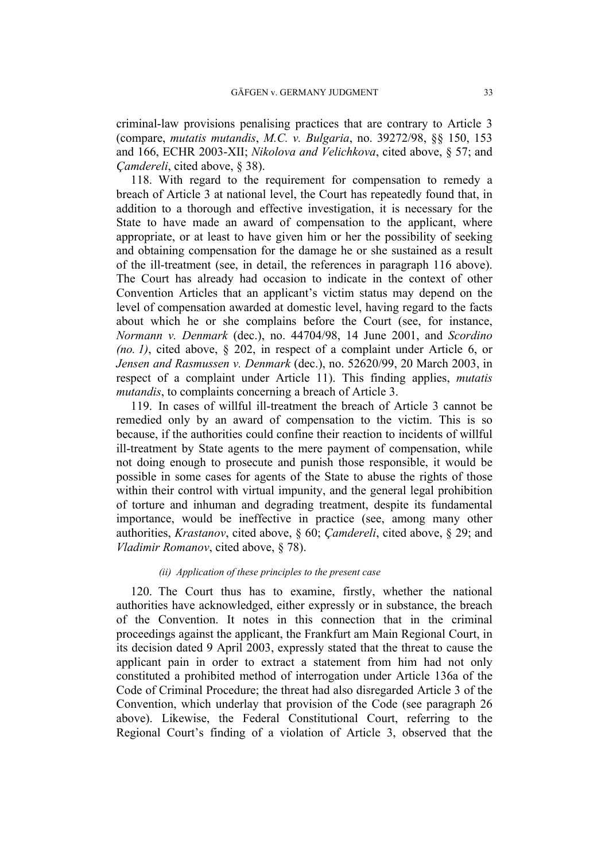criminal-law provisions penalising practices that are contrary to Article 3 (compare, *mutatis mutandis*, *M.C. v. Bulgaria*, no. 39272/98, §§ 150, 153 and 166, ECHR 2003-XII; *Nikolova and Velichkova*, cited above, § 57; and *Çamdereli*, cited above, § 38).

118. With regard to the requirement for compensation to remedy a breach of Article 3 at national level, the Court has repeatedly found that, in addition to a thorough and effective investigation, it is necessary for the State to have made an award of compensation to the applicant, where appropriate, or at least to have given him or her the possibility of seeking and obtaining compensation for the damage he or she sustained as a result of the ill-treatment (see, in detail, the references in paragraph 116 above). The Court has already had occasion to indicate in the context of other Convention Articles that an applicant's victim status may depend on the level of compensation awarded at domestic level, having regard to the facts about which he or she complains before the Court (see, for instance, *Normann v. Denmark* (dec.), no. 44704/98, 14 June 2001, and *Scordino (no. 1)*, cited above, § 202, in respect of a complaint under Article 6, or *Jensen and Rasmussen v. Denmark* (dec.), no. 52620/99, 20 March 2003, in respect of a complaint under Article 11). This finding applies, *mutatis mutandis*, to complaints concerning a breach of Article 3.

119. In cases of willful ill-treatment the breach of Article 3 cannot be remedied only by an award of compensation to the victim. This is so because, if the authorities could confine their reaction to incidents of willful ill-treatment by State agents to the mere payment of compensation, while not doing enough to prosecute and punish those responsible, it would be possible in some cases for agents of the State to abuse the rights of those within their control with virtual impunity, and the general legal prohibition of torture and inhuman and degrading treatment, despite its fundamental importance, would be ineffective in practice (see, among many other authorities, *Krastanov*, cited above, § 60; *Çamdereli*, cited above, § 29; and *Vladimir Romanov*, cited above, § 78).

#### *(ii) Application of these principles to the present case*

120. The Court thus has to examine, firstly, whether the national authorities have acknowledged, either expressly or in substance, the breach of the Convention. It notes in this connection that in the criminal proceedings against the applicant, the Frankfurt am Main Regional Court, in its decision dated 9 April 2003, expressly stated that the threat to cause the applicant pain in order to extract a statement from him had not only constituted a prohibited method of interrogation under Article 136a of the Code of Criminal Procedure; the threat had also disregarded Article 3 of the Convention, which underlay that provision of the Code (see paragraph 26 above). Likewise, the Federal Constitutional Court, referring to the Regional Court's finding of a violation of Article 3, observed that the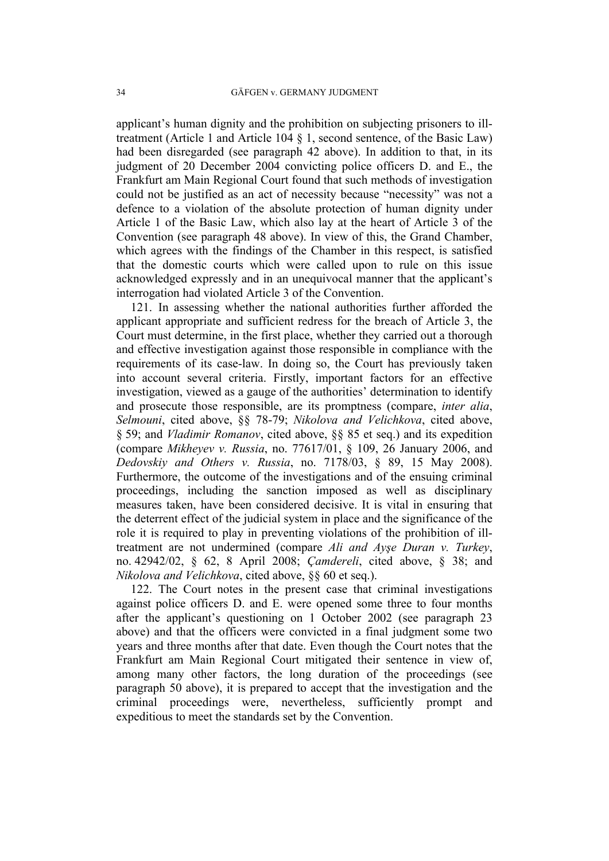applicant's human dignity and the prohibition on subjecting prisoners to illtreatment (Article 1 and Article 104 § 1, second sentence, of the Basic Law) had been disregarded (see paragraph 42 above). In addition to that, in its judgment of 20 December 2004 convicting police officers D. and E., the Frankfurt am Main Regional Court found that such methods of investigation could not be justified as an act of necessity because "necessity" was not a defence to a violation of the absolute protection of human dignity under Article 1 of the Basic Law, which also lay at the heart of Article 3 of the Convention (see paragraph 48 above). In view of this, the Grand Chamber, which agrees with the findings of the Chamber in this respect, is satisfied that the domestic courts which were called upon to rule on this issue acknowledged expressly and in an unequivocal manner that the applicant's interrogation had violated Article 3 of the Convention.

121. In assessing whether the national authorities further afforded the applicant appropriate and sufficient redress for the breach of Article 3, the Court must determine, in the first place, whether they carried out a thorough and effective investigation against those responsible in compliance with the requirements of its case-law. In doing so, the Court has previously taken into account several criteria. Firstly, important factors for an effective investigation, viewed as a gauge of the authorities' determination to identify and prosecute those responsible, are its promptness (compare, *inter alia*, *Selmouni*, cited above, §§ 78-79; *Nikolova and Velichkova*, cited above, § 59; and *Vladimir Romanov*, cited above, §§ 85 et seq.) and its expedition (compare *Mikheyev v. Russia*, no. 77617/01, § 109, 26 January 2006, and *Dedovskiy and Others v. Russia*, no. 7178/03, § 89, 15 May 2008). Furthermore, the outcome of the investigations and of the ensuing criminal proceedings, including the sanction imposed as well as disciplinary measures taken, have been considered decisive. It is vital in ensuring that the deterrent effect of the judicial system in place and the significance of the role it is required to play in preventing violations of the prohibition of illtreatment are not undermined (compare *Ali and Ayşe Duran v. Turkey*, no. 42942/02, § 62, 8 April 2008; *Çamdereli*, cited above, § 38; and *Nikolova and Velichkova*, cited above, §§ 60 et seq.).

122. The Court notes in the present case that criminal investigations against police officers D. and E. were opened some three to four months after the applicant's questioning on 1 October 2002 (see paragraph 23 above) and that the officers were convicted in a final judgment some two years and three months after that date. Even though the Court notes that the Frankfurt am Main Regional Court mitigated their sentence in view of, among many other factors, the long duration of the proceedings (see paragraph 50 above), it is prepared to accept that the investigation and the criminal proceedings were, nevertheless, sufficiently prompt and expeditious to meet the standards set by the Convention.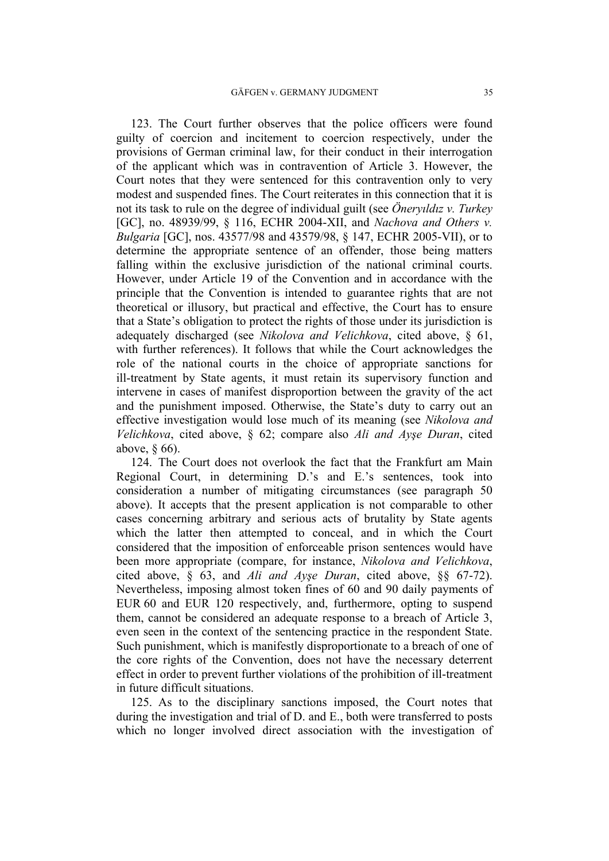123. The Court further observes that the police officers were found guilty of coercion and incitement to coercion respectively, under the provisions of German criminal law, for their conduct in their interrogation of the applicant which was in contravention of Article 3. However, the Court notes that they were sentenced for this contravention only to very modest and suspended fines. The Court reiterates in this connection that it is not its task to rule on the degree of individual guilt (see *Öneryıldız v. Turkey* [GC], no. 48939/99, § 116, ECHR 2004-XII, and *Nachova and Others v. Bulgaria* [GC], nos. 43577/98 and 43579/98, § 147, ECHR 2005-VII), or to determine the appropriate sentence of an offender, those being matters falling within the exclusive jurisdiction of the national criminal courts. However, under Article 19 of the Convention and in accordance with the principle that the Convention is intended to guarantee rights that are not theoretical or illusory, but practical and effective, the Court has to ensure that a State's obligation to protect the rights of those under its jurisdiction is adequately discharged (see *Nikolova and Velichkova*, cited above, § 61, with further references). It follows that while the Court acknowledges the role of the national courts in the choice of appropriate sanctions for ill-treatment by State agents, it must retain its supervisory function and intervene in cases of manifest disproportion between the gravity of the act and the punishment imposed. Otherwise, the State's duty to carry out an effective investigation would lose much of its meaning (see *Nikolova and Velichkova*, cited above, § 62; compare also *Ali and Ayşe Duran*, cited above, § 66).

124. The Court does not overlook the fact that the Frankfurt am Main Regional Court, in determining D.'s and E.'s sentences, took into consideration a number of mitigating circumstances (see paragraph 50 above). It accepts that the present application is not comparable to other cases concerning arbitrary and serious acts of brutality by State agents which the latter then attempted to conceal, and in which the Court considered that the imposition of enforceable prison sentences would have been more appropriate (compare, for instance, *Nikolova and Velichkova*, cited above, § 63, and *Ali and Ayşe Duran*, cited above, §§ 67-72). Nevertheless, imposing almost token fines of 60 and 90 daily payments of EUR 60 and EUR 120 respectively, and, furthermore, opting to suspend them, cannot be considered an adequate response to a breach of Article 3, even seen in the context of the sentencing practice in the respondent State. Such punishment, which is manifestly disproportionate to a breach of one of the core rights of the Convention, does not have the necessary deterrent effect in order to prevent further violations of the prohibition of ill-treatment in future difficult situations.

125. As to the disciplinary sanctions imposed, the Court notes that during the investigation and trial of D. and E., both were transferred to posts which no longer involved direct association with the investigation of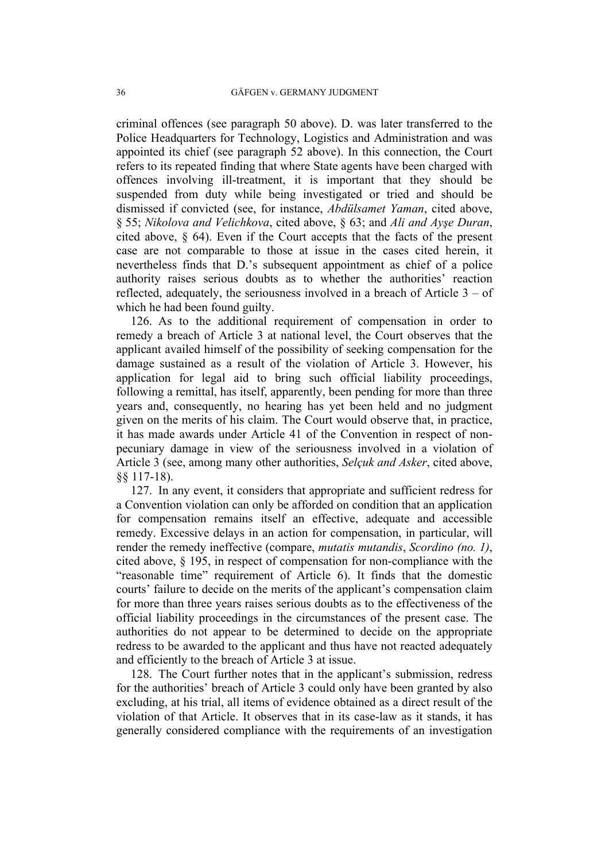criminal offences (see paragraph 50 above). D. was later transferred to the Police Headquarters for Technology, Logistics and Administration and was appointed its chief (see paragraph 52 above). In this connection, the Court refers to its repeated finding that where State agents have been charged with offences involving ill-treatment, it is important that they should be suspended from duty while being investigated or tried and should be dismissed if convicted (see, for instance, *Abdülsamet Yaman*, cited above, § 55; *Nikolova and Velichkova*, cited above, § 63; and *Ali and Ayşe Duran*, cited above, § 64). Even if the Court accepts that the facts of the present case are not comparable to those at issue in the cases cited herein, it nevertheless finds that D.'s subsequent appointment as chief of a police authority raises serious doubts as to whether the authorities' reaction reflected, adequately, the seriousness involved in a breach of Article  $3 - of$ which he had been found guilty.

126. As to the additional requirement of compensation in order to remedy a breach of Article 3 at national level, the Court observes that the applicant availed himself of the possibility of seeking compensation for the damage sustained as a result of the violation of Article 3. However, his application for legal aid to bring such official liability proceedings, following a remittal, has itself, apparently, been pending for more than three years and, consequently, no hearing has yet been held and no judgment given on the merits of his claim. The Court would observe that, in practice, it has made awards under Article 41 of the Convention in respect of nonpecuniary damage in view of the seriousness involved in a violation of Article 3 (see, among many other authorities, *Selçuk and Asker*, cited above, §§ 117-18).

127. In any event, it considers that appropriate and sufficient redress for a Convention violation can only be afforded on condition that an application for compensation remains itself an effective, adequate and accessible remedy. Excessive delays in an action for compensation, in particular, will render the remedy ineffective (compare, *mutatis mutandis*, *Scordino (no. 1)*, cited above, § 195, in respect of compensation for non-compliance with the "reasonable time" requirement of Article 6). It finds that the domestic courts' failure to decide on the merits of the applicant's compensation claim for more than three years raises serious doubts as to the effectiveness of the official liability proceedings in the circumstances of the present case. The authorities do not appear to be determined to decide on the appropriate redress to be awarded to the applicant and thus have not reacted adequately and efficiently to the breach of Article 3 at issue.

128. The Court further notes that in the applicant's submission, redress for the authorities' breach of Article 3 could only have been granted by also excluding, at his trial, all items of evidence obtained as a direct result of the violation of that Article. It observes that in its case-law as it stands, it has generally considered compliance with the requirements of an investigation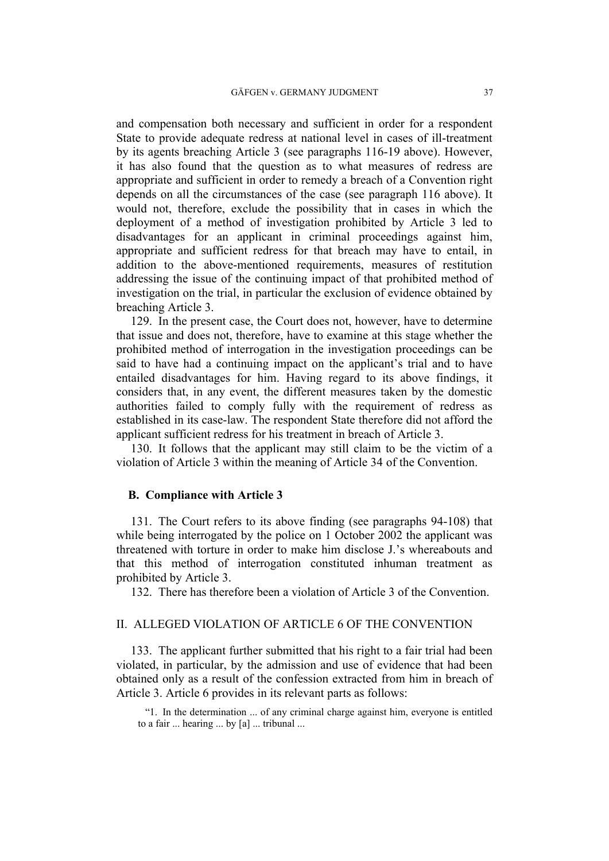and compensation both necessary and sufficient in order for a respondent State to provide adequate redress at national level in cases of ill-treatment by its agents breaching Article 3 (see paragraphs 116-19 above). However, it has also found that the question as to what measures of redress are appropriate and sufficient in order to remedy a breach of a Convention right depends on all the circumstances of the case (see paragraph 116 above). It would not, therefore, exclude the possibility that in cases in which the deployment of a method of investigation prohibited by Article 3 led to disadvantages for an applicant in criminal proceedings against him, appropriate and sufficient redress for that breach may have to entail, in addition to the above-mentioned requirements, measures of restitution addressing the issue of the continuing impact of that prohibited method of investigation on the trial, in particular the exclusion of evidence obtained by breaching Article 3.

129. In the present case, the Court does not, however, have to determine that issue and does not, therefore, have to examine at this stage whether the prohibited method of interrogation in the investigation proceedings can be said to have had a continuing impact on the applicant's trial and to have entailed disadvantages for him. Having regard to its above findings, it considers that, in any event, the different measures taken by the domestic authorities failed to comply fully with the requirement of redress as established in its case-law. The respondent State therefore did not afford the applicant sufficient redress for his treatment in breach of Article 3.

130. It follows that the applicant may still claim to be the victim of a violation of Article 3 within the meaning of Article 34 of the Convention.

#### **B. Compliance with Article 3**

131. The Court refers to its above finding (see paragraphs 94-108) that while being interrogated by the police on 1 October 2002 the applicant was threatened with torture in order to make him disclose J.'s whereabouts and that this method of interrogation constituted inhuman treatment as prohibited by Article 3.

132. There has therefore been a violation of Article 3 of the Convention.

## II. ALLEGED VIOLATION OF ARTICLE 6 OF THE CONVENTION

133. The applicant further submitted that his right to a fair trial had been violated, in particular, by the admission and use of evidence that had been obtained only as a result of the confession extracted from him in breach of Article 3. Article 6 provides in its relevant parts as follows:

"1. In the determination ... of any criminal charge against him, everyone is entitled to a fair ... hearing ... by [a] ... tribunal ...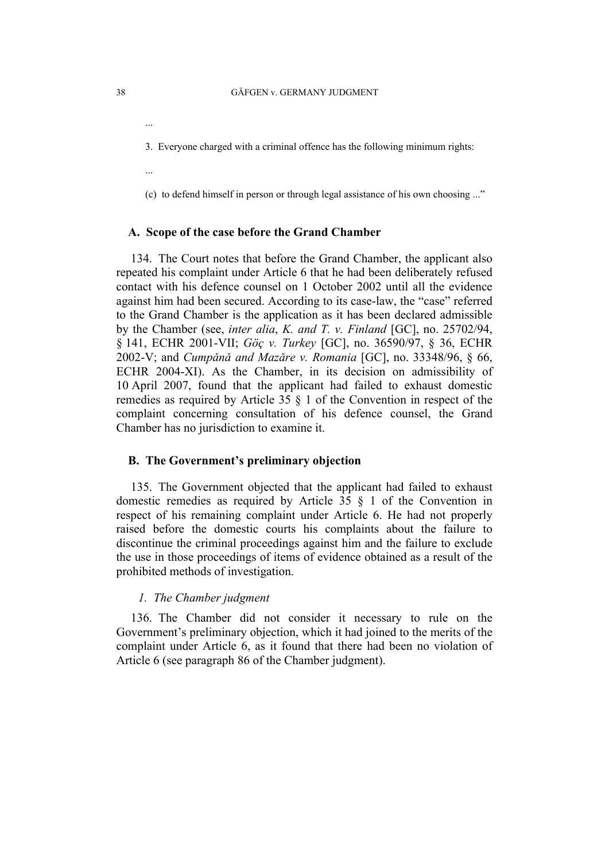3. Everyone charged with a criminal offence has the following minimum rights:

(c) to defend himself in person or through legal assistance of his own choosing ..."

## **A. Scope of the case before the Grand Chamber**

134. The Court notes that before the Grand Chamber, the applicant also repeated his complaint under Article 6 that he had been deliberately refused contact with his defence counsel on 1 October 2002 until all the evidence against him had been secured. According to its case-law, the "case" referred to the Grand Chamber is the application as it has been declared admissible by the Chamber (see, *inter alia*, *K. and T. v. Finland* [GC], no. 25702/94, § 141, ECHR 2001-VII; *Göç v. Turkey* [GC], no. 36590/97, § 36, ECHR 2002-V; and *Cumpǎnǎ and Mazǎre v. Romania* [GC], no. 33348/96, § 66, ECHR 2004-XI). As the Chamber, in its decision on admissibility of 10 April 2007, found that the applicant had failed to exhaust domestic remedies as required by Article 35 § 1 of the Convention in respect of the complaint concerning consultation of his defence counsel, the Grand Chamber has no jurisdiction to examine it.

## **B. The Government's preliminary objection**

135. The Government objected that the applicant had failed to exhaust domestic remedies as required by Article 35 § 1 of the Convention in respect of his remaining complaint under Article 6. He had not properly raised before the domestic courts his complaints about the failure to discontinue the criminal proceedings against him and the failure to exclude the use in those proceedings of items of evidence obtained as a result of the prohibited methods of investigation.

## *1. The Chamber judgment*

136. The Chamber did not consider it necessary to rule on the Government's preliminary objection, which it had joined to the merits of the complaint under Article 6, as it found that there had been no violation of Article 6 (see paragraph 86 of the Chamber judgment).

...

...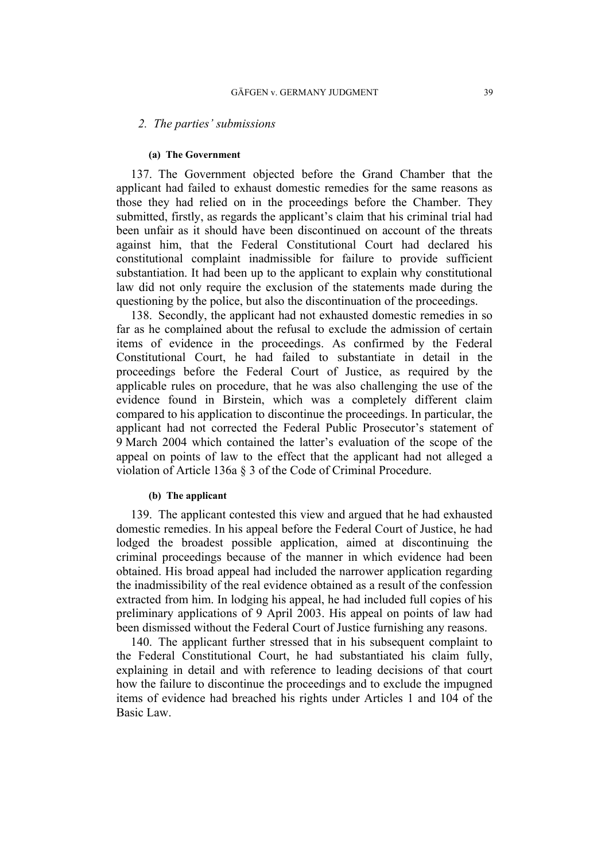#### *2. The parties' submissions*

#### **(a) The Government**

137. The Government objected before the Grand Chamber that the applicant had failed to exhaust domestic remedies for the same reasons as those they had relied on in the proceedings before the Chamber. They submitted, firstly, as regards the applicant's claim that his criminal trial had been unfair as it should have been discontinued on account of the threats against him, that the Federal Constitutional Court had declared his constitutional complaint inadmissible for failure to provide sufficient substantiation. It had been up to the applicant to explain why constitutional law did not only require the exclusion of the statements made during the questioning by the police, but also the discontinuation of the proceedings.

138. Secondly, the applicant had not exhausted domestic remedies in so far as he complained about the refusal to exclude the admission of certain items of evidence in the proceedings. As confirmed by the Federal Constitutional Court, he had failed to substantiate in detail in the proceedings before the Federal Court of Justice, as required by the applicable rules on procedure, that he was also challenging the use of the evidence found in Birstein, which was a completely different claim compared to his application to discontinue the proceedings. In particular, the applicant had not corrected the Federal Public Prosecutor's statement of 9 March 2004 which contained the latter's evaluation of the scope of the appeal on points of law to the effect that the applicant had not alleged a violation of Article 136a § 3 of the Code of Criminal Procedure.

#### **(b) The applicant**

139. The applicant contested this view and argued that he had exhausted domestic remedies. In his appeal before the Federal Court of Justice, he had lodged the broadest possible application, aimed at discontinuing the criminal proceedings because of the manner in which evidence had been obtained. His broad appeal had included the narrower application regarding the inadmissibility of the real evidence obtained as a result of the confession extracted from him. In lodging his appeal, he had included full copies of his preliminary applications of 9 April 2003. His appeal on points of law had been dismissed without the Federal Court of Justice furnishing any reasons.

140. The applicant further stressed that in his subsequent complaint to the Federal Constitutional Court, he had substantiated his claim fully, explaining in detail and with reference to leading decisions of that court how the failure to discontinue the proceedings and to exclude the impugned items of evidence had breached his rights under Articles 1 and 104 of the Basic Law.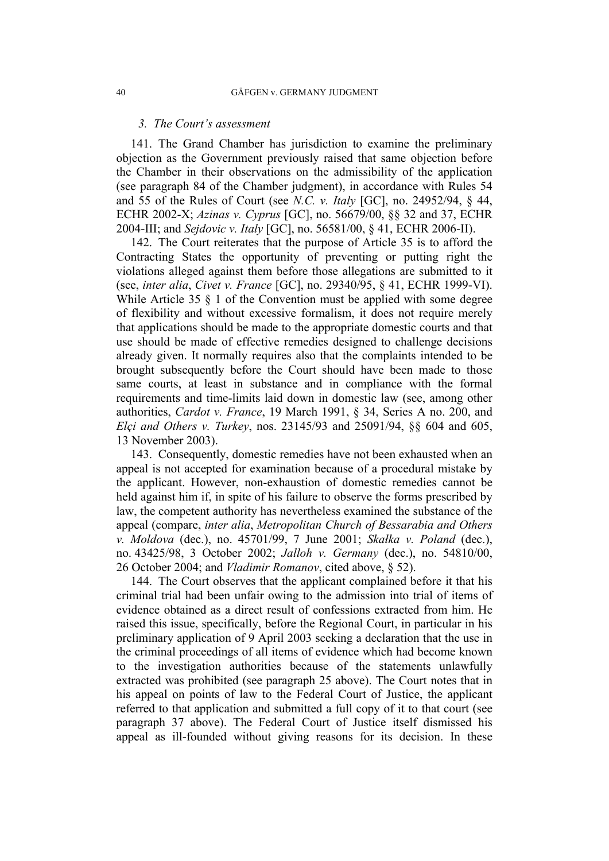#### *3. The Court's assessment*

141. The Grand Chamber has jurisdiction to examine the preliminary objection as the Government previously raised that same objection before the Chamber in their observations on the admissibility of the application (see paragraph 84 of the Chamber judgment), in accordance with Rules 54 and 55 of the Rules of Court (see *N.C. v. Italy* [GC], no. 24952/94, § 44, ECHR 2002-X; *Azinas v. Cyprus* [GC], no. 56679/00, §§ 32 and 37, ECHR 2004-III; and *Sejdovic v. Italy* [GC], no. 56581/00, § 41, ECHR 2006-II).

142. The Court reiterates that the purpose of Article 35 is to afford the Contracting States the opportunity of preventing or putting right the violations alleged against them before those allegations are submitted to it (see, *inter alia*, *Civet v. France* [GC], no. 29340/95, § 41, ECHR 1999-VI). While Article 35  $\S$  1 of the Convention must be applied with some degree of flexibility and without excessive formalism, it does not require merely that applications should be made to the appropriate domestic courts and that use should be made of effective remedies designed to challenge decisions already given. It normally requires also that the complaints intended to be brought subsequently before the Court should have been made to those same courts, at least in substance and in compliance with the formal requirements and time-limits laid down in domestic law (see, among other authorities, *Cardot v. France*, 19 March 1991, § 34, Series A no. 200, and *Elçi and Others v. Turkey*, nos. 23145/93 and 25091/94, §§ 604 and 605, 13 November 2003).

143. Consequently, domestic remedies have not been exhausted when an appeal is not accepted for examination because of a procedural mistake by the applicant. However, non-exhaustion of domestic remedies cannot be held against him if, in spite of his failure to observe the forms prescribed by law, the competent authority has nevertheless examined the substance of the appeal (compare, *inter alia*, *Metropolitan Church of Bessarabia and Others v. Moldova* (dec.), no. 45701/99, 7 June 2001; *Skałka v. Poland* (dec.), no. 43425/98, 3 October 2002; *Jalloh v. Germany* (dec.), no. 54810/00, 26 October 2004; and *Vladimir Romanov*, cited above, § 52).

144. The Court observes that the applicant complained before it that his criminal trial had been unfair owing to the admission into trial of items of evidence obtained as a direct result of confessions extracted from him. He raised this issue, specifically, before the Regional Court, in particular in his preliminary application of 9 April 2003 seeking a declaration that the use in the criminal proceedings of all items of evidence which had become known to the investigation authorities because of the statements unlawfully extracted was prohibited (see paragraph 25 above). The Court notes that in his appeal on points of law to the Federal Court of Justice, the applicant referred to that application and submitted a full copy of it to that court (see paragraph 37 above). The Federal Court of Justice itself dismissed his appeal as ill-founded without giving reasons for its decision. In these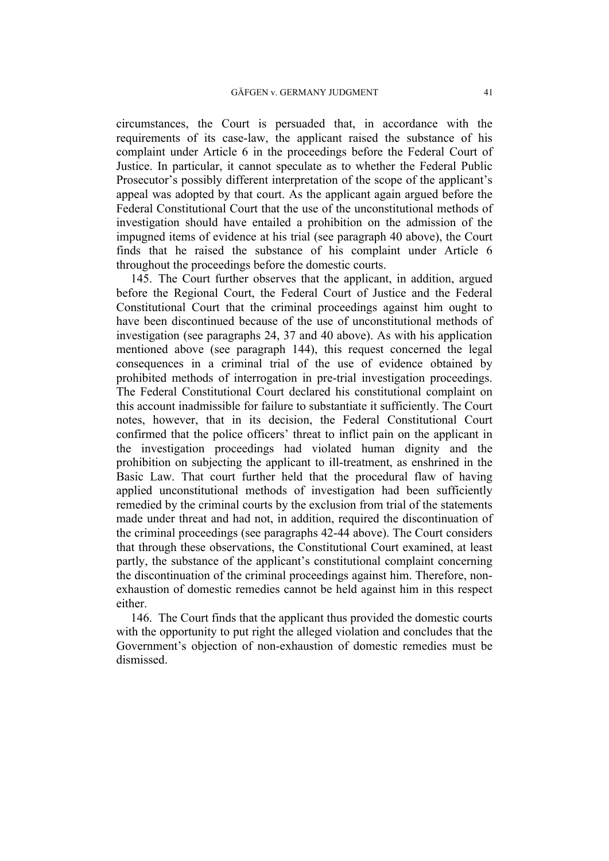circumstances, the Court is persuaded that, in accordance with the requirements of its case-law, the applicant raised the substance of his complaint under Article 6 in the proceedings before the Federal Court of Justice. In particular, it cannot speculate as to whether the Federal Public Prosecutor's possibly different interpretation of the scope of the applicant's appeal was adopted by that court. As the applicant again argued before the Federal Constitutional Court that the use of the unconstitutional methods of investigation should have entailed a prohibition on the admission of the impugned items of evidence at his trial (see paragraph 40 above), the Court finds that he raised the substance of his complaint under Article 6 throughout the proceedings before the domestic courts.

145. The Court further observes that the applicant, in addition, argued before the Regional Court, the Federal Court of Justice and the Federal Constitutional Court that the criminal proceedings against him ought to have been discontinued because of the use of unconstitutional methods of investigation (see paragraphs 24, 37 and 40 above). As with his application mentioned above (see paragraph 144), this request concerned the legal consequences in a criminal trial of the use of evidence obtained by prohibited methods of interrogation in pre-trial investigation proceedings. The Federal Constitutional Court declared his constitutional complaint on this account inadmissible for failure to substantiate it sufficiently. The Court notes, however, that in its decision, the Federal Constitutional Court confirmed that the police officers' threat to inflict pain on the applicant in the investigation proceedings had violated human dignity and the prohibition on subjecting the applicant to ill-treatment, as enshrined in the Basic Law. That court further held that the procedural flaw of having applied unconstitutional methods of investigation had been sufficiently remedied by the criminal courts by the exclusion from trial of the statements made under threat and had not, in addition, required the discontinuation of the criminal proceedings (see paragraphs 42-44 above). The Court considers that through these observations, the Constitutional Court examined, at least partly, the substance of the applicant's constitutional complaint concerning the discontinuation of the criminal proceedings against him. Therefore, nonexhaustion of domestic remedies cannot be held against him in this respect either.

146. The Court finds that the applicant thus provided the domestic courts with the opportunity to put right the alleged violation and concludes that the Government's objection of non-exhaustion of domestic remedies must be dismissed.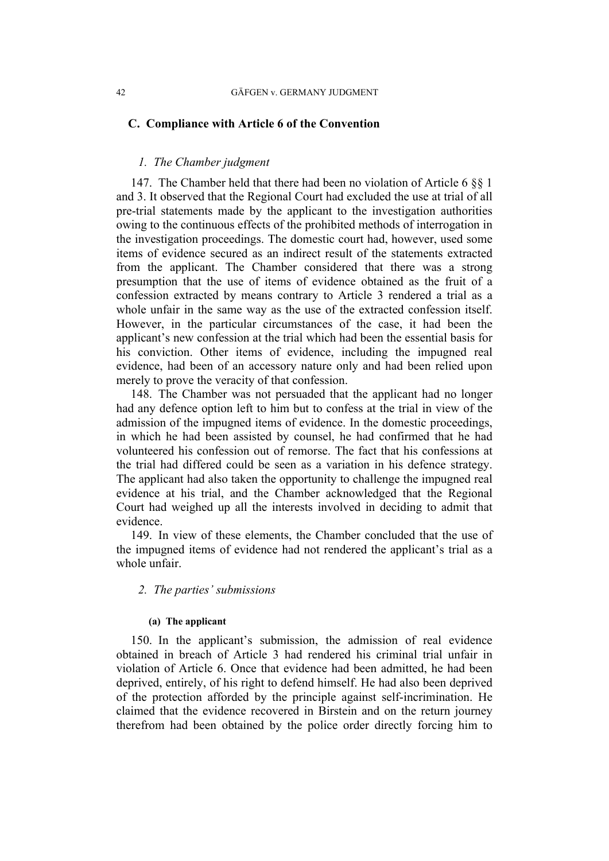## **C. Compliance with Article 6 of the Convention**

## *1. The Chamber judgment*

147. The Chamber held that there had been no violation of Article 6 §§ 1 and 3. It observed that the Regional Court had excluded the use at trial of all pre-trial statements made by the applicant to the investigation authorities owing to the continuous effects of the prohibited methods of interrogation in the investigation proceedings. The domestic court had, however, used some items of evidence secured as an indirect result of the statements extracted from the applicant. The Chamber considered that there was a strong presumption that the use of items of evidence obtained as the fruit of a confession extracted by means contrary to Article 3 rendered a trial as a whole unfair in the same way as the use of the extracted confession itself. However, in the particular circumstances of the case, it had been the applicant's new confession at the trial which had been the essential basis for his conviction. Other items of evidence, including the impugned real evidence, had been of an accessory nature only and had been relied upon merely to prove the veracity of that confession.

148. The Chamber was not persuaded that the applicant had no longer had any defence option left to him but to confess at the trial in view of the admission of the impugned items of evidence. In the domestic proceedings, in which he had been assisted by counsel, he had confirmed that he had volunteered his confession out of remorse. The fact that his confessions at the trial had differed could be seen as a variation in his defence strategy. The applicant had also taken the opportunity to challenge the impugned real evidence at his trial, and the Chamber acknowledged that the Regional Court had weighed up all the interests involved in deciding to admit that evidence.

149. In view of these elements, the Chamber concluded that the use of the impugned items of evidence had not rendered the applicant's trial as a whole unfair.

## *2. The parties' submissions*

#### **(a) The applicant**

150. In the applicant's submission, the admission of real evidence obtained in breach of Article 3 had rendered his criminal trial unfair in violation of Article 6. Once that evidence had been admitted, he had been deprived, entirely, of his right to defend himself. He had also been deprived of the protection afforded by the principle against self-incrimination. He claimed that the evidence recovered in Birstein and on the return journey therefrom had been obtained by the police order directly forcing him to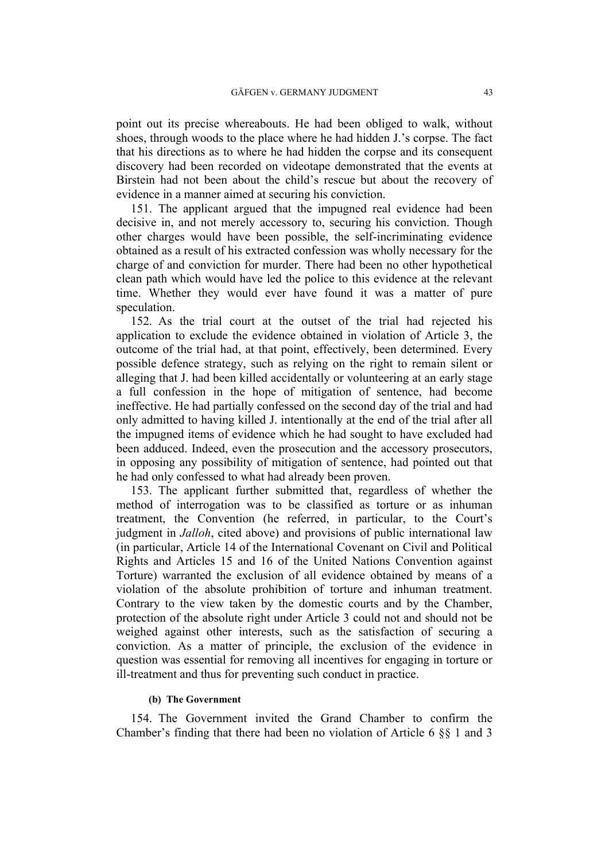point out its precise whereabouts. He had been obliged to walk, without shoes, through woods to the place where he had hidden J.'s corpse. The fact that his directions as to where he had hidden the corpse and its consequent discovery had been recorded on videotape demonstrated that the events at Birstein had not been about the child's rescue but about the recovery of evidence in a manner aimed at securing his conviction.

151. The applicant argued that the impugned real evidence had been decisive in, and not merely accessory to, securing his conviction. Though other charges would have been possible, the self-incriminating evidence obtained as a result of his extracted confession was wholly necessary for the charge of and conviction for murder. There had been no other hypothetical clean path which would have led the police to this evidence at the relevant time. Whether they would ever have found it was a matter of pure speculation.

152. As the trial court at the outset of the trial had rejected his application to exclude the evidence obtained in violation of Article 3, the outcome of the trial had, at that point, effectively, been determined. Every possible defence strategy, such as relying on the right to remain silent or alleging that J. had been killed accidentally or volunteering at an early stage a full confession in the hope of mitigation of sentence, had become ineffective. He had partially confessed on the second day of the trial and had only admitted to having killed J. intentionally at the end of the trial after all the impugned items of evidence which he had sought to have excluded had been adduced. Indeed, even the prosecution and the accessory prosecutors, in opposing any possibility of mitigation of sentence, had pointed out that he had only confessed to what had already been proven.

153. The applicant further submitted that, regardless of whether the method of interrogation was to be classified as torture or as inhuman treatment, the Convention (he referred, in particular, to the Court's judgment in *Jalloh*, cited above) and provisions of public international law (in particular, Article 14 of the International Covenant on Civil and Political Rights and Articles 15 and 16 of the United Nations Convention against Torture) warranted the exclusion of all evidence obtained by means of a violation of the absolute prohibition of torture and inhuman treatment. Contrary to the view taken by the domestic courts and by the Chamber, protection of the absolute right under Article 3 could not and should not be weighed against other interests, such as the satisfaction of securing a conviction. As a matter of principle, the exclusion of the evidence in question was essential for removing all incentives for engaging in torture or ill-treatment and thus for preventing such conduct in practice.

## **(b) The Government**

154. The Government invited the Grand Chamber to confirm the Chamber's finding that there had been no violation of Article 6 §§ 1 and 3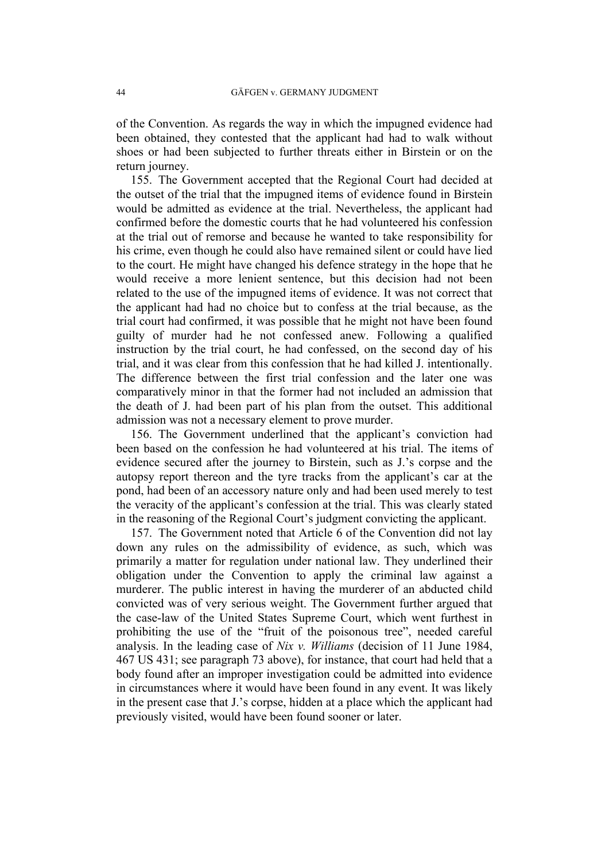of the Convention. As regards the way in which the impugned evidence had been obtained, they contested that the applicant had had to walk without shoes or had been subjected to further threats either in Birstein or on the return journey.

155. The Government accepted that the Regional Court had decided at the outset of the trial that the impugned items of evidence found in Birstein would be admitted as evidence at the trial. Nevertheless, the applicant had confirmed before the domestic courts that he had volunteered his confession at the trial out of remorse and because he wanted to take responsibility for his crime, even though he could also have remained silent or could have lied to the court. He might have changed his defence strategy in the hope that he would receive a more lenient sentence, but this decision had not been related to the use of the impugned items of evidence. It was not correct that the applicant had had no choice but to confess at the trial because, as the trial court had confirmed, it was possible that he might not have been found guilty of murder had he not confessed anew. Following a qualified instruction by the trial court, he had confessed, on the second day of his trial, and it was clear from this confession that he had killed J. intentionally. The difference between the first trial confession and the later one was comparatively minor in that the former had not included an admission that the death of J. had been part of his plan from the outset. This additional admission was not a necessary element to prove murder.

156. The Government underlined that the applicant's conviction had been based on the confession he had volunteered at his trial. The items of evidence secured after the journey to Birstein, such as J.'s corpse and the autopsy report thereon and the tyre tracks from the applicant's car at the pond, had been of an accessory nature only and had been used merely to test the veracity of the applicant's confession at the trial. This was clearly stated in the reasoning of the Regional Court's judgment convicting the applicant.

157. The Government noted that Article 6 of the Convention did not lay down any rules on the admissibility of evidence, as such, which was primarily a matter for regulation under national law. They underlined their obligation under the Convention to apply the criminal law against a murderer. The public interest in having the murderer of an abducted child convicted was of very serious weight. The Government further argued that the case-law of the United States Supreme Court, which went furthest in prohibiting the use of the "fruit of the poisonous tree", needed careful analysis. In the leading case of *Nix v. Williams* (decision of 11 June 1984, 467 US 431; see paragraph 73 above), for instance, that court had held that a body found after an improper investigation could be admitted into evidence in circumstances where it would have been found in any event. It was likely in the present case that J.'s corpse, hidden at a place which the applicant had previously visited, would have been found sooner or later.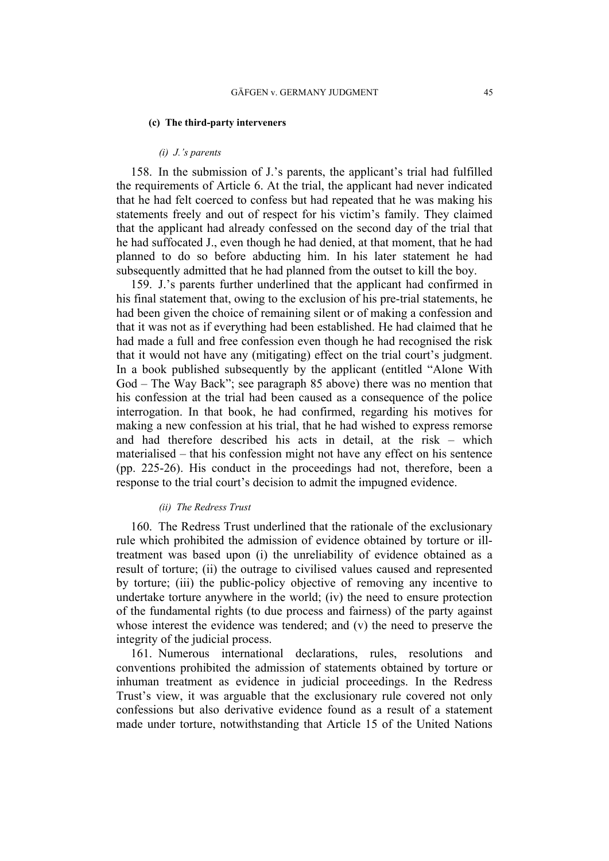#### **(c) The third-party interveners**

#### *(i) J.'s parents*

158. In the submission of J.'s parents, the applicant's trial had fulfilled the requirements of Article 6. At the trial, the applicant had never indicated that he had felt coerced to confess but had repeated that he was making his statements freely and out of respect for his victim's family. They claimed that the applicant had already confessed on the second day of the trial that he had suffocated J., even though he had denied, at that moment, that he had planned to do so before abducting him. In his later statement he had subsequently admitted that he had planned from the outset to kill the boy.

159. J.'s parents further underlined that the applicant had confirmed in his final statement that, owing to the exclusion of his pre-trial statements, he had been given the choice of remaining silent or of making a confession and that it was not as if everything had been established. He had claimed that he had made a full and free confession even though he had recognised the risk that it would not have any (mitigating) effect on the trial court's judgment. In a book published subsequently by the applicant (entitled "Alone With God – The Way Back"; see paragraph 85 above) there was no mention that his confession at the trial had been caused as a consequence of the police interrogation. In that book, he had confirmed, regarding his motives for making a new confession at his trial, that he had wished to express remorse and had therefore described his acts in detail, at the risk – which materialised – that his confession might not have any effect on his sentence (pp. 225-26). His conduct in the proceedings had not, therefore, been a response to the trial court's decision to admit the impugned evidence.

#### *(ii) The Redress Trust*

160. The Redress Trust underlined that the rationale of the exclusionary rule which prohibited the admission of evidence obtained by torture or illtreatment was based upon (i) the unreliability of evidence obtained as a result of torture; (ii) the outrage to civilised values caused and represented by torture; (iii) the public-policy objective of removing any incentive to undertake torture anywhere in the world; (iv) the need to ensure protection of the fundamental rights (to due process and fairness) of the party against whose interest the evidence was tendered; and (v) the need to preserve the integrity of the judicial process.

161. Numerous international declarations, rules, resolutions and conventions prohibited the admission of statements obtained by torture or inhuman treatment as evidence in judicial proceedings. In the Redress Trust's view, it was arguable that the exclusionary rule covered not only confessions but also derivative evidence found as a result of a statement made under torture, notwithstanding that Article 15 of the United Nations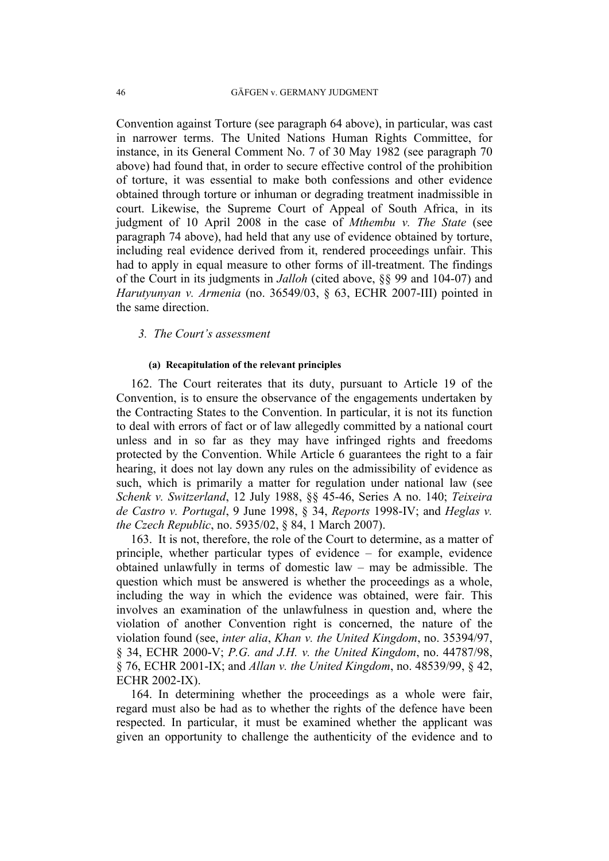Convention against Torture (see paragraph 64 above), in particular, was cast in narrower terms. The United Nations Human Rights Committee, for instance, in its General Comment No. 7 of 30 May 1982 (see paragraph 70 above) had found that, in order to secure effective control of the prohibition of torture, it was essential to make both confessions and other evidence obtained through torture or inhuman or degrading treatment inadmissible in court. Likewise, the Supreme Court of Appeal of South Africa, in its judgment of 10 April 2008 in the case of *Mthembu v. The State* (see paragraph 74 above), had held that any use of evidence obtained by torture, including real evidence derived from it, rendered proceedings unfair. This had to apply in equal measure to other forms of ill-treatment. The findings of the Court in its judgments in *Jalloh* (cited above, §§ 99 and 104-07) and *Harutyunyan v. Armenia* (no. 36549/03, § 63, ECHR 2007-III) pointed in the same direction.

*3. The Court's assessment*

#### **(a) Recapitulation of the relevant principles**

162. The Court reiterates that its duty, pursuant to Article 19 of the Convention, is to ensure the observance of the engagements undertaken by the Contracting States to the Convention. In particular, it is not its function to deal with errors of fact or of law allegedly committed by a national court unless and in so far as they may have infringed rights and freedoms protected by the Convention. While Article 6 guarantees the right to a fair hearing, it does not lay down any rules on the admissibility of evidence as such, which is primarily a matter for regulation under national law (see *Schenk v. Switzerland*, 12 July 1988, §§ 45-46, Series A no. 140; *Teixeira de Castro v. Portugal*, 9 June 1998, § 34, *Reports* 1998-IV; and *Heglas v. the Czech Republic*, no. 5935/02, § 84, 1 March 2007).

163. It is not, therefore, the role of the Court to determine, as a matter of principle, whether particular types of evidence – for example, evidence obtained unlawfully in terms of domestic law – may be admissible. The question which must be answered is whether the proceedings as a whole, including the way in which the evidence was obtained, were fair. This involves an examination of the unlawfulness in question and, where the violation of another Convention right is concerned, the nature of the violation found (see, *inter alia*, *Khan v. the United Kingdom*, no. 35394/97, § 34, ECHR 2000-V; *P.G. and J.H. v. the United Kingdom*, no. 44787/98, § 76, ECHR 2001-IX; and *Allan v. the United Kingdom*, no. 48539/99, § 42, ECHR 2002-IX).

164. In determining whether the proceedings as a whole were fair, regard must also be had as to whether the rights of the defence have been respected. In particular, it must be examined whether the applicant was given an opportunity to challenge the authenticity of the evidence and to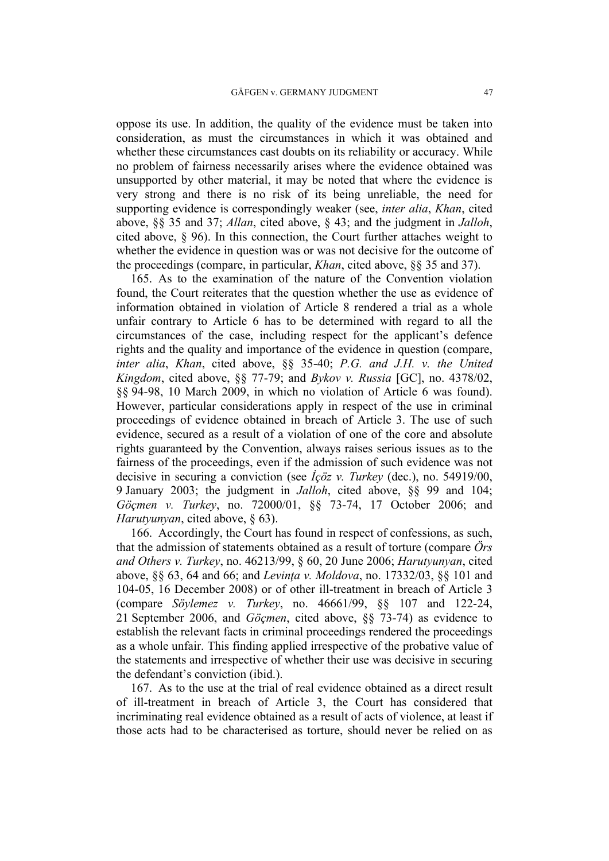oppose its use. In addition, the quality of the evidence must be taken into consideration, as must the circumstances in which it was obtained and whether these circumstances cast doubts on its reliability or accuracy. While no problem of fairness necessarily arises where the evidence obtained was unsupported by other material, it may be noted that where the evidence is very strong and there is no risk of its being unreliable, the need for supporting evidence is correspondingly weaker (see, *inter alia*, *Khan*, cited above, §§ 35 and 37; *Allan*, cited above, § 43; and the judgment in *Jalloh*, cited above, § 96). In this connection, the Court further attaches weight to whether the evidence in question was or was not decisive for the outcome of the proceedings (compare, in particular, *Khan*, cited above, §§ 35 and 37).

165. As to the examination of the nature of the Convention violation found, the Court reiterates that the question whether the use as evidence of information obtained in violation of Article 8 rendered a trial as a whole unfair contrary to Article 6 has to be determined with regard to all the circumstances of the case, including respect for the applicant's defence rights and the quality and importance of the evidence in question (compare, *inter alia*, *Khan*, cited above, §§ 35-40; *P.G. and J.H. v. the United Kingdom*, cited above, §§ 77-79; and *Bykov v. Russia* [GC], no. 4378/02, §§ 94-98, 10 March 2009, in which no violation of Article 6 was found). However, particular considerations apply in respect of the use in criminal proceedings of evidence obtained in breach of Article 3. The use of such evidence, secured as a result of a violation of one of the core and absolute rights guaranteed by the Convention, always raises serious issues as to the fairness of the proceedings, even if the admission of such evidence was not decisive in securing a conviction (see *İçöz v. Turkey* (dec.), no. 54919/00, 9 January 2003; the judgment in *Jalloh*, cited above, §§ 99 and 104; *Göçmen v. Turkey*, no. 72000/01, §§ 73-74, 17 October 2006; and *Harutyunyan*, cited above, § 63).

166. Accordingly, the Court has found in respect of confessions, as such, that the admission of statements obtained as a result of torture (compare *Örs and Others v. Turkey*, no. 46213/99, § 60, 20 June 2006; *Harutyunyan*, cited above, §§ 63, 64 and 66; and *Levinţa v. Moldova*, no. 17332/03, §§ 101 and 104-05, 16 December 2008) or of other ill-treatment in breach of Article 3 (compare *Söylemez v. Turkey*, no. 46661/99, §§ 107 and 122-24, 21 September 2006, and *Göçmen*, cited above, §§ 73-74) as evidence to establish the relevant facts in criminal proceedings rendered the proceedings as a whole unfair. This finding applied irrespective of the probative value of the statements and irrespective of whether their use was decisive in securing the defendant's conviction (ibid.).

167. As to the use at the trial of real evidence obtained as a direct result of ill-treatment in breach of Article 3, the Court has considered that incriminating real evidence obtained as a result of acts of violence, at least if those acts had to be characterised as torture, should never be relied on as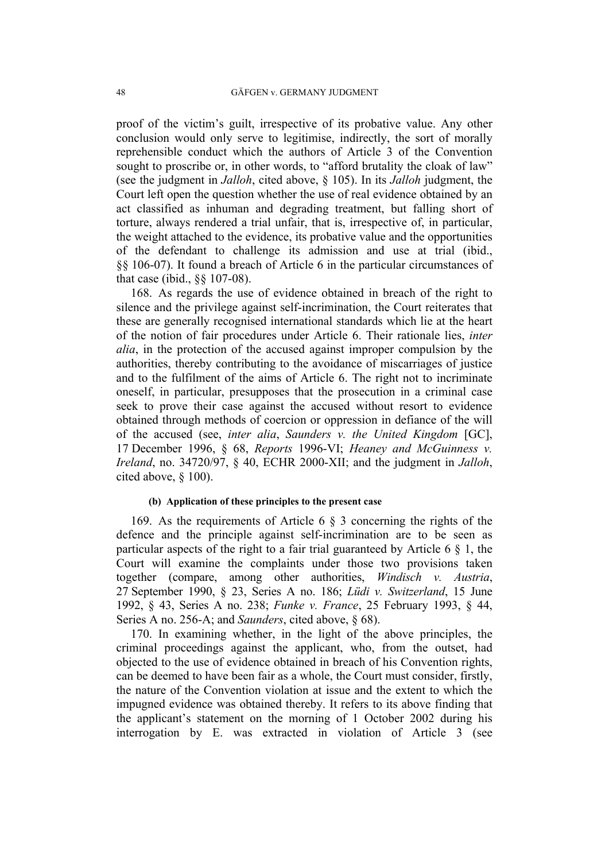proof of the victim's guilt, irrespective of its probative value. Any other conclusion would only serve to legitimise, indirectly, the sort of morally reprehensible conduct which the authors of Article 3 of the Convention sought to proscribe or, in other words, to "afford brutality the cloak of law" (see the judgment in *Jalloh*, cited above, § 105). In its *Jalloh* judgment, the Court left open the question whether the use of real evidence obtained by an act classified as inhuman and degrading treatment, but falling short of torture, always rendered a trial unfair, that is, irrespective of, in particular, the weight attached to the evidence, its probative value and the opportunities of the defendant to challenge its admission and use at trial (ibid., §§ 106-07). It found a breach of Article 6 in the particular circumstances of that case (ibid., §§ 107-08).

168. As regards the use of evidence obtained in breach of the right to silence and the privilege against self-incrimination, the Court reiterates that these are generally recognised international standards which lie at the heart of the notion of fair procedures under Article 6. Their rationale lies, *inter alia*, in the protection of the accused against improper compulsion by the authorities, thereby contributing to the avoidance of miscarriages of justice and to the fulfilment of the aims of Article 6. The right not to incriminate oneself, in particular, presupposes that the prosecution in a criminal case seek to prove their case against the accused without resort to evidence obtained through methods of coercion or oppression in defiance of the will of the accused (see, *inter alia*, *Saunders v. the United Kingdom* [GC], 17 December 1996, § 68, *Reports* 1996-VI; *Heaney and McGuinness v. Ireland*, no. 34720/97, § 40, ECHR 2000-XII; and the judgment in *Jalloh*, cited above, § 100).

#### **(b) Application of these principles to the present case**

169. As the requirements of Article 6 § 3 concerning the rights of the defence and the principle against self-incrimination are to be seen as particular aspects of the right to a fair trial guaranteed by Article 6 § 1, the Court will examine the complaints under those two provisions taken together (compare, among other authorities, *Windisch v. Austria*, 27 September 1990, § 23, Series A no. 186; *Lüdi v. Switzerland*, 15 June 1992, § 43, Series A no. 238; *Funke v. France*, 25 February 1993, § 44, Series A no. 256-A; and *Saunders*, cited above, § 68).

170. In examining whether, in the light of the above principles, the criminal proceedings against the applicant, who, from the outset, had objected to the use of evidence obtained in breach of his Convention rights, can be deemed to have been fair as a whole, the Court must consider, firstly, the nature of the Convention violation at issue and the extent to which the impugned evidence was obtained thereby. It refers to its above finding that the applicant's statement on the morning of 1 October 2002 during his interrogation by E. was extracted in violation of Article 3 (see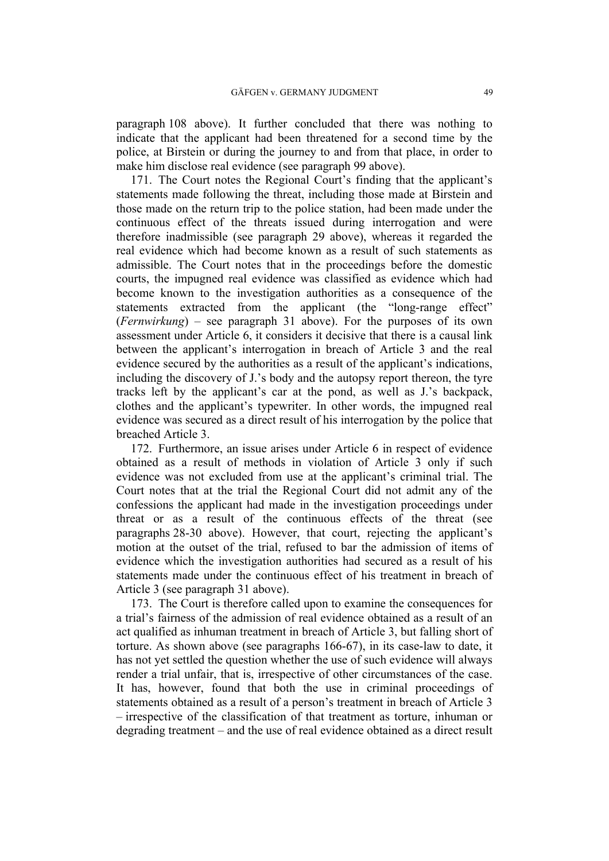paragraph 108 above). It further concluded that there was nothing to indicate that the applicant had been threatened for a second time by the police, at Birstein or during the journey to and from that place, in order to make him disclose real evidence (see paragraph 99 above).

171. The Court notes the Regional Court's finding that the applicant's statements made following the threat, including those made at Birstein and those made on the return trip to the police station, had been made under the continuous effect of the threats issued during interrogation and were therefore inadmissible (see paragraph 29 above), whereas it regarded the real evidence which had become known as a result of such statements as admissible. The Court notes that in the proceedings before the domestic courts, the impugned real evidence was classified as evidence which had become known to the investigation authorities as a consequence of the statements extracted from the applicant (the "long-range effect" (*Fernwirkung*) – see paragraph 31 above). For the purposes of its own assessment under Article 6, it considers it decisive that there is a causal link between the applicant's interrogation in breach of Article 3 and the real evidence secured by the authorities as a result of the applicant's indications, including the discovery of J.'s body and the autopsy report thereon, the tyre tracks left by the applicant's car at the pond, as well as J.'s backpack, clothes and the applicant's typewriter. In other words, the impugned real evidence was secured as a direct result of his interrogation by the police that breached Article 3.

172. Furthermore, an issue arises under Article 6 in respect of evidence obtained as a result of methods in violation of Article 3 only if such evidence was not excluded from use at the applicant's criminal trial. The Court notes that at the trial the Regional Court did not admit any of the confessions the applicant had made in the investigation proceedings under threat or as a result of the continuous effects of the threat (see paragraphs 28-30 above). However, that court, rejecting the applicant's motion at the outset of the trial, refused to bar the admission of items of evidence which the investigation authorities had secured as a result of his statements made under the continuous effect of his treatment in breach of Article 3 (see paragraph 31 above).

173. The Court is therefore called upon to examine the consequences for a trial's fairness of the admission of real evidence obtained as a result of an act qualified as inhuman treatment in breach of Article 3, but falling short of torture. As shown above (see paragraphs 166-67), in its case-law to date, it has not yet settled the question whether the use of such evidence will always render a trial unfair, that is, irrespective of other circumstances of the case. It has, however, found that both the use in criminal proceedings of statements obtained as a result of a person's treatment in breach of Article 3 – irrespective of the classification of that treatment as torture, inhuman or degrading treatment – and the use of real evidence obtained as a direct result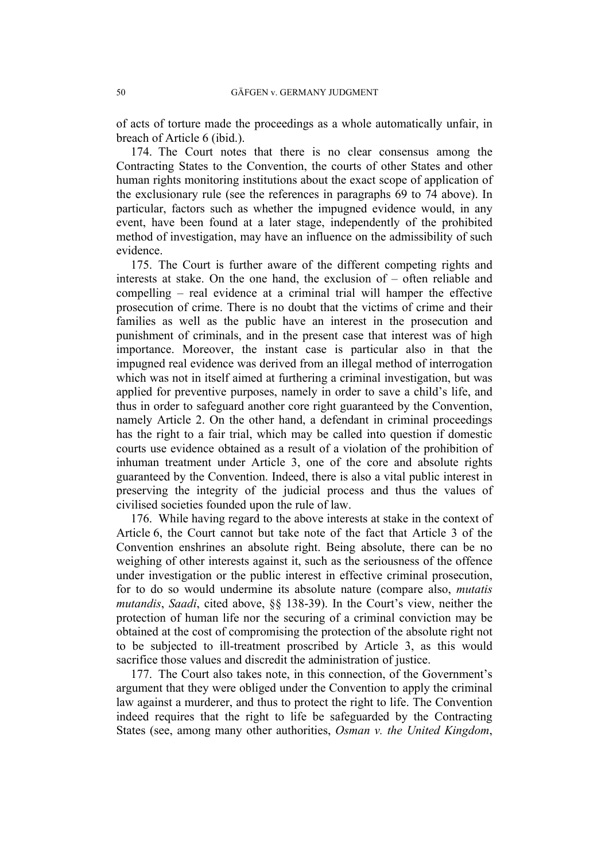of acts of torture made the proceedings as a whole automatically unfair, in breach of Article 6 (ibid.).

174. The Court notes that there is no clear consensus among the Contracting States to the Convention, the courts of other States and other human rights monitoring institutions about the exact scope of application of the exclusionary rule (see the references in paragraphs 69 to 74 above). In particular, factors such as whether the impugned evidence would, in any event, have been found at a later stage, independently of the prohibited method of investigation, may have an influence on the admissibility of such evidence.

175. The Court is further aware of the different competing rights and interests at stake. On the one hand, the exclusion of – often reliable and compelling – real evidence at a criminal trial will hamper the effective prosecution of crime. There is no doubt that the victims of crime and their families as well as the public have an interest in the prosecution and punishment of criminals, and in the present case that interest was of high importance. Moreover, the instant case is particular also in that the impugned real evidence was derived from an illegal method of interrogation which was not in itself aimed at furthering a criminal investigation, but was applied for preventive purposes, namely in order to save a child's life, and thus in order to safeguard another core right guaranteed by the Convention, namely Article 2. On the other hand, a defendant in criminal proceedings has the right to a fair trial, which may be called into question if domestic courts use evidence obtained as a result of a violation of the prohibition of inhuman treatment under Article 3, one of the core and absolute rights guaranteed by the Convention. Indeed, there is also a vital public interest in preserving the integrity of the judicial process and thus the values of civilised societies founded upon the rule of law.

176. While having regard to the above interests at stake in the context of Article 6, the Court cannot but take note of the fact that Article 3 of the Convention enshrines an absolute right. Being absolute, there can be no weighing of other interests against it, such as the seriousness of the offence under investigation or the public interest in effective criminal prosecution, for to do so would undermine its absolute nature (compare also, *mutatis mutandis*, *Saadi*, cited above, §§ 138-39). In the Court's view, neither the protection of human life nor the securing of a criminal conviction may be obtained at the cost of compromising the protection of the absolute right not to be subjected to ill-treatment proscribed by Article 3, as this would sacrifice those values and discredit the administration of justice.

177. The Court also takes note, in this connection, of the Government's argument that they were obliged under the Convention to apply the criminal law against a murderer, and thus to protect the right to life. The Convention indeed requires that the right to life be safeguarded by the Contracting States (see, among many other authorities, *Osman v. the United Kingdom*,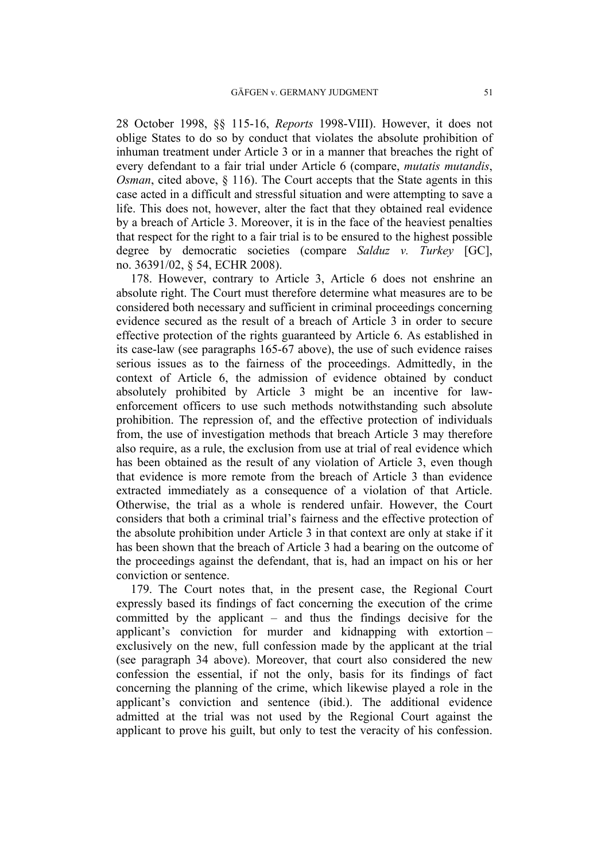28 October 1998, §§ 115-16, *Reports* 1998-VIII). However, it does not oblige States to do so by conduct that violates the absolute prohibition of inhuman treatment under Article 3 or in a manner that breaches the right of every defendant to a fair trial under Article 6 (compare, *mutatis mutandis*, *Osman*, cited above,  $\S$  116). The Court accepts that the State agents in this case acted in a difficult and stressful situation and were attempting to save a life. This does not, however, alter the fact that they obtained real evidence by a breach of Article 3. Moreover, it is in the face of the heaviest penalties that respect for the right to a fair trial is to be ensured to the highest possible degree by democratic societies (compare *Salduz v. Turkey* [GC], no. 36391/02, § 54, ECHR 2008).

178. However, contrary to Article 3, Article 6 does not enshrine an absolute right. The Court must therefore determine what measures are to be considered both necessary and sufficient in criminal proceedings concerning evidence secured as the result of a breach of Article 3 in order to secure effective protection of the rights guaranteed by Article 6. As established in its case-law (see paragraphs 165-67 above), the use of such evidence raises serious issues as to the fairness of the proceedings. Admittedly, in the context of Article 6, the admission of evidence obtained by conduct absolutely prohibited by Article 3 might be an incentive for lawenforcement officers to use such methods notwithstanding such absolute prohibition. The repression of, and the effective protection of individuals from, the use of investigation methods that breach Article 3 may therefore also require, as a rule, the exclusion from use at trial of real evidence which has been obtained as the result of any violation of Article 3, even though that evidence is more remote from the breach of Article 3 than evidence extracted immediately as a consequence of a violation of that Article. Otherwise, the trial as a whole is rendered unfair. However, the Court considers that both a criminal trial's fairness and the effective protection of the absolute prohibition under Article 3 in that context are only at stake if it has been shown that the breach of Article 3 had a bearing on the outcome of the proceedings against the defendant, that is, had an impact on his or her conviction or sentence.

179. The Court notes that, in the present case, the Regional Court expressly based its findings of fact concerning the execution of the crime committed by the applicant – and thus the findings decisive for the applicant's conviction for murder and kidnapping with extortion – exclusively on the new, full confession made by the applicant at the trial (see paragraph 34 above). Moreover, that court also considered the new confession the essential, if not the only, basis for its findings of fact concerning the planning of the crime, which likewise played a role in the applicant's conviction and sentence (ibid.). The additional evidence admitted at the trial was not used by the Regional Court against the applicant to prove his guilt, but only to test the veracity of his confession.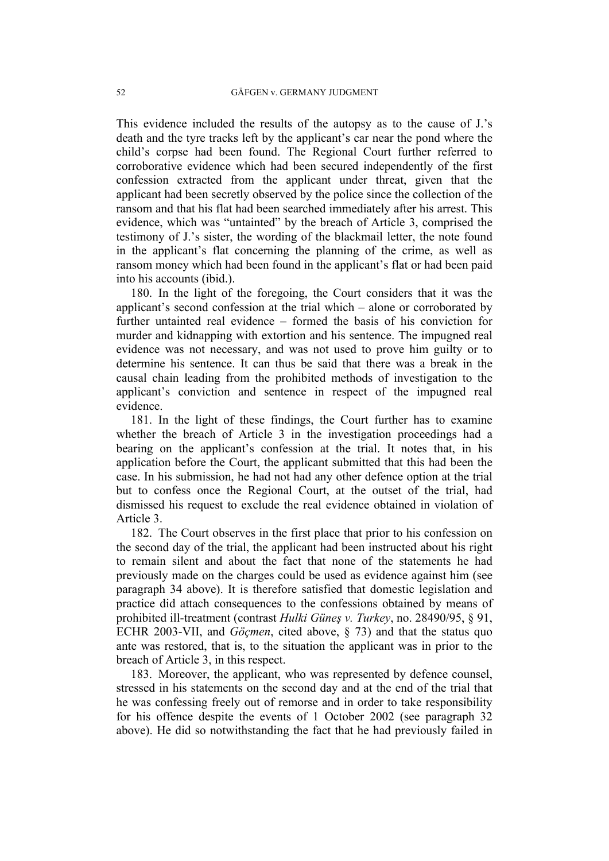This evidence included the results of the autopsy as to the cause of J.'s death and the tyre tracks left by the applicant's car near the pond where the child's corpse had been found. The Regional Court further referred to corroborative evidence which had been secured independently of the first confession extracted from the applicant under threat, given that the applicant had been secretly observed by the police since the collection of the ransom and that his flat had been searched immediately after his arrest. This evidence, which was "untainted" by the breach of Article 3, comprised the testimony of J.'s sister, the wording of the blackmail letter, the note found in the applicant's flat concerning the planning of the crime, as well as ransom money which had been found in the applicant's flat or had been paid into his accounts (ibid.).

180. In the light of the foregoing, the Court considers that it was the applicant's second confession at the trial which – alone or corroborated by further untainted real evidence – formed the basis of his conviction for murder and kidnapping with extortion and his sentence. The impugned real evidence was not necessary, and was not used to prove him guilty or to determine his sentence. It can thus be said that there was a break in the causal chain leading from the prohibited methods of investigation to the applicant's conviction and sentence in respect of the impugned real evidence.

181. In the light of these findings, the Court further has to examine whether the breach of Article 3 in the investigation proceedings had a bearing on the applicant's confession at the trial. It notes that, in his application before the Court, the applicant submitted that this had been the case. In his submission, he had not had any other defence option at the trial but to confess once the Regional Court, at the outset of the trial, had dismissed his request to exclude the real evidence obtained in violation of Article 3.

182. The Court observes in the first place that prior to his confession on the second day of the trial, the applicant had been instructed about his right to remain silent and about the fact that none of the statements he had previously made on the charges could be used as evidence against him (see paragraph 34 above). It is therefore satisfied that domestic legislation and practice did attach consequences to the confessions obtained by means of prohibited ill-treatment (contrast *Hulki Güneş v. Turkey*, no. 28490/95, § 91, ECHR 2003-VII, and *Göçmen*, cited above, § 73) and that the status quo ante was restored, that is, to the situation the applicant was in prior to the breach of Article 3, in this respect.

183. Moreover, the applicant, who was represented by defence counsel, stressed in his statements on the second day and at the end of the trial that he was confessing freely out of remorse and in order to take responsibility for his offence despite the events of 1 October 2002 (see paragraph 32 above). He did so notwithstanding the fact that he had previously failed in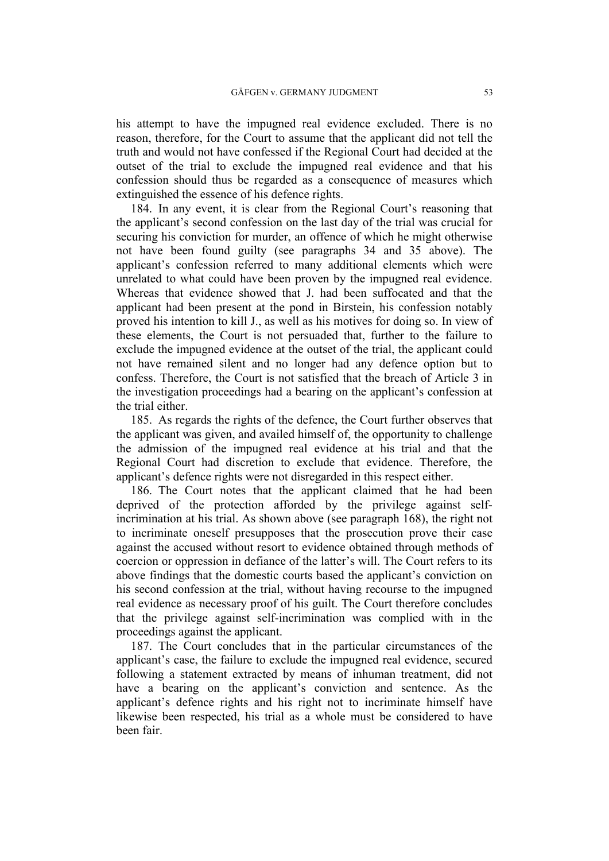his attempt to have the impugned real evidence excluded. There is no reason, therefore, for the Court to assume that the applicant did not tell the truth and would not have confessed if the Regional Court had decided at the outset of the trial to exclude the impugned real evidence and that his confession should thus be regarded as a consequence of measures which extinguished the essence of his defence rights.

184. In any event, it is clear from the Regional Court's reasoning that the applicant's second confession on the last day of the trial was crucial for securing his conviction for murder, an offence of which he might otherwise not have been found guilty (see paragraphs 34 and 35 above). The applicant's confession referred to many additional elements which were unrelated to what could have been proven by the impugned real evidence. Whereas that evidence showed that J. had been suffocated and that the applicant had been present at the pond in Birstein, his confession notably proved his intention to kill J., as well as his motives for doing so. In view of these elements, the Court is not persuaded that, further to the failure to exclude the impugned evidence at the outset of the trial, the applicant could not have remained silent and no longer had any defence option but to confess. Therefore, the Court is not satisfied that the breach of Article 3 in the investigation proceedings had a bearing on the applicant's confession at the trial either.

185. As regards the rights of the defence, the Court further observes that the applicant was given, and availed himself of, the opportunity to challenge the admission of the impugned real evidence at his trial and that the Regional Court had discretion to exclude that evidence. Therefore, the applicant's defence rights were not disregarded in this respect either.

186. The Court notes that the applicant claimed that he had been deprived of the protection afforded by the privilege against selfincrimination at his trial. As shown above (see paragraph 168), the right not to incriminate oneself presupposes that the prosecution prove their case against the accused without resort to evidence obtained through methods of coercion or oppression in defiance of the latter's will. The Court refers to its above findings that the domestic courts based the applicant's conviction on his second confession at the trial, without having recourse to the impugned real evidence as necessary proof of his guilt. The Court therefore concludes that the privilege against self-incrimination was complied with in the proceedings against the applicant.

187. The Court concludes that in the particular circumstances of the applicant's case, the failure to exclude the impugned real evidence, secured following a statement extracted by means of inhuman treatment, did not have a bearing on the applicant's conviction and sentence. As the applicant's defence rights and his right not to incriminate himself have likewise been respected, his trial as a whole must be considered to have been fair.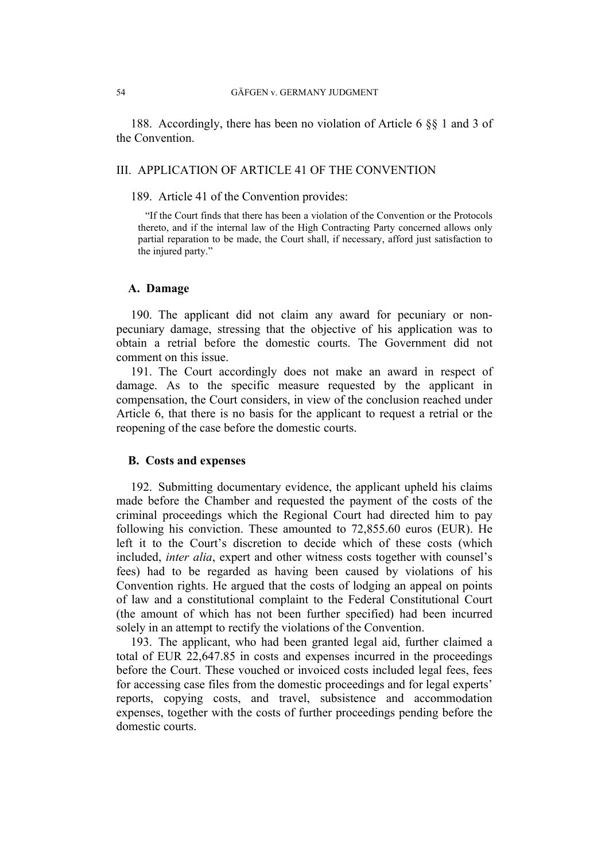188. Accordingly, there has been no violation of Article 6 §§ 1 and 3 of the Convention.

### III. APPLICATION OF ARTICLE 41 OF THE CONVENTION

#### 189. Article 41 of the Convention provides:

"If the Court finds that there has been a violation of the Convention or the Protocols thereto, and if the internal law of the High Contracting Party concerned allows only partial reparation to be made, the Court shall, if necessary, afford just satisfaction to the injured party."

## **A. Damage**

190. The applicant did not claim any award for pecuniary or nonpecuniary damage, stressing that the objective of his application was to obtain a retrial before the domestic courts. The Government did not comment on this issue.

191. The Court accordingly does not make an award in respect of damage. As to the specific measure requested by the applicant in compensation, the Court considers, in view of the conclusion reached under Article 6, that there is no basis for the applicant to request a retrial or the reopening of the case before the domestic courts.

## **B. Costs and expenses**

192. Submitting documentary evidence, the applicant upheld his claims made before the Chamber and requested the payment of the costs of the criminal proceedings which the Regional Court had directed him to pay following his conviction. These amounted to 72,855.60 euros (EUR). He left it to the Court's discretion to decide which of these costs (which included, *inter alia*, expert and other witness costs together with counsel's fees) had to be regarded as having been caused by violations of his Convention rights. He argued that the costs of lodging an appeal on points of law and a constitutional complaint to the Federal Constitutional Court (the amount of which has not been further specified) had been incurred solely in an attempt to rectify the violations of the Convention.

193. The applicant, who had been granted legal aid, further claimed a total of EUR 22,647.85 in costs and expenses incurred in the proceedings before the Court. These vouched or invoiced costs included legal fees, fees for accessing case files from the domestic proceedings and for legal experts' reports, copying costs, and travel, subsistence and accommodation expenses, together with the costs of further proceedings pending before the domestic courts.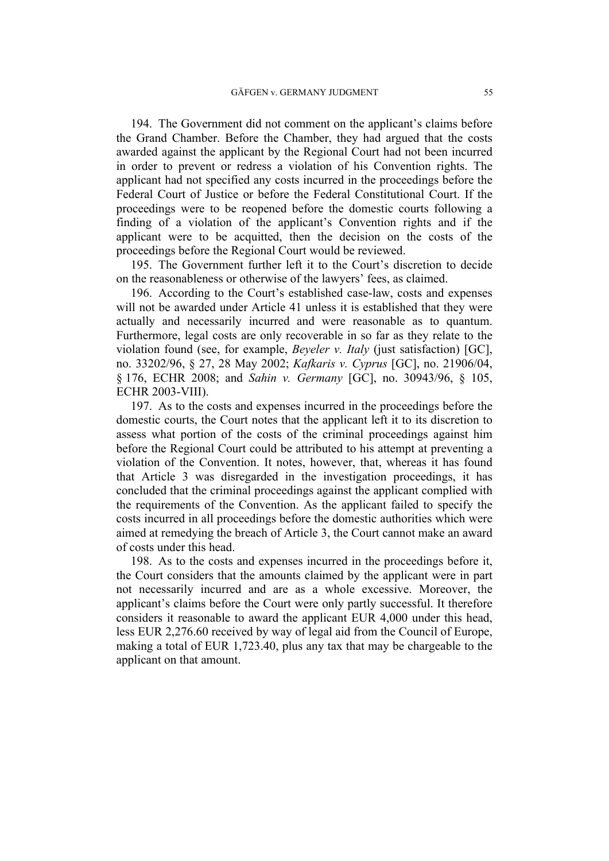194. The Government did not comment on the applicant's claims before the Grand Chamber. Before the Chamber, they had argued that the costs awarded against the applicant by the Regional Court had not been incurred in order to prevent or redress a violation of his Convention rights. The applicant had not specified any costs incurred in the proceedings before the Federal Court of Justice or before the Federal Constitutional Court. If the proceedings were to be reopened before the domestic courts following a finding of a violation of the applicant's Convention rights and if the applicant were to be acquitted, then the decision on the costs of the proceedings before the Regional Court would be reviewed.

195. The Government further left it to the Court's discretion to decide on the reasonableness or otherwise of the lawyers' fees, as claimed.

196. According to the Court's established case-law, costs and expenses will not be awarded under Article 41 unless it is established that they were actually and necessarily incurred and were reasonable as to quantum. Furthermore, legal costs are only recoverable in so far as they relate to the violation found (see, for example, *Beyeler v. Italy* (just satisfaction) [GC], no. 33202/96, § 27, 28 May 2002; *Kafkaris v. Cyprus* [GC], no. 21906/04, § 176, ECHR 2008; and *Sahin v. Germany* [GC], no. 30943/96, § 105, ECHR 2003-VIII).

197. As to the costs and expenses incurred in the proceedings before the domestic courts, the Court notes that the applicant left it to its discretion to assess what portion of the costs of the criminal proceedings against him before the Regional Court could be attributed to his attempt at preventing a violation of the Convention. It notes, however, that, whereas it has found that Article 3 was disregarded in the investigation proceedings, it has concluded that the criminal proceedings against the applicant complied with the requirements of the Convention. As the applicant failed to specify the costs incurred in all proceedings before the domestic authorities which were aimed at remedying the breach of Article 3, the Court cannot make an award of costs under this head.

198. As to the costs and expenses incurred in the proceedings before it, the Court considers that the amounts claimed by the applicant were in part not necessarily incurred and are as a whole excessive. Moreover, the applicant's claims before the Court were only partly successful. It therefore considers it reasonable to award the applicant EUR 4,000 under this head, less EUR 2,276.60 received by way of legal aid from the Council of Europe, making a total of EUR 1,723.40, plus any tax that may be chargeable to the applicant on that amount.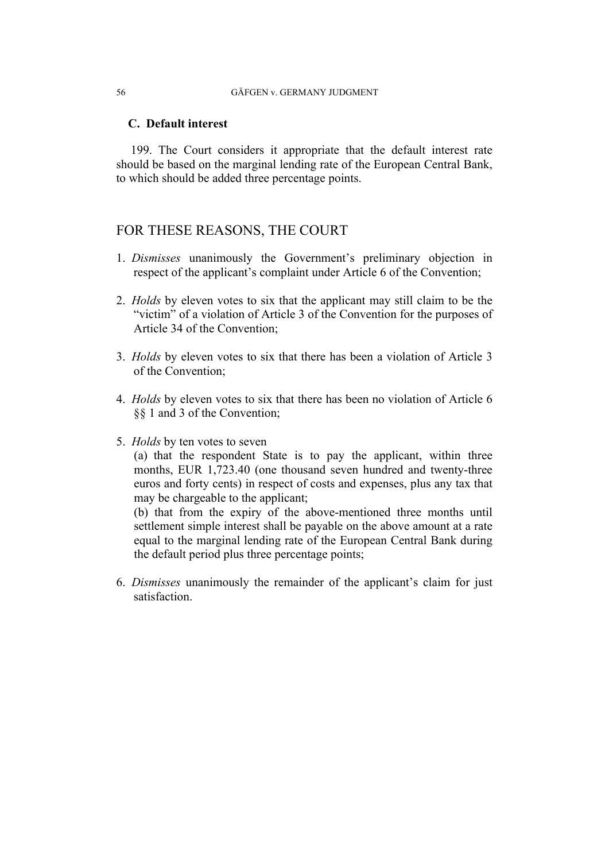## **C. Default interest**

199. The Court considers it appropriate that the default interest rate should be based on the marginal lending rate of the European Central Bank, to which should be added three percentage points.

## FOR THESE REASONS, THE COURT

- 1. *Dismisses* unanimously the Government's preliminary objection in respect of the applicant's complaint under Article 6 of the Convention;
- 2. *Holds* by eleven votes to six that the applicant may still claim to be the "victim" of a violation of Article 3 of the Convention for the purposes of Article 34 of the Convention;
- 3. *Holds* by eleven votes to six that there has been a violation of Article 3 of the Convention;
- 4. *Holds* by eleven votes to six that there has been no violation of Article 6 §§ 1 and 3 of the Convention;
- 5. *Holds* by ten votes to seven

(a) that the respondent State is to pay the applicant, within three months, EUR 1,723.40 (one thousand seven hundred and twenty-three euros and forty cents) in respect of costs and expenses, plus any tax that may be chargeable to the applicant;

(b) that from the expiry of the above-mentioned three months until settlement simple interest shall be payable on the above amount at a rate equal to the marginal lending rate of the European Central Bank during the default period plus three percentage points;

6. *Dismisses* unanimously the remainder of the applicant's claim for just satisfaction.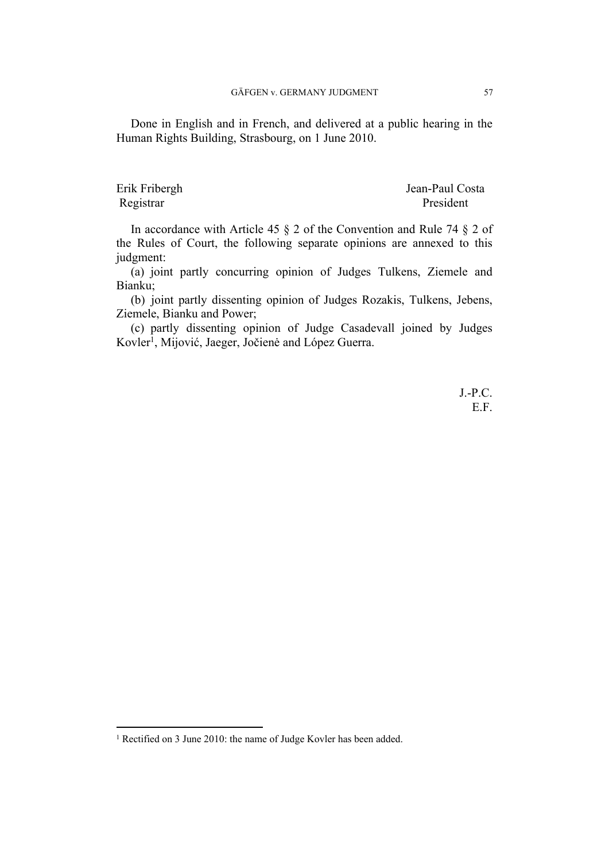Done in English and in French, and delivered at a public hearing in the Human Rights Building, Strasbourg, on 1 June 2010.

Registrar President

Erik Fribergh Jean-Paul Costa

In accordance with Article 45 § 2 of the Convention and Rule 74 § 2 of the Rules of Court, the following separate opinions are annexed to this judgment:

(a) joint partly concurring opinion of Judges Tulkens, Ziemele and Bianku;

(b) joint partly dissenting opinion of Judges Rozakis, Tulkens, Jebens, Ziemele, Bianku and Power;

(c) partly dissenting opinion of Judge Casadevall joined by Judges Kovler<sup>1</sup>, Mijović, Jaeger, Jočienė and López Guerra.

> J.-P.C. E.F.

<sup>1</sup> Rectified on 3 June 2010: the name of Judge Kovler has been added.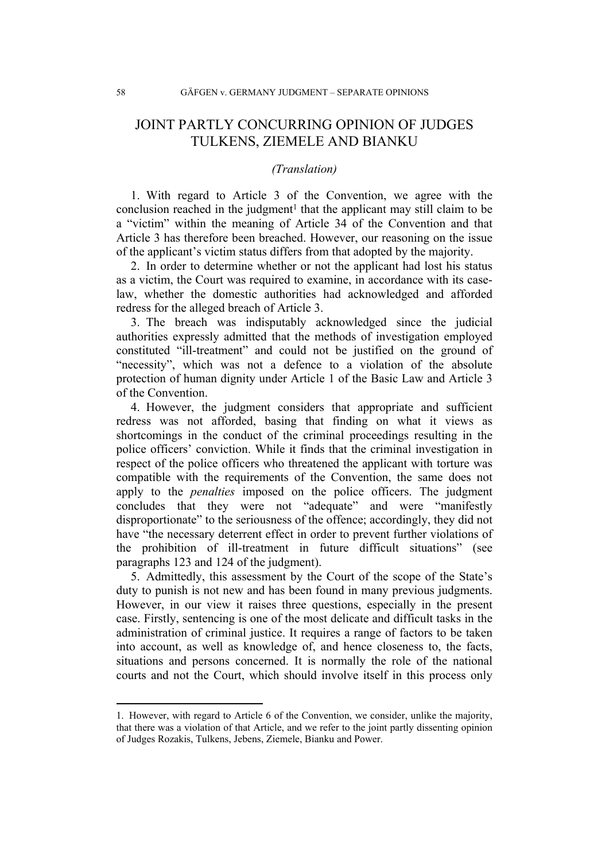## JOINT PARTLY CONCURRING OPINION OF JUDGES TULKENS, ZIEMELE AND BIANKU

#### *(Translation)*

1. With regard to Article 3 of the Convention, we agree with the conclusion reached in the judgment<sup>1</sup> that the applicant may still claim to be a "victim" within the meaning of Article 34 of the Convention and that Article 3 has therefore been breached. However, our reasoning on the issue of the applicant's victim status differs from that adopted by the majority.

2. In order to determine whether or not the applicant had lost his status as a victim, the Court was required to examine, in accordance with its caselaw, whether the domestic authorities had acknowledged and afforded redress for the alleged breach of Article 3.

3. The breach was indisputably acknowledged since the judicial authorities expressly admitted that the methods of investigation employed constituted "ill-treatment" and could not be justified on the ground of "necessity", which was not a defence to a violation of the absolute protection of human dignity under Article 1 of the Basic Law and Article 3 of the Convention.

4. However, the judgment considers that appropriate and sufficient redress was not afforded, basing that finding on what it views as shortcomings in the conduct of the criminal proceedings resulting in the police officers' conviction. While it finds that the criminal investigation in respect of the police officers who threatened the applicant with torture was compatible with the requirements of the Convention, the same does not apply to the *penalties* imposed on the police officers. The judgment concludes that they were not "adequate" and were "manifestly disproportionate" to the seriousness of the offence; accordingly, they did not have "the necessary deterrent effect in order to prevent further violations of the prohibition of ill-treatment in future difficult situations" (see paragraphs 123 and 124 of the judgment).

5. Admittedly, this assessment by the Court of the scope of the State's duty to punish is not new and has been found in many previous judgments. However, in our view it raises three questions, especially in the present case. Firstly, sentencing is one of the most delicate and difficult tasks in the administration of criminal justice. It requires a range of factors to be taken into account, as well as knowledge of, and hence closeness to, the facts, situations and persons concerned. It is normally the role of the national courts and not the Court, which should involve itself in this process only

<sup>1.</sup> However, with regard to Article 6 of the Convention, we consider, unlike the majority, that there was a violation of that Article, and we refer to the joint partly dissenting opinion of Judges Rozakis, Tulkens, Jebens, Ziemele, Bianku and Power.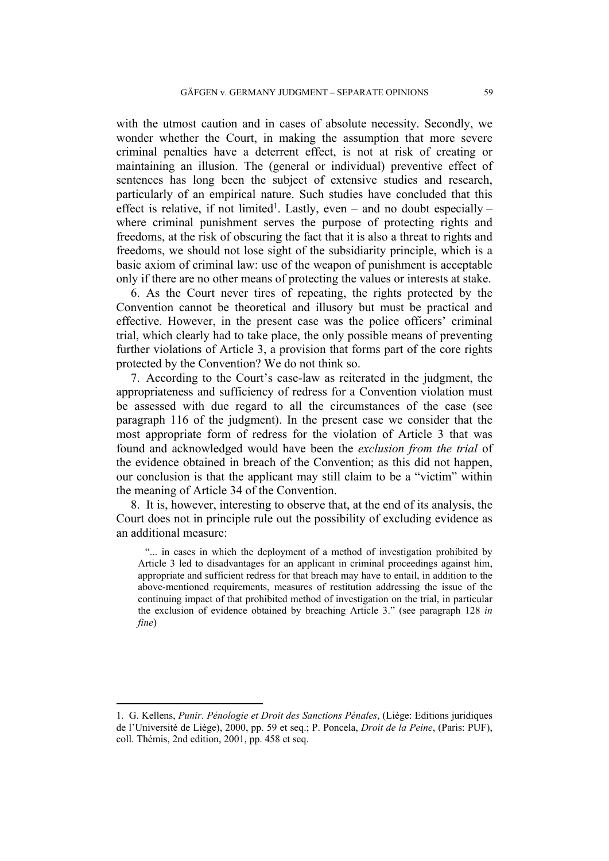with the utmost caution and in cases of absolute necessity. Secondly, we wonder whether the Court, in making the assumption that more severe criminal penalties have a deterrent effect, is not at risk of creating or maintaining an illusion. The (general or individual) preventive effect of sentences has long been the subject of extensive studies and research, particularly of an empirical nature. Such studies have concluded that this effect is relative, if not limited<sup>1</sup>. Lastly, even – and no doubt especially – where criminal punishment serves the purpose of protecting rights and freedoms, at the risk of obscuring the fact that it is also a threat to rights and freedoms, we should not lose sight of the subsidiarity principle, which is a basic axiom of criminal law: use of the weapon of punishment is acceptable only if there are no other means of protecting the values or interests at stake.

6. As the Court never tires of repeating, the rights protected by the Convention cannot be theoretical and illusory but must be practical and effective. However, in the present case was the police officers' criminal trial, which clearly had to take place, the only possible means of preventing further violations of Article 3, a provision that forms part of the core rights protected by the Convention? We do not think so.

7. According to the Court's case-law as reiterated in the judgment, the appropriateness and sufficiency of redress for a Convention violation must be assessed with due regard to all the circumstances of the case (see paragraph 116 of the judgment). In the present case we consider that the most appropriate form of redress for the violation of Article 3 that was found and acknowledged would have been the *exclusion from the trial* of the evidence obtained in breach of the Convention; as this did not happen, our conclusion is that the applicant may still claim to be a "victim" within the meaning of Article 34 of the Convention.

8. It is, however, interesting to observe that, at the end of its analysis, the Court does not in principle rule out the possibility of excluding evidence as an additional measure:

"... in cases in which the deployment of a method of investigation prohibited by Article 3 led to disadvantages for an applicant in criminal proceedings against him, appropriate and sufficient redress for that breach may have to entail, in addition to the above-mentioned requirements, measures of restitution addressing the issue of the continuing impact of that prohibited method of investigation on the trial, in particular the exclusion of evidence obtained by breaching Article 3." (see paragraph 128 *in fine*)

<sup>1.</sup> G. Kellens, *Punir. Pénologie et Droit des Sanctions Pénales*, (Liège: Editions juridiques de l'Université de Liège), 2000, pp. 59 et seq.; P. Poncela, *Droit de la Peine*, (Paris: PUF), coll. Thémis, 2nd edition, 2001, pp. 458 et seq.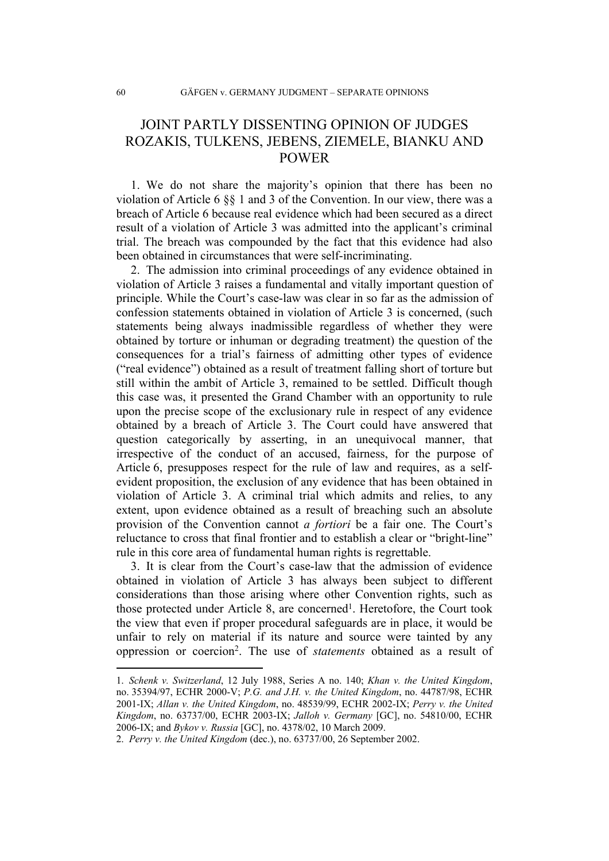## JOINT PARTLY DISSENTING OPINION OF JUDGES ROZAKIS, TULKENS, JEBENS, ZIEMELE, BIANKU AND POWER

1. We do not share the majority's opinion that there has been no violation of Article 6 §§ 1 and 3 of the Convention. In our view, there was a breach of Article 6 because real evidence which had been secured as a direct result of a violation of Article 3 was admitted into the applicant's criminal trial. The breach was compounded by the fact that this evidence had also been obtained in circumstances that were self-incriminating.

2. The admission into criminal proceedings of any evidence obtained in violation of Article 3 raises a fundamental and vitally important question of principle. While the Court's case-law was clear in so far as the admission of confession statements obtained in violation of Article 3 is concerned, (such statements being always inadmissible regardless of whether they were obtained by torture or inhuman or degrading treatment) the question of the consequences for a trial's fairness of admitting other types of evidence ("real evidence") obtained as a result of treatment falling short of torture but still within the ambit of Article 3, remained to be settled. Difficult though this case was, it presented the Grand Chamber with an opportunity to rule upon the precise scope of the exclusionary rule in respect of any evidence obtained by a breach of Article 3. The Court could have answered that question categorically by asserting, in an unequivocal manner, that irrespective of the conduct of an accused, fairness, for the purpose of Article 6, presupposes respect for the rule of law and requires, as a selfevident proposition, the exclusion of any evidence that has been obtained in violation of Article 3. A criminal trial which admits and relies, to any extent, upon evidence obtained as a result of breaching such an absolute provision of the Convention cannot *a fortiori* be a fair one. The Court's reluctance to cross that final frontier and to establish a clear or "bright-line" rule in this core area of fundamental human rights is regrettable.

3. It is clear from the Court's case-law that the admission of evidence obtained in violation of Article 3 has always been subject to different considerations than those arising where other Convention rights, such as those protected under Article 8, are concerned<sup>1</sup>. Heretofore, the Court took the view that even if proper procedural safeguards are in place, it would be unfair to rely on material if its nature and source were tainted by any oppression or coercion<sup>2</sup> . The use of *statements* obtained as a result of

<sup>1.</sup> *Schenk v. Switzerland*, 12 July 1988, Series A no. 140; *Khan v. the United Kingdom*, no. 35394/97, ECHR 2000-V; *P.G. and J.H. v. the United Kingdom*, no. 44787/98, ECHR 2001-IX; *Allan v. the United Kingdom*, no. 48539/99, ECHR 2002-IX; *Perry v. the United Kingdom*, no. 63737/00, ECHR 2003-IX; *Jalloh v. Germany* [GC], no. 54810/00, ECHR 2006-IX; and *Bykov v. Russia* [GC], no. 4378/02, 10 March 2009.

<sup>2.</sup> *Perry v. the United Kingdom* (dec.), no. 63737/00, 26 September 2002.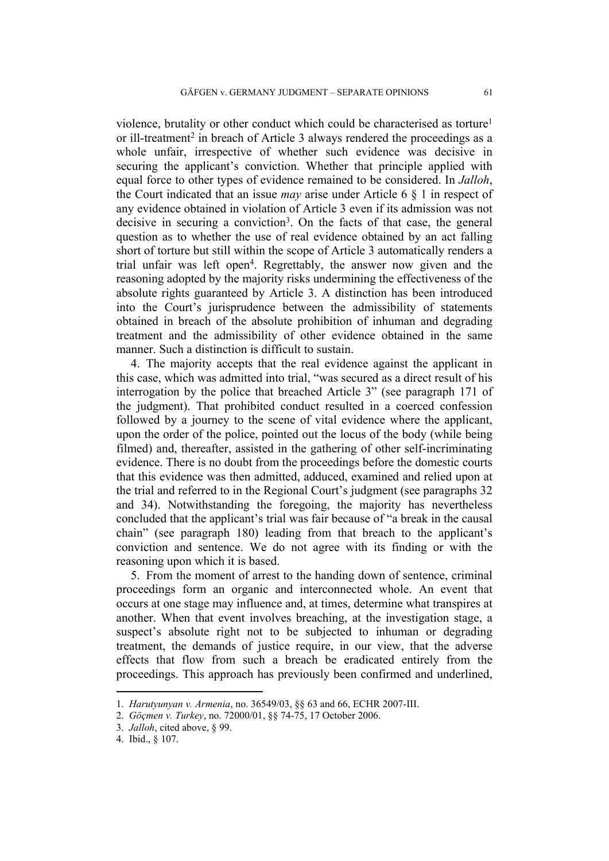violence, brutality or other conduct which could be characterised as torture<sup>1</sup> or ill-treatment<sup>2</sup> in breach of Article 3 always rendered the proceedings as a whole unfair, irrespective of whether such evidence was decisive in securing the applicant's conviction. Whether that principle applied with equal force to other types of evidence remained to be considered. In *Jalloh*, the Court indicated that an issue *may* arise under Article 6 § 1 in respect of any evidence obtained in violation of Article 3 even if its admission was not decisive in securing a conviction<sup>3</sup>. On the facts of that case, the general question as to whether the use of real evidence obtained by an act falling short of torture but still within the scope of Article 3 automatically renders a trial unfair was left open<sup>4</sup> . Regrettably, the answer now given and the reasoning adopted by the majority risks undermining the effectiveness of the absolute rights guaranteed by Article 3. A distinction has been introduced into the Court's jurisprudence between the admissibility of statements obtained in breach of the absolute prohibition of inhuman and degrading treatment and the admissibility of other evidence obtained in the same manner. Such a distinction is difficult to sustain.

4. The majority accepts that the real evidence against the applicant in this case, which was admitted into trial, "was secured as a direct result of his interrogation by the police that breached Article 3" (see paragraph 171 of the judgment). That prohibited conduct resulted in a coerced confession followed by a journey to the scene of vital evidence where the applicant, upon the order of the police, pointed out the locus of the body (while being filmed) and, thereafter, assisted in the gathering of other self-incriminating evidence. There is no doubt from the proceedings before the domestic courts that this evidence was then admitted, adduced, examined and relied upon at the trial and referred to in the Regional Court's judgment (see paragraphs 32 and 34). Notwithstanding the foregoing, the majority has nevertheless concluded that the applicant's trial was fair because of "a break in the causal chain" (see paragraph 180) leading from that breach to the applicant's conviction and sentence. We do not agree with its finding or with the reasoning upon which it is based.

5. From the moment of arrest to the handing down of sentence, criminal proceedings form an organic and interconnected whole. An event that occurs at one stage may influence and, at times, determine what transpires at another. When that event involves breaching, at the investigation stage, a suspect's absolute right not to be subjected to inhuman or degrading treatment, the demands of justice require, in our view, that the adverse effects that flow from such a breach be eradicated entirely from the proceedings. This approach has previously been confirmed and underlined,

<sup>1.</sup> *Harutyunyan v. Armenia*, no. 36549/03, §§ 63 and 66, ECHR 2007-III.

<sup>2.</sup> *Göçmen v. Turkey*, no. 72000/01, §§ 74-75, 17 October 2006.

<sup>3.</sup> *Jalloh*, cited above, § 99.

<sup>4.</sup> Ibid., § 107.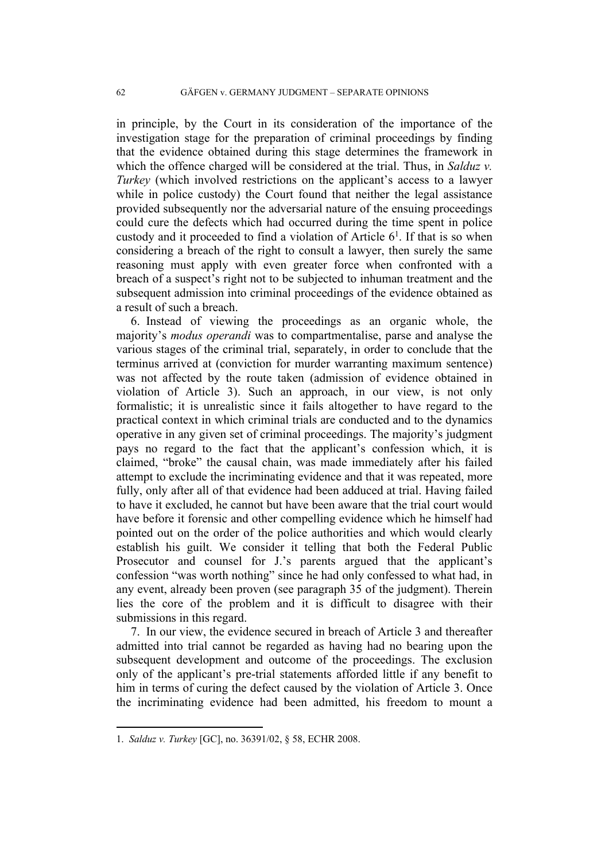in principle, by the Court in its consideration of the importance of the investigation stage for the preparation of criminal proceedings by finding that the evidence obtained during this stage determines the framework in which the offence charged will be considered at the trial. Thus, in *Salduz v. Turkey* (which involved restrictions on the applicant's access to a lawyer while in police custody) the Court found that neither the legal assistance provided subsequently nor the adversarial nature of the ensuing proceedings could cure the defects which had occurred during the time spent in police custody and it proceeded to find a violation of Article  $6<sup>1</sup>$ . If that is so when considering a breach of the right to consult a lawyer, then surely the same reasoning must apply with even greater force when confronted with a breach of a suspect's right not to be subjected to inhuman treatment and the subsequent admission into criminal proceedings of the evidence obtained as a result of such a breach.

6. Instead of viewing the proceedings as an organic whole, the majority's *modus operandi* was to compartmentalise, parse and analyse the various stages of the criminal trial, separately, in order to conclude that the terminus arrived at (conviction for murder warranting maximum sentence) was not affected by the route taken (admission of evidence obtained in violation of Article 3). Such an approach, in our view, is not only formalistic; it is unrealistic since it fails altogether to have regard to the practical context in which criminal trials are conducted and to the dynamics operative in any given set of criminal proceedings. The majority's judgment pays no regard to the fact that the applicant's confession which, it is claimed, "broke" the causal chain, was made immediately after his failed attempt to exclude the incriminating evidence and that it was repeated, more fully, only after all of that evidence had been adduced at trial. Having failed to have it excluded, he cannot but have been aware that the trial court would have before it forensic and other compelling evidence which he himself had pointed out on the order of the police authorities and which would clearly establish his guilt. We consider it telling that both the Federal Public Prosecutor and counsel for J.'s parents argued that the applicant's confession "was worth nothing" since he had only confessed to what had, in any event, already been proven (see paragraph 35 of the judgment). Therein lies the core of the problem and it is difficult to disagree with their submissions in this regard.

7. In our view, the evidence secured in breach of Article 3 and thereafter admitted into trial cannot be regarded as having had no bearing upon the subsequent development and outcome of the proceedings. The exclusion only of the applicant's pre-trial statements afforded little if any benefit to him in terms of curing the defect caused by the violation of Article 3. Once the incriminating evidence had been admitted, his freedom to mount a

<sup>1.</sup> *Salduz v. Turkey* [GC], no. 36391/02, § 58, ECHR 2008.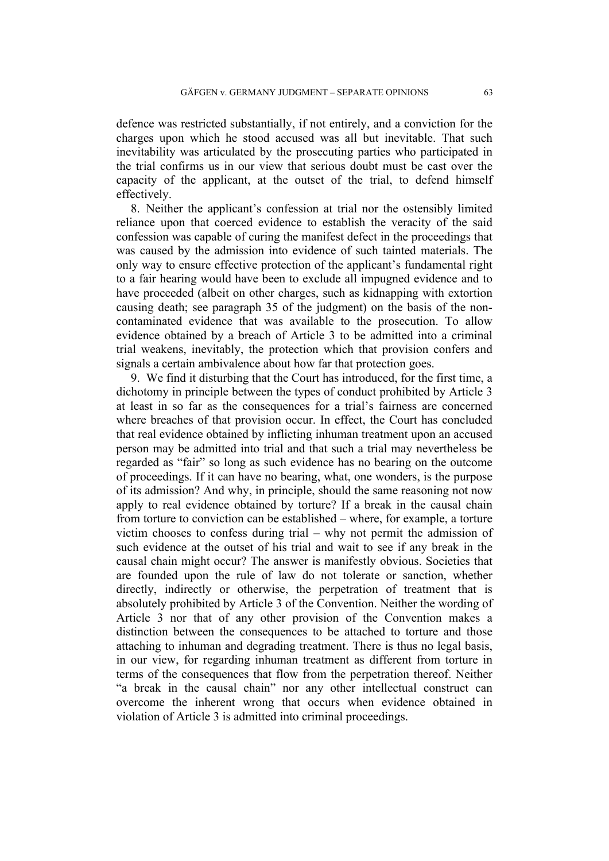defence was restricted substantially, if not entirely, and a conviction for the charges upon which he stood accused was all but inevitable. That such inevitability was articulated by the prosecuting parties who participated in the trial confirms us in our view that serious doubt must be cast over the capacity of the applicant, at the outset of the trial, to defend himself effectively.

8. Neither the applicant's confession at trial nor the ostensibly limited reliance upon that coerced evidence to establish the veracity of the said confession was capable of curing the manifest defect in the proceedings that was caused by the admission into evidence of such tainted materials. The only way to ensure effective protection of the applicant's fundamental right to a fair hearing would have been to exclude all impugned evidence and to have proceeded (albeit on other charges, such as kidnapping with extortion causing death; see paragraph 35 of the judgment) on the basis of the noncontaminated evidence that was available to the prosecution. To allow evidence obtained by a breach of Article 3 to be admitted into a criminal trial weakens, inevitably, the protection which that provision confers and signals a certain ambivalence about how far that protection goes.

9. We find it disturbing that the Court has introduced, for the first time, a dichotomy in principle between the types of conduct prohibited by Article 3 at least in so far as the consequences for a trial's fairness are concerned where breaches of that provision occur. In effect, the Court has concluded that real evidence obtained by inflicting inhuman treatment upon an accused person may be admitted into trial and that such a trial may nevertheless be regarded as "fair" so long as such evidence has no bearing on the outcome of proceedings. If it can have no bearing, what, one wonders, is the purpose of its admission? And why, in principle, should the same reasoning not now apply to real evidence obtained by torture? If a break in the causal chain from torture to conviction can be established – where, for example, a torture victim chooses to confess during trial – why not permit the admission of such evidence at the outset of his trial and wait to see if any break in the causal chain might occur? The answer is manifestly obvious. Societies that are founded upon the rule of law do not tolerate or sanction, whether directly, indirectly or otherwise, the perpetration of treatment that is absolutely prohibited by Article 3 of the Convention. Neither the wording of Article 3 nor that of any other provision of the Convention makes a distinction between the consequences to be attached to torture and those attaching to inhuman and degrading treatment. There is thus no legal basis, in our view, for regarding inhuman treatment as different from torture in terms of the consequences that flow from the perpetration thereof. Neither "a break in the causal chain" nor any other intellectual construct can overcome the inherent wrong that occurs when evidence obtained in violation of Article 3 is admitted into criminal proceedings.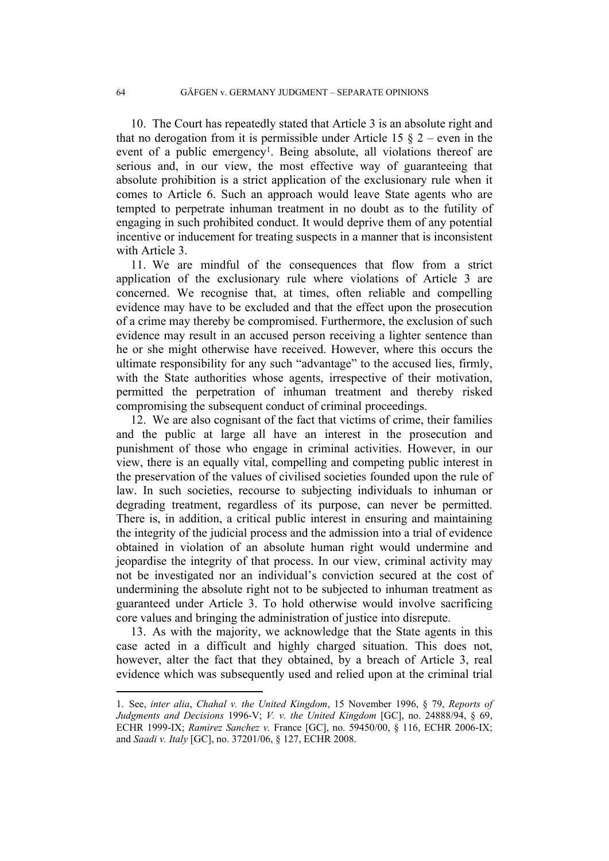10. The Court has repeatedly stated that Article 3 is an absolute right and that no derogation from it is permissible under Article 15  $\S$  2 – even in the event of a public emergency<sup>1</sup>. Being absolute, all violations thereof are serious and, in our view, the most effective way of guaranteeing that absolute prohibition is a strict application of the exclusionary rule when it comes to Article 6. Such an approach would leave State agents who are tempted to perpetrate inhuman treatment in no doubt as to the futility of engaging in such prohibited conduct. It would deprive them of any potential incentive or inducement for treating suspects in a manner that is inconsistent with Article 3

11. We are mindful of the consequences that flow from a strict application of the exclusionary rule where violations of Article 3 are concerned. We recognise that, at times, often reliable and compelling evidence may have to be excluded and that the effect upon the prosecution of a crime may thereby be compromised. Furthermore, the exclusion of such evidence may result in an accused person receiving a lighter sentence than he or she might otherwise have received. However, where this occurs the ultimate responsibility for any such "advantage" to the accused lies, firmly, with the State authorities whose agents, irrespective of their motivation, permitted the perpetration of inhuman treatment and thereby risked compromising the subsequent conduct of criminal proceedings.

12. We are also cognisant of the fact that victims of crime, their families and the public at large all have an interest in the prosecution and punishment of those who engage in criminal activities. However, in our view, there is an equally vital, compelling and competing public interest in the preservation of the values of civilised societies founded upon the rule of law. In such societies, recourse to subjecting individuals to inhuman or degrading treatment, regardless of its purpose, can never be permitted. There is, in addition, a critical public interest in ensuring and maintaining the integrity of the judicial process and the admission into a trial of evidence obtained in violation of an absolute human right would undermine and jeopardise the integrity of that process. In our view, criminal activity may not be investigated nor an individual's conviction secured at the cost of undermining the absolute right not to be subjected to inhuman treatment as guaranteed under Article 3. To hold otherwise would involve sacrificing core values and bringing the administration of justice into disrepute.

13. As with the majority, we acknowledge that the State agents in this case acted in a difficult and highly charged situation. This does not, however, alter the fact that they obtained, by a breach of Article 3, real evidence which was subsequently used and relied upon at the criminal trial

<sup>1.</sup> See, *inter alia*, *Chahal v. the United Kingdom*, 15 November 1996, § 79, *Reports of Judgments and Decisions* 1996-V; *V. v. the United Kingdom* [GC], no. 24888/94, § 69, ECHR 1999-IX; *Ramirez Sanchez v.* France [GC], no. 59450/00, § 116, ECHR 2006-IX; and *Saadi v. Italy* [GC], no. 37201/06, § 127, ECHR 2008.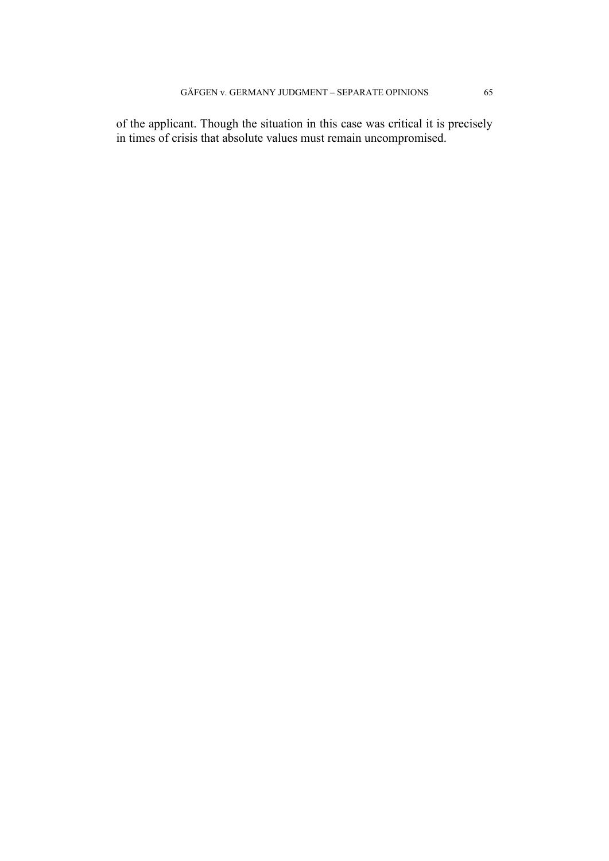of the applicant. Though the situation in this case was critical it is precisely in times of crisis that absolute values must remain uncompromised.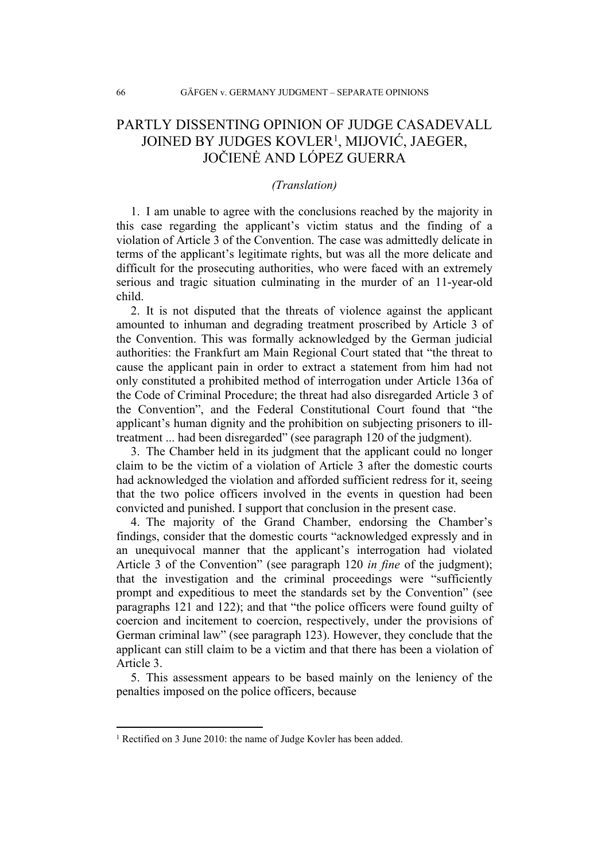## PARTLY DISSENTING OPINION OF JUDGE CASADEVALL JOINED BY JUDGES KOVLER<sup>1</sup> , MIJOVIĆ, JAEGER, JOČIENĖ AND LÓPEZ GUERRA

## *(Translation)*

1. I am unable to agree with the conclusions reached by the majority in this case regarding the applicant's victim status and the finding of a violation of Article 3 of the Convention. The case was admittedly delicate in terms of the applicant's legitimate rights, but was all the more delicate and difficult for the prosecuting authorities, who were faced with an extremely serious and tragic situation culminating in the murder of an 11-year-old child.

2. It is not disputed that the threats of violence against the applicant amounted to inhuman and degrading treatment proscribed by Article 3 of the Convention. This was formally acknowledged by the German judicial authorities: the Frankfurt am Main Regional Court stated that "the threat to cause the applicant pain in order to extract a statement from him had not only constituted a prohibited method of interrogation under Article 136a of the Code of Criminal Procedure; the threat had also disregarded Article 3 of the Convention", and the Federal Constitutional Court found that "the applicant's human dignity and the prohibition on subjecting prisoners to illtreatment ... had been disregarded" (see paragraph 120 of the judgment).

3. The Chamber held in its judgment that the applicant could no longer claim to be the victim of a violation of Article 3 after the domestic courts had acknowledged the violation and afforded sufficient redress for it, seeing that the two police officers involved in the events in question had been convicted and punished. I support that conclusion in the present case.

4. The majority of the Grand Chamber, endorsing the Chamber's findings, consider that the domestic courts "acknowledged expressly and in an unequivocal manner that the applicant's interrogation had violated Article 3 of the Convention" (see paragraph 120 *in fine* of the judgment); that the investigation and the criminal proceedings were "sufficiently prompt and expeditious to meet the standards set by the Convention" (see paragraphs 121 and 122); and that "the police officers were found guilty of coercion and incitement to coercion, respectively, under the provisions of German criminal law" (see paragraph 123). However, they conclude that the applicant can still claim to be a victim and that there has been a violation of Article 3.

5. This assessment appears to be based mainly on the leniency of the penalties imposed on the police officers, because

<sup>1</sup> Rectified on 3 June 2010: the name of Judge Kovler has been added.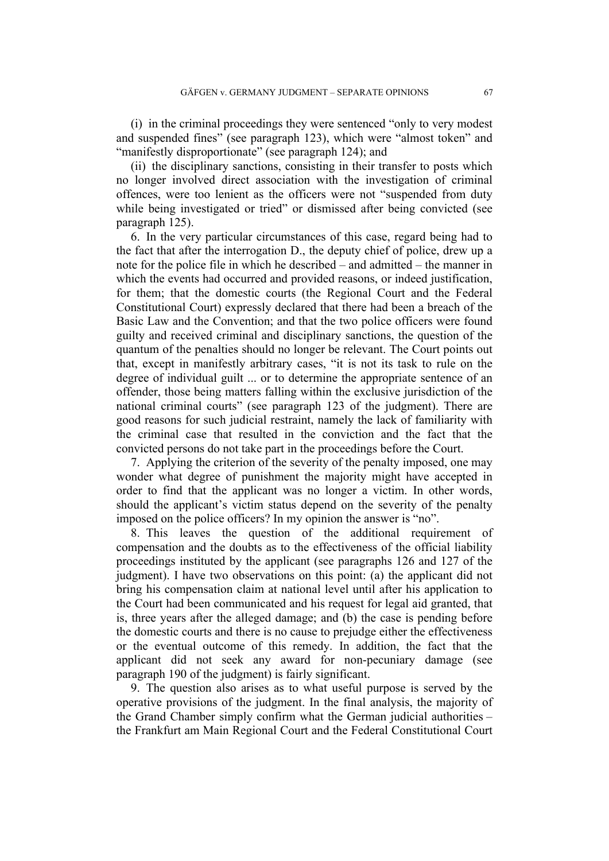(i) in the criminal proceedings they were sentenced "only to very modest and suspended fines" (see paragraph 123), which were "almost token" and "manifestly disproportionate" (see paragraph 124); and

(ii) the disciplinary sanctions, consisting in their transfer to posts which no longer involved direct association with the investigation of criminal offences, were too lenient as the officers were not "suspended from duty while being investigated or tried" or dismissed after being convicted (see paragraph 125).

6. In the very particular circumstances of this case, regard being had to the fact that after the interrogation D., the deputy chief of police, drew up a note for the police file in which he described – and admitted – the manner in which the events had occurred and provided reasons, or indeed justification, for them; that the domestic courts (the Regional Court and the Federal Constitutional Court) expressly declared that there had been a breach of the Basic Law and the Convention; and that the two police officers were found guilty and received criminal and disciplinary sanctions, the question of the quantum of the penalties should no longer be relevant. The Court points out that, except in manifestly arbitrary cases, "it is not its task to rule on the degree of individual guilt ... or to determine the appropriate sentence of an offender, those being matters falling within the exclusive jurisdiction of the national criminal courts" (see paragraph 123 of the judgment). There are good reasons for such judicial restraint, namely the lack of familiarity with the criminal case that resulted in the conviction and the fact that the convicted persons do not take part in the proceedings before the Court.

7. Applying the criterion of the severity of the penalty imposed, one may wonder what degree of punishment the majority might have accepted in order to find that the applicant was no longer a victim. In other words, should the applicant's victim status depend on the severity of the penalty imposed on the police officers? In my opinion the answer is "no".

8. This leaves the question of the additional requirement of compensation and the doubts as to the effectiveness of the official liability proceedings instituted by the applicant (see paragraphs 126 and 127 of the judgment). I have two observations on this point: (a) the applicant did not bring his compensation claim at national level until after his application to the Court had been communicated and his request for legal aid granted, that is, three years after the alleged damage; and (b) the case is pending before the domestic courts and there is no cause to prejudge either the effectiveness or the eventual outcome of this remedy. In addition, the fact that the applicant did not seek any award for non-pecuniary damage (see paragraph 190 of the judgment) is fairly significant.

9. The question also arises as to what useful purpose is served by the operative provisions of the judgment. In the final analysis, the majority of the Grand Chamber simply confirm what the German judicial authorities – the Frankfurt am Main Regional Court and the Federal Constitutional Court